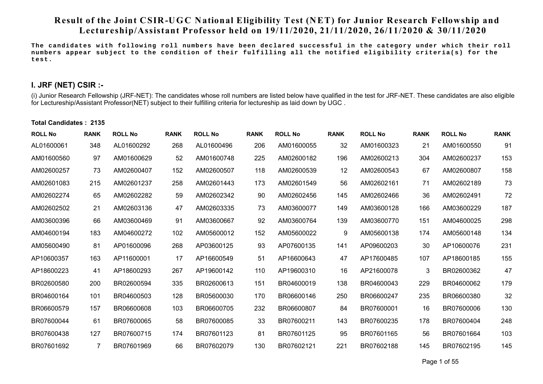# **Result of the Joint CSIR-UGC National Eligibility Test (NET) for Junior Research Fellowship and Lectureship/Assistant Professor heldon 19/11/2020, 21/11/2020, 26/11/2020 & 30/11/2020**

**The candidates with following roll numbers have been declared successful in the category under which their roll numbers appear subject to the condition of their fulfilling all the notified eligibility criteria(s) for the test.** 

## **I. JRF (NET) CSIR :-**

(i) Junior Research Fellowship (JRF-NET): The candidates whose roll numbers are listed below have qualified in the test for JRF-NET. These candidates are also eligible for Lectureship/Assistant Professor(NET) subject to their fulfilling criteria for lectureship as laid down by UGC .

#### **Total Candidates : 2135**

| <b>ROLL No</b> | <b>RANK</b> | <b>ROLL No</b> | <b>RANK</b> | <b>ROLL No</b> | <b>RANK</b> | <b>ROLL No</b> | <b>RANK</b> | <b>ROLL No</b> | <b>RANK</b> | <b>ROLL No</b> | <b>RANK</b> |
|----------------|-------------|----------------|-------------|----------------|-------------|----------------|-------------|----------------|-------------|----------------|-------------|
| AL01600061     | 348         | AL01600292     | 268         | AL01600496     | 206         | AM01600055     | 32          | AM01600323     | 21          | AM01600550     | 91          |
| AM01600560     | 97          | AM01600629     | 52          | AM01600748     | 225         | AM02600182     | 196         | AM02600213     | 304         | AM02600237     | 153         |
| AM02600257     | 73          | AM02600407     | 152         | AM02600507     | 118         | AM02600539     | 12          | AM02600543     | 67          | AM02600807     | 158         |
| AM02601083     | 215         | AM02601237     | 258         | AM02601443     | 173         | AM02601549     | 56          | AM02602161     | 71          | AM02602189     | 73          |
| AM02602274     | 65          | AM02602282     | 59          | AM02602342     | 90          | AM02602456     | 145         | AM02602466     | 36          | AM02602491     | 72          |
| AM02602502     | 21          | AM02603136     | 47          | AM02603335     | 73          | AM03600077     | 149         | AM03600128     | 166         | AM03600229     | 187         |
| AM03600396     | 66          | AM03600469     | 91          | AM03600667     | 92          | AM03600764     | 139         | AM03600770     | 151         | AM04600025     | 298         |
| AM04600194     | 183         | AM04600272     | 102         | AM05600012     | 152         | AM05600022     | 9           | AM05600138     | 174         | AM05600148     | 134         |
| AM05600490     | 81          | AP01600096     | 268         | AP03600125     | 93          | AP07600135     | 141         | AP09600203     | 30          | AP10600076     | 231         |
| AP10600357     | 163         | AP11600001     | 17          | AP16600549     | 51          | AP16600643     | 47          | AP17600485     | 107         | AP18600185     | 155         |
| AP18600223     | 41          | AP18600293     | 267         | AP19600142     | 110         | AP19600310     | 16          | AP21600078     | 3           | BR02600362     | 47          |
| BR02600580     | 200         | BR02600594     | 335         | BR02600613     | 151         | BR04600019     | 138         | BR04600043     | 229         | BR04600062     | 179         |
| BR04600164     | 101         | BR04600503     | 128         | BR05600030     | 170         | BR06600146     | 250         | BR06600247     | 235         | BR06600380     | 32          |
| BR06600579     | 157         | BR06600608     | 103         | BR06600705     | 232         | BR06600807     | 84          | BR07600001     | 16          | BR07600006     | 130         |
| BR07600044     | 61          | BR07600065     | 58          | BR07600085     | 33          | BR07600211     | 143         | BR07600235     | 178         | BR07600404     | 248         |
| BR07600438     | 127         | BR07600715     | 174         | BR07601123     | 81          | BR07601125     | 95          | BR07601165     | 56          | BR07601664     | 103         |
| BR07601692     |             | BR07601969     | 66          | BR07602079     | 130         | BR07602121     | 221         | BR07602188     | 145         | BR07602195     | 145         |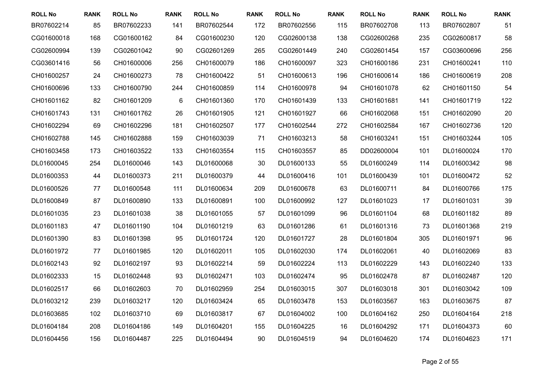| <b>ROLL No</b> | <b>RANK</b> | <b>ROLL No</b> | <b>RANK</b> | <b>ROLL No</b> | <b>RANK</b> | <b>ROLL No</b> | <b>RANK</b> | <b>ROLL No</b> | <b>RANK</b> | <b>ROLL No</b> | <b>RANK</b> |
|----------------|-------------|----------------|-------------|----------------|-------------|----------------|-------------|----------------|-------------|----------------|-------------|
| BR07602214     | 85          | BR07602233     | 141         | BR07602544     | 172         | BR07602556     | 115         | BR07602708     | 113         | BR07602807     | 51          |
| CG01600018     | 168         | CG01600162     | 84          | CG01600230     | 120         | CG02600138     | 138         | CG02600268     | 235         | CG02600817     | 58          |
| CG02600994     | 139         | CG02601042     | 90          | CG02601269     | 265         | CG02601449     | 240         | CG02601454     | 157         | CG03600696     | 256         |
| CG03601416     | 56          | CH01600006     | 256         | CH01600079     | 186         | CH01600097     | 323         | CH01600186     | 231         | CH01600241     | 110         |
| CH01600257     | 24          | CH01600273     | 78          | CH01600422     | 51          | CH01600613     | 196         | CH01600614     | 186         | CH01600619     | 208         |
| CH01600696     | 133         | CH01600790     | 244         | CH01600859     | 114         | CH01600978     | 94          | CH01601078     | 62          | CH01601150     | 54          |
| CH01601162     | 82          | CH01601209     | 6           | CH01601360     | 170         | CH01601439     | 133         | CH01601681     | 141         | CH01601719     | 122         |
| CH01601743     | 131         | CH01601762     | 26          | CH01601905     | 121         | CH01601927     | 66          | CH01602068     | 151         | CH01602090     | 20          |
| CH01602294     | 69          | CH01602296     | 181         | CH01602507     | 177         | CH01602544     | 272         | CH01602584     | 167         | CH01602736     | 120         |
| CH01602788     | 145         | CH01602888     | 159         | CH01603039     | 71          | CH01603213     | 58          | CH01603241     | 151         | CH01603244     | 105         |
| CH01603458     | 173         | CH01603522     | 133         | CH01603554     | 115         | CH01603557     | 85          | DD02600004     | 101         | DL01600024     | 170         |
| DL01600045     | 254         | DL01600046     | 143         | DL01600068     | 30          | DL01600133     | 55          | DL01600249     | 114         | DL01600342     | 98          |
| DL01600353     | 44          | DL01600373     | 211         | DL01600379     | 44          | DL01600416     | 101         | DL01600439     | 101         | DL01600472     | 52          |
| DL01600526     | 77          | DL01600548     | 111         | DL01600634     | 209         | DL01600678     | 63          | DL01600711     | 84          | DL01600766     | 175         |
| DL01600849     | 87          | DL01600890     | 133         | DL01600891     | 100         | DL01600992     | 127         | DL01601023     | 17          | DL01601031     | 39          |
| DL01601035     | 23          | DL01601038     | 38          | DL01601055     | 57          | DL01601099     | 96          | DL01601104     | 68          | DL01601182     | 89          |
| DL01601183     | 47          | DL01601190     | 104         | DL01601219     | 63          | DL01601286     | 61          | DL01601316     | 73          | DL01601368     | 219         |
| DL01601390     | 83          | DL01601398     | 95          | DL01601724     | 120         | DL01601727     | 28          | DL01601804     | 305         | DL01601971     | 96          |
| DL01601972     | 77          | DL01601985     | 120         | DL01602011     | 105         | DL01602030     | 174         | DL01602061     | 40          | DL01602069     | 83          |
| DL01602143     | 92          | DL01602197     | 93          | DL01602214     | 59          | DL01602224     | 113         | DL01602229     | 143         | DL01602240     | 133         |
| DL01602333     | 15          | DL01602448     | 93          | DL01602471     | 103         | DL01602474     | 95          | DL01602478     | 87          | DL01602487     | 120         |
| DL01602517     | 66          | DL01602603     | 70          | DL01602959     | 254         | DL01603015     | 307         | DL01603018     | 301         | DL01603042     | 109         |
| DL01603212     | 239         | DL01603217     | 120         | DL01603424     | 65          | DL01603478     | 153         | DL01603567     | 163         | DL01603675     | 87          |
| DL01603685     | 102         | DL01603710     | 69          | DL01603817     | 67          | DL01604002     | 100         | DL01604162     | 250         | DL01604164     | 218         |
| DL01604184     | 208         | DL01604186     | 149         | DL01604201     | 155         | DL01604225     | 16          | DL01604292     | 171         | DL01604373     | 60          |
| DL01604456     | 156         | DL01604487     | 225         | DL01604494     | 90          | DL01604519     | 94          | DL01604620     | 174         | DL01604623     | 171         |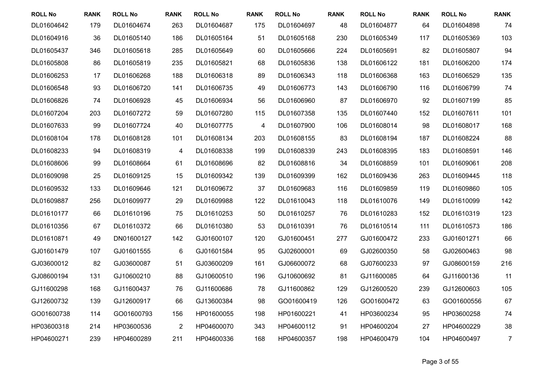| <b>ROLL No</b> | <b>RANK</b> | <b>ROLL No</b> | <b>RANK</b>    | <b>ROLL No</b> | <b>RANK</b>              | <b>ROLL No</b> | <b>RANK</b> | <b>ROLL No</b> | <b>RANK</b> | <b>ROLL No</b> | <b>RANK</b>    |
|----------------|-------------|----------------|----------------|----------------|--------------------------|----------------|-------------|----------------|-------------|----------------|----------------|
| DL01604642     | 179         | DL01604674     | 263            | DL01604687     | 175                      | DL01604697     | 48          | DL01604877     | 64          | DL01604898     | 74             |
| DL01604916     | 36          | DL01605140     | 186            | DL01605164     | 51                       | DL01605168     | 230         | DL01605349     | 117         | DL01605369     | 103            |
| DL01605437     | 346         | DL01605618     | 285            | DL01605649     | 60                       | DL01605666     | 224         | DL01605691     | 82          | DL01605807     | 94             |
| DL01605808     | 86          | DL01605819     | 235            | DL01605821     | 68                       | DL01605836     | 138         | DL01606122     | 181         | DL01606200     | 174            |
| DL01606253     | 17          | DL01606268     | 188            | DL01606318     | 89                       | DL01606343     | 118         | DL01606368     | 163         | DL01606529     | 135            |
| DL01606548     | 93          | DL01606720     | 141            | DL01606735     | 49                       | DL01606773     | 143         | DL01606790     | 116         | DL01606799     | 74             |
| DL01606826     | 74          | DL01606928     | 45             | DL01606934     | 56                       | DL01606960     | 87          | DL01606970     | 92          | DL01607199     | 85             |
| DL01607204     | 203         | DL01607272     | 59             | DL01607280     | 115                      | DL01607358     | 135         | DL01607440     | 152         | DL01607611     | 101            |
| DL01607633     | 99          | DL01607724     | 40             | DL01607775     | $\overline{\mathcal{A}}$ | DL01607900     | 106         | DL01608014     | 98          | DL01608017     | 168            |
| DL01608104     | 178         | DL01608128     | 101            | DL01608134     | 203                      | DL01608155     | 83          | DL01608194     | 187         | DL01608224     | 88             |
| DL01608233     | 94          | DL01608319     | 4              | DL01608338     | 199                      | DL01608339     | 243         | DL01608395     | 183         | DL01608591     | 146            |
| DL01608606     | 99          | DL01608664     | 61             | DL01608696     | 82                       | DL01608816     | 34          | DL01608859     | 101         | DL01609061     | 208            |
| DL01609098     | 25          | DL01609125     | 15             | DL01609342     | 139                      | DL01609399     | 162         | DL01609436     | 263         | DL01609445     | 118            |
| DL01609532     | 133         | DL01609646     | 121            | DL01609672     | 37                       | DL01609683     | 116         | DL01609859     | 119         | DL01609860     | 105            |
| DL01609887     | 256         | DL01609977     | 29             | DL01609988     | 122                      | DL01610043     | 118         | DL01610076     | 149         | DL01610099     | 142            |
| DL01610177     | 66          | DL01610196     | 75             | DL01610253     | 50                       | DL01610257     | 76          | DL01610283     | 152         | DL01610319     | 123            |
| DL01610356     | 67          | DL01610372     | 66             | DL01610380     | 53                       | DL01610391     | 76          | DL01610514     | 111         | DL01610573     | 186            |
| DL01610871     | 49          | DN01600127     | 142            | GJ01600107     | 120                      | GJ01600451     | 277         | GJ01600472     | 233         | GJ01601271     | 66             |
| GJ01601479     | 107         | GJ01601555     | 6              | GJ01601584     | 95                       | GJ02600001     | 69          | GJ02600350     | 58          | GJ02600463     | 98             |
| GJ03600012     | 82          | GJ03600087     | 51             | GJ03600209     | 161                      | GJ06600072     | 68          | GJ07600233     | 97          | GJ08600159     | 216            |
| GJ08600194     | 131         | GJ10600210     | 88             | GJ10600510     | 196                      | GJ10600692     | 81          | GJ11600085     | 64          | GJ11600136     | 11             |
| GJ11600298     | 168         | GJ11600437     | 76             | GJ11600686     | 78                       | GJ11600862     | 129         | GJ12600520     | 239         | GJ12600603     | 105            |
| GJ12600732     | 139         | GJ12600917     | 66             | GJ13600384     | 98                       | GO01600419     | 126         | GO01600472     | 63          | GO01600556     | 67             |
| GO01600738     | 114         | GO01600793     | 156            | HP01600055     | 198                      | HP01600221     | 41          | HP03600234     | 95          | HP03600258     | 74             |
| HP03600318     | 214         | HP03600536     | $\overline{2}$ | HP04600070     | 343                      | HP04600112     | 91          | HP04600204     | 27          | HP04600229     | 38             |
| HP04600271     | 239         | HP04600289     | 211            | HP04600336     | 168                      | HP04600357     | 198         | HP04600479     | 104         | HP04600497     | $\overline{7}$ |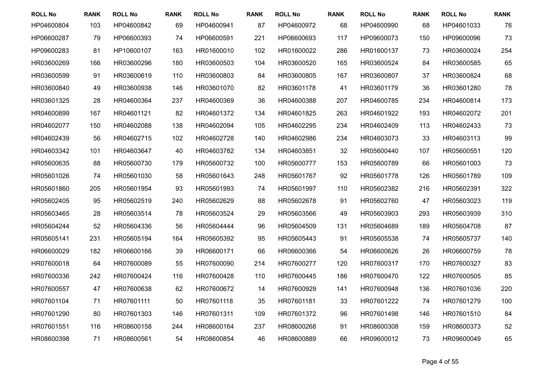| <b>ROLL No</b> | <b>RANK</b> | <b>ROLL No</b> | <b>RANK</b> | <b>ROLL No</b> | <b>RANK</b> | <b>ROLL No</b> | <b>RANK</b> | <b>ROLL No</b> | <b>RANK</b> | <b>ROLL No</b> | <b>RANK</b> |
|----------------|-------------|----------------|-------------|----------------|-------------|----------------|-------------|----------------|-------------|----------------|-------------|
| HP04600804     | 103         | HP04600842     | 69          | HP04600941     | 87          | HP04600972     | 68          | HP04600990     | 68          | HP04601033     | 76          |
| HP06600287     | 79          | HP06600393     | 74          | HP06600591     | 221         | HP06600693     | 117         | HP09600073     | 150         | HP09600096     | 73          |
| HP09600283     | 81          | HP10600107     | 163         | HR01600010     | 102         | HR01600022     | 286         | HR01600137     | 73          | HR03600024     | 254         |
| HR03600269     | 166         | HR03600296     | 180         | HR03600503     | 104         | HR03600520     | 165         | HR03600524     | 84          | HR03600585     | 65          |
| HR03600599     | 91          | HR03600619     | 110         | HR03600803     | 84          | HR03600805     | 167         | HR03600807     | 37          | HR03600824     | 68          |
| HR03600840     | 49          | HR03600938     | 146         | HR03601070     | 82          | HR03601178     | 41          | HR03601179     | 36          | HR03601280     | 78          |
| HR03601325     | 28          | HR04600364     | 237         | HR04600369     | 36          | HR04600388     | 207         | HR04600785     | 234         | HR04600814     | 173         |
| HR04600899     | 167         | HR04601121     | 82          | HR04601372     | 134         | HR04601825     | 263         | HR04601922     | 193         | HR04602072     | 201         |
| HR04602077     | 150         | HR04602088     | 138         | HR04602094     | 105         | HR04602295     | 234         | HR04602409     | 113         | HR04602433     | 73          |
| HR04602439     | 56          | HR04602715     | 102         | HR04602728     | 140         | HR04602986     | 234         | HR04603073     | 33          | HR04603113     | 99          |
| HR04603342     | 101         | HR04603647     | 40          | HR04603782     | 134         | HR04603851     | 32          | HR05600440     | 107         | HR05600551     | 120         |
| HR05600635     | 88          | HR05600730     | 179         | HR05600732     | 100         | HR05600777     | 153         | HR05600789     | 66          | HR05601003     | 73          |
| HR05601026     | 74          | HR05601030     | 58          | HR05601643     | 248         | HR05601767     | 92          | HR05601778     | 126         | HR05601789     | 109         |
| HR05601860     | 205         | HR05601954     | 93          | HR05601993     | 74          | HR05601997     | 110         | HR05602382     | 216         | HR05602391     | 322         |
| HR05602405     | 95          | HR05602519     | 240         | HR05602629     | 88          | HR05602678     | 91          | HR05602760     | 47          | HR05603023     | 119         |
| HR05603465     | 28          | HR05603514     | 78          | HR05603524     | 29          | HR05603566     | 49          | HR05603903     | 293         | HR05603939     | 310         |
| HR05604244     | 52          | HR05604336     | 56          | HR05604444     | 96          | HR05604509     | 131         | HR05604689     | 189         | HR05604708     | 87          |
| HR05605141     | 231         | HR05605194     | 164         | HR05605392     | 95          | HR05605443     | 91          | HR05605538     | 74          | HR05605737     | 140         |
| HR06600029     | 182         | HR06600166     | 39          | HR06600171     | 66          | HR06600366     | 54          | HR06600626     | 26          | HR06600759     | 78          |
| HR07600018     | 64          | HR07600089     | 55          | HR07600090     | 214         | HR07600277     | 120         | HR07600317     | 170         | HR07600327     | 83          |
| HR07600336     | 242         | HR07600424     | 116         | HR07600428     | 110         | HR07600445     | 186         | HR07600470     | 122         | HR07600505     | 85          |
| HR07600557     | 47          | HR07600638     | 62          | HR07600672     | 14          | HR07600929     | 141         | HR07600948     | 136         | HR07601036     | 220         |
| HR07601104     | 71          | HR07601111     | 50          | HR07601118     | 35          | HR07601181     | 33          | HR07601222     | 74          | HR07601279     | 100         |
| HR07601290     | 80          | HR07601303     | 146         | HR07601311     | 109         | HR07601372     | 96          | HR07601498     | 146         | HR07601510     | 84          |
| HR07601551     | 116         | HR08600158     | 244         | HR08600164     | 237         | HR08600268     | 91          | HR08600308     | 159         | HR08600373     | 52          |
| HR08600398     | 71          | HR08600561     | 54          | HR08600854     | 46          | HR08600889     | 66          | HR09600012     | 73          | HR09600049     | 65          |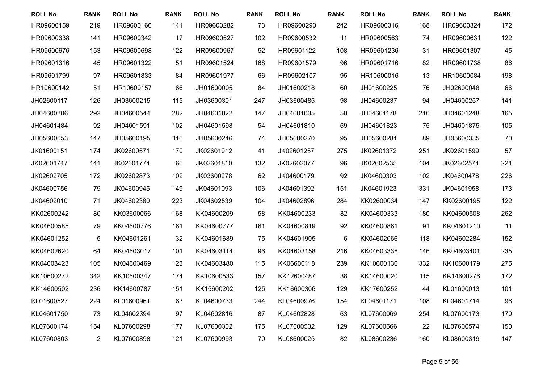| <b>ROLL No</b> | <b>RANK</b>    | <b>ROLL No</b> | <b>RANK</b> | <b>ROLL No</b> | <b>RANK</b> | <b>ROLL No</b> | <b>RANK</b> | <b>ROLL No</b> | <b>RANK</b> | <b>ROLL No</b> | <b>RANK</b> |
|----------------|----------------|----------------|-------------|----------------|-------------|----------------|-------------|----------------|-------------|----------------|-------------|
| HR09600159     | 219            | HR09600160     | 141         | HR09600282     | 73          | HR09600290     | 242         | HR09600316     | 168         | HR09600324     | 172         |
| HR09600338     | 141            | HR09600342     | 17          | HR09600527     | 102         | HR09600532     | 11          | HR09600563     | 74          | HR09600631     | 122         |
| HR09600676     | 153            | HR09600698     | 122         | HR09600967     | 52          | HR09601122     | 108         | HR09601236     | 31          | HR09601307     | 45          |
| HR09601316     | 45             | HR09601322     | 51          | HR09601524     | 168         | HR09601579     | 96          | HR09601716     | 82          | HR09601738     | 86          |
| HR09601799     | 97             | HR09601833     | 84          | HR09601977     | 66          | HR09602107     | 95          | HR10600016     | 13          | HR10600084     | 198         |
| HR10600142     | 51             | HR10600157     | 66          | JH01600005     | 84          | JH01600218     | 60          | JH01600225     | 76          | JH02600048     | 66          |
| JH02600117     | 126            | JH03600215     | 115         | JH03600301     | 247         | JH03600485     | 98          | JH04600237     | 94          | JH04600257     | 141         |
| JH04600306     | 292            | JH04600544     | 282         | JH04601022     | 147         | JH04601035     | 50          | JH04601178     | 210         | JH04601248     | 165         |
| JH04601484     | 92             | JH04601591     | 102         | JH04601598     | 54          | JH04601810     | 69          | JH04601823     | 75          | JH04601875     | 105         |
| JH05600053     | 147            | JH05600195     | 116         | JH05600246     | 74          | JH05600270     | 95          | JH05600281     | 89          | JH05600335     | 70          |
| JK01600151     | 174            | JK02600571     | 170         | JK02601012     | 41          | JK02601257     | 275         | JK02601372     | 251         | JK02601599     | 57          |
| JK02601747     | 141            | JK02601774     | 66          | JK02601810     | 132         | JK02602077     | 96          | JK02602535     | 104         | JK02602574     | 221         |
| JK02602705     | 172            | JK02602873     | 102         | JK03600278     | 62          | JK04600179     | 92          | JK04600303     | 102         | JK04600478     | 226         |
| JK04600756     | 79             | JK04600945     | 149         | JK04601093     | 106         | JK04601392     | 151         | JK04601923     | 331         | JK04601958     | 173         |
| JK04602010     | 71             | JK04602380     | 223         | JK04602539     | 104         | JK04602896     | 284         | KK02600034     | 147         | KK02600195     | 122         |
| KK02600242     | 80             | KK03600066     | 168         | KK04600209     | 58          | KK04600233     | 82          | KK04600333     | 180         | KK04600508     | 262         |
| KK04600585     | 79             | KK04600776     | 161         | KK04600777     | 161         | KK04600819     | 92          | KK04600861     | 91          | KK04601210     | 11          |
| KK04601252     | 5              | KK04601261     | 32          | KK04601689     | 75          | KK04601905     | 6           | KK04602066     | 118         | KK04602284     | 152         |
| KK04602620     | 64             | KK04603017     | 101         | KK04603114     | 96          | KK04603158     | 216         | KK04603338     | 146         | KK04603401     | 235         |
| KK04603423     | 105            | KK04603469     | 123         | KK04603480     | 115         | KK06600118     | 239         | KK10600136     | 332         | KK10600179     | 275         |
| KK10600272     | 342            | KK10600347     | 174         | KK10600533     | 157         | KK12600487     | 38          | KK14600020     | 115         | KK14600276     | 172         |
| KK14600502     | 236            | KK14600787     | 151         | KK15600202     | 125         | KK16600306     | 129         | KK17600252     | 44          | KL01600013     | 101         |
| KL01600527     | 224            | KL01600961     | 63          | KL04600733     | 244         | KL04600976     | 154         | KL04601171     | 108         | KL04601714     | 96          |
| KL04601750     | 73             | KL04602394     | 97          | KL04602816     | 87          | KL04602828     | 63          | KL07600069     | 254         | KL07600173     | 170         |
| KL07600174     | 154            | KL07600298     | 177         | KL07600302     | 175         | KL07600532     | 129         | KL07600566     | 22          | KL07600574     | 150         |
| KL07600803     | $\overline{2}$ | KL07600898     | 121         | KL07600993     | 70          | KL08600025     | 82          | KL08600236     | 160         | KL08600319     | 147         |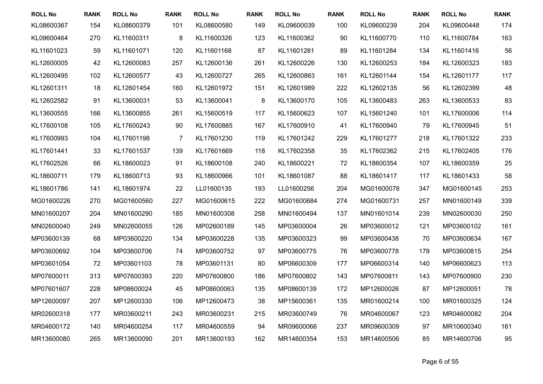| <b>ROLL No</b> | <b>RANK</b> | <b>ROLL No</b> | <b>RANK</b>    | <b>ROLL No</b> | <b>RANK</b> | <b>ROLL No</b> | <b>RANK</b> | <b>ROLL No</b> | <b>RANK</b> | <b>ROLL No</b> | <b>RANK</b> |
|----------------|-------------|----------------|----------------|----------------|-------------|----------------|-------------|----------------|-------------|----------------|-------------|
| KL08600367     | 154         | KL08600379     | 101            | KL08600580     | 149         | KL09600039     | 100         | KL09600239     | 204         | KL09600448     | 174         |
| KL09600464     | 270         | KL11600311     | 8              | KL11600326     | 123         | KL11600362     | 90          | KL11600770     | 110         | KL11600784     | 163         |
| KL11601023     | 59          | KL11601071     | 120            | KL11601168     | 87          | KL11601281     | 89          | KL11601284     | 134         | KL11601416     | 56          |
| KL12600005     | 42          | KL12600083     | 257            | KL12600136     | 261         | KL12600226     | 130         | KL12600253     | 184         | KL12600323     | 183         |
| KL12600495     | 102         | KL12600577     | 43             | KL12600727     | 265         | KL12600863     | 161         | KL12601144     | 154         | KL12601177     | 117         |
| KL12601311     | 18          | KL12601454     | 160            | KL12601972     | 151         | KL12601989     | 222         | KL12602135     | 56          | KL12602399     | 48          |
| KL12602582     | 91          | KL13600031     | 53             | KL13600041     | $\bf 8$     | KL13600170     | 105         | KL13600483     | 263         | KL13600533     | 83          |
| KL13600555     | 166         | KL13600855     | 261            | KL15600519     | 117         | KL15600623     | 107         | KL15601240     | 101         | KL17600006     | 114         |
| KL17600108     | 105         | KL17600243     | 90             | KL17600885     | 167         | KL17600910     | 41          | KL17600940     | 79          | KL17600945     | 51          |
| KL17600993     | 104         | KL17601198     | $\overline{7}$ | KL17601230     | 119         | KL17601242     | 229         | KL17601277     | 218         | KL17601322     | 233         |
| KL17601441     | 33          | KL17601537     | 139            | KL17601669     | 118         | KL17602358     | 35          | KL17602362     | 215         | KL17602405     | 176         |
| KL17602526     | 66          | KL18600023     | 91             | KL18600108     | 240         | KL18600221     | 72          | KL18600354     | 107         | KL18600359     | 25          |
| KL18600711     | 179         | KL18600713     | 93             | KL18600966     | 101         | KL18601087     | 88          | KL18601417     | 117         | KL18601433     | 58          |
| KL18601786     | 141         | KL18601974     | 22             | LL01600135     | 193         | LL01600256     | 204         | MG01600078     | 347         | MG01600145     | 253         |
| MG01600226     | 270         | MG01600560     | 227            | MG01600615     | 222         | MG01600684     | 274         | MG01600731     | 257         | MN01600149     | 339         |
| MN01600207     | 204         | MN01600290     | 185            | MN01600308     | 258         | MN01600494     | 137         | MN01601014     | 239         | MN02600030     | 250         |
| MN02600040     | 249         | MN02600055     | 126            | MP02600189     | 145         | MP03600004     | 26          | MP03600012     | 121         | MP03600102     | 161         |
| MP03600139     | 68          | MP03600220     | 134            | MP03600228     | 135         | MP03600323     | 99          | MP03600438     | 70          | MP03600634     | 167         |
| MP03600692     | 104         | MP03600706     | 74             | MP03600752     | 97          | MP03600775     | 76          | MP03600778     | 179         | MP03600815     | 254         |
| MP03601054     | 72          | MP03601103     | 78             | MP03601131     | 80          | MP06600309     | 177         | MP06600314     | 140         | MP06600623     | 113         |
| MP07600011     | 313         | MP07600393     | 220            | MP07600800     | 186         | MP07600802     | 143         | MP07600811     | 143         | MP07600900     | 230         |
| MP07601607     | 228         | MP08600024     | 45             | MP08600063     | 135         | MP08600139     | 172         | MP12600026     | 87          | MP12600051     | 78          |
| MP12600097     | 207         | MP12600330     | 106            | MP12600473     | 38          | MP15600361     | 135         | MR01600214     | 100         | MR01600325     | 124         |
| MR02600318     | 177         | MR03600211     | 243            | MR03600231     | 215         | MR03600749     | 76          | MR04600067     | 123         | MR04600082     | 204         |
| MR04600172     | 140         | MR04600254     | 117            | MR04600559     | 94          | MR09600066     | 237         | MR09600309     | 97          | MR10600340     | 161         |
| MR13600080     | 265         | MR13600090     | 201            | MR13600193     | 162         | MR14600354     | 153         | MR14600506     | 85          | MR14600706     | 95          |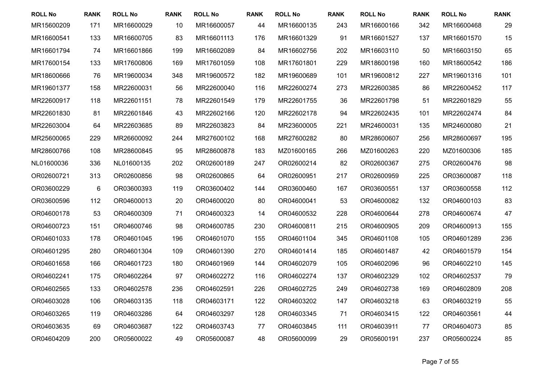| <b>ROLL No</b> | <b>RANK</b> | <b>ROLL No</b> | <b>RANK</b> | <b>ROLL No</b> | <b>RANK</b> | <b>ROLL No</b> | <b>RANK</b> | <b>ROLL No</b> | <b>RANK</b> | <b>ROLL No</b> | <b>RANK</b> |
|----------------|-------------|----------------|-------------|----------------|-------------|----------------|-------------|----------------|-------------|----------------|-------------|
| MR15600209     | 171         | MR16600029     | 10          | MR16600057     | 44          | MR16600135     | 243         | MR16600166     | 342         | MR16600468     | 29          |
| MR16600541     | 133         | MR16600705     | 83          | MR16601113     | 176         | MR16601329     | 91          | MR16601527     | 137         | MR16601570     | 15          |
| MR16601794     | 74          | MR16601866     | 199         | MR16602089     | 84          | MR16602756     | 202         | MR16603110     | 50          | MR16603150     | 65          |
| MR17600154     | 133         | MR17600806     | 169         | MR17601059     | 108         | MR17601801     | 229         | MR18600198     | 160         | MR18600542     | 186         |
| MR18600666     | 76          | MR19600034     | 348         | MR19600572     | 182         | MR19600689     | 101         | MR19600812     | 227         | MR19601316     | 101         |
| MR19601377     | 158         | MR22600031     | 56          | MR22600040     | 116         | MR22600274     | 273         | MR22600385     | 86          | MR22600452     | 117         |
| MR22600917     | 118         | MR22601151     | 78          | MR22601549     | 179         | MR22601755     | 36          | MR22601798     | 51          | MR22601829     | 55          |
| MR22601830     | 81          | MR22601846     | 43          | MR22602166     | 120         | MR22602178     | 94          | MR22602435     | 101         | MR22602474     | 84          |
| MR22603004     | 64          | MR22603685     | 89          | MR22603823     | 84          | MR23600005     | 221         | MR24600031     | 135         | MR24600080     | 21          |
| MR25600065     | 229         | MR26600092     | 244         | MR27600102     | 168         | MR27600282     | 80          | MR28600607     | 256         | MR28600697     | 195         |
| MR28600766     | 108         | MR28600845     | 95          | MR28600878     | 183         | MZ01600165     | 266         | MZ01600263     | 220         | MZ01600306     | 185         |
| NL01600036     | 336         | NL01600135     | 202         | OR02600189     | 247         | OR02600214     | 82          | OR02600367     | 275         | OR02600476     | 98          |
| OR02600721     | 313         | OR02600856     | 98          | OR02600865     | 64          | OR02600951     | 217         | OR02600959     | 225         | OR03600087     | 118         |
| OR03600229     | 6           | OR03600393     | 119         | OR03600402     | 144         | OR03600460     | 167         | OR03600551     | 137         | OR03600558     | 112         |
| OR03600596     | 112         | OR04600013     | 20          | OR04600020     | 80          | OR04600041     | 53          | OR04600082     | 132         | OR04600103     | 83          |
| OR04600178     | 53          | OR04600309     | 71          | OR04600323     | 14          | OR04600532     | 228         | OR04600644     | 278         | OR04600674     | 47          |
| OR04600723     | 151         | OR04600746     | 98          | OR04600785     | 230         | OR04600811     | 215         | OR04600905     | 209         | OR04600913     | 155         |
| OR04601033     | 178         | OR04601045     | 196         | OR04601070     | 155         | OR04601104     | 345         | OR04601108     | 105         | OR04601289     | 236         |
| OR04601295     | 280         | OR04601304     | 109         | OR04601390     | 270         | OR04601414     | 185         | OR04601487     | 42          | OR04601579     | 154         |
| OR04601658     | 166         | OR04601723     | 180         | OR04601969     | 144         | OR04602079     | 105         | OR04602096     | 96          | OR04602210     | 145         |
| OR04602241     | 175         | OR04602264     | 97          | OR04602272     | 116         | OR04602274     | 137         | OR04602329     | 102         | OR04602537     | 79          |
| OR04602565     | 133         | OR04602578     | 236         | OR04602591     | 226         | OR04602725     | 249         | OR04602738     | 169         | OR04602809     | 208         |
| OR04603028     | 106         | OR04603135     | 118         | OR04603171     | 122         | OR04603202     | 147         | OR04603218     | 63          | OR04603219     | 55          |
| OR04603265     | 119         | OR04603286     | 64          | OR04603297     | 128         | OR04603345     | 71          | OR04603415     | 122         | OR04603561     | 44          |
| OR04603635     | 69          | OR04603687     | 122         | OR04603743     | 77          | OR04603845     | 111         | OR04603911     | 77          | OR04604073     | 85          |
| OR04604209     | 200         | OR05600022     | 49          | OR05600087     | 48          | OR05600099     | 29          | OR05600191     | 237         | OR05600224     | 85          |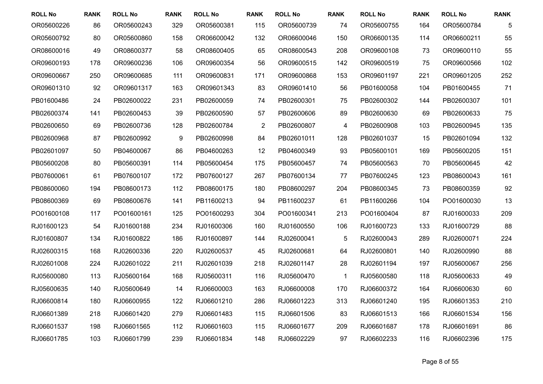| <b>ROLL No</b> | <b>RANK</b> | <b>ROLL No</b> | <b>RANK</b> | <b>ROLL No</b> | <b>RANK</b>    | <b>ROLL No</b> | <b>RANK</b> | <b>ROLL No</b> | <b>RANK</b> | <b>ROLL No</b> | <b>RANK</b> |
|----------------|-------------|----------------|-------------|----------------|----------------|----------------|-------------|----------------|-------------|----------------|-------------|
| OR05600226     | 86          | OR05600243     | 329         | OR05600381     | 115            | OR05600739     | 74          | OR05600755     | 164         | OR05600784     | 5           |
| OR05600792     | 80          | OR05600860     | 158         | OR06600042     | 132            | OR06600046     | 150         | OR06600135     | 114         | OR06600211     | 55          |
| OR08600016     | 49          | OR08600377     | 58          | OR08600405     | 65             | OR08600543     | 208         | OR09600108     | 73          | OR09600110     | 55          |
| OR09600193     | 178         | OR09600236     | 106         | OR09600354     | 56             | OR09600515     | 142         | OR09600519     | 75          | OR09600566     | 102         |
| OR09600667     | 250         | OR09600685     | 111         | OR09600831     | 171            | OR09600868     | 153         | OR09601197     | 221         | OR09601205     | 252         |
| OR09601310     | 92          | OR09601317     | 163         | OR09601343     | 83             | OR09601410     | 56          | PB01600058     | 104         | PB01600455     | 71          |
| PB01600486     | 24          | PB02600022     | 231         | PB02600059     | 74             | PB02600301     | 75          | PB02600302     | 144         | PB02600307     | 101         |
| PB02600374     | 141         | PB02600453     | 39          | PB02600590     | 57             | PB02600606     | 89          | PB02600630     | 69          | PB02600633     | 75          |
| PB02600650     | 69          | PB02600736     | 128         | PB02600784     | $\overline{2}$ | PB02600807     | 4           | PB02600908     | 103         | PB02600945     | 135         |
| PB02600968     | 87          | PB02600992     | 9           | PB02600998     | 84             | PB02601011     | 128         | PB02601037     | 15          | PB02601094     | 132         |
| PB02601097     | 50          | PB04600067     | 86          | PB04600263     | 12             | PB04600349     | 93          | PB05600101     | 169         | PB05600205     | 151         |
| PB05600208     | 80          | PB05600391     | 114         | PB05600454     | 175            | PB05600457     | 74          | PB05600563     | 70          | PB05600645     | 42          |
| PB07600061     | 61          | PB07600107     | 172         | PB07600127     | 267            | PB07600134     | 77          | PB07600245     | 123         | PB08600043     | 161         |
| PB08600060     | 194         | PB08600173     | 112         | PB08600175     | 180            | PB08600297     | 204         | PB08600345     | 73          | PB08600359     | 92          |
| PB08600369     | 69          | PB08600676     | 141         | PB11600213     | 94             | PB11600237     | 61          | PB11600266     | 104         | PO01600030     | 13          |
| PO01600108     | 117         | PO01600161     | 125         | PO01600293     | 304            | PO01600341     | 213         | PO01600404     | 87          | RJ01600033     | 209         |
| RJ01600123     | 54          | RJ01600188     | 234         | RJ01600306     | 160            | RJ01600550     | 106         | RJ01600723     | 133         | RJ01600729     | 88          |
| RJ01600807     | 134         | RJ01600822     | 186         | RJ01600897     | 144            | RJ02600041     | 5           | RJ02600043     | 289         | RJ02600071     | 224         |
| RJ02600315     | 168         | RJ02600336     | 220         | RJ02600537     | 45             | RJ02600681     | 64          | RJ02600801     | 140         | RJ02600990     | 88          |
| RJ02601008     | 224         | RJ02601022     | 211         | RJ02601039     | 218            | RJ02601147     | 28          | RJ02601194     | 197         | RJ05600067     | 256         |
| RJ05600080     | 113         | RJ05600164     | 168         | RJ05600311     | 116            | RJ05600470     | $\mathbf 1$ | RJ05600580     | 118         | RJ05600633     | 49          |
| RJ05600635     | 140         | RJ05600649     | 14          | RJ06600003     | 163            | RJ06600008     | 170         | RJ06600372     | 164         | RJ06600630     | 60          |
| RJ06600814     | 180         | RJ06600955     | 122         | RJ06601210     | 286            | RJ06601223     | 313         | RJ06601240     | 195         | RJ06601353     | 210         |
| RJ06601389     | 218         | RJ06601420     | 279         | RJ06601483     | 115            | RJ06601506     | 83          | RJ06601513     | 166         | RJ06601534     | 156         |
| RJ06601537     | 198         | RJ06601565     | 112         | RJ06601603     | 115            | RJ06601677     | 209         | RJ06601687     | 178         | RJ06601691     | 86          |
| RJ06601785     | 103         | RJ06601799     | 239         | RJ06601834     | 148            | RJ06602229     | 97          | RJ06602233     | 116         | RJ06602396     | 175         |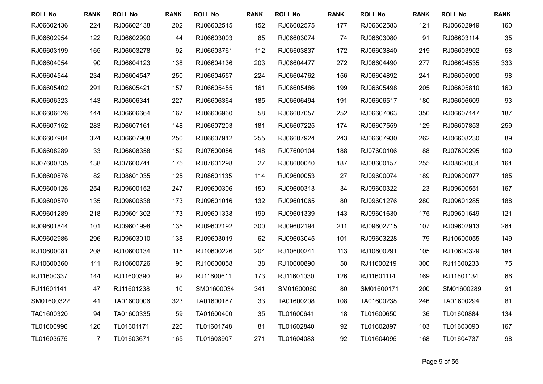| <b>ROLL No</b> | <b>RANK</b>    | <b>ROLL No</b> | <b>RANK</b> | <b>ROLL No</b> | <b>RANK</b> | <b>ROLL No</b> | <b>RANK</b> | <b>ROLL No</b> | <b>RANK</b> | <b>ROLL No</b> | <b>RANK</b> |
|----------------|----------------|----------------|-------------|----------------|-------------|----------------|-------------|----------------|-------------|----------------|-------------|
| RJ06602436     | 224            | RJ06602438     | 202         | RJ06602515     | 152         | RJ06602575     | 177         | RJ06602583     | 121         | RJ06602949     | 160         |
| RJ06602954     | 122            | RJ06602990     | 44          | RJ06603003     | 85          | RJ06603074     | 74          | RJ06603080     | 91          | RJ06603114     | 35          |
| RJ06603199     | 165            | RJ06603278     | 92          | RJ06603761     | 112         | RJ06603837     | 172         | RJ06603840     | 219         | RJ06603902     | 58          |
| RJ06604054     | 90             | RJ06604123     | 138         | RJ06604136     | 203         | RJ06604477     | 272         | RJ06604490     | 277         | RJ06604535     | 333         |
| RJ06604544     | 234            | RJ06604547     | 250         | RJ06604557     | 224         | RJ06604762     | 156         | RJ06604892     | 241         | RJ06605090     | 98          |
| RJ06605402     | 291            | RJ06605421     | 157         | RJ06605455     | 161         | RJ06605486     | 199         | RJ06605498     | 205         | RJ06605810     | 160         |
| RJ06606323     | 143            | RJ06606341     | 227         | RJ06606364     | 185         | RJ06606494     | 191         | RJ06606517     | 180         | RJ06606609     | 93          |
| RJ06606626     | 144            | RJ06606664     | 167         | RJ06606960     | 58          | RJ06607057     | 252         | RJ06607063     | 350         | RJ06607147     | 187         |
| RJ06607152     | 283            | RJ06607161     | 148         | RJ06607203     | 181         | RJ06607225     | 174         | RJ06607559     | 129         | RJ06607853     | 259         |
| RJ06607904     | 324            | RJ06607908     | 250         | RJ06607912     | 255         | RJ06607924     | 243         | RJ06607930     | 262         | RJ06608230     | 89          |
| RJ06608289     | 33             | RJ06608358     | 152         | RJ07600086     | 148         | RJ07600104     | 188         | RJ07600106     | 88          | RJ07600295     | 109         |
| RJ07600335     | 138            | RJ07600741     | 175         | RJ07601298     | 27          | RJ08600040     | 187         | RJ08600157     | 255         | RJ08600831     | 164         |
| RJ08600876     | 82             | RJ08601035     | 125         | RJ08601135     | 114         | RJ09600053     | 27          | RJ09600074     | 189         | RJ09600077     | 185         |
| RJ09600126     | 254            | RJ09600152     | 247         | RJ09600306     | 150         | RJ09600313     | 34          | RJ09600322     | 23          | RJ09600551     | 167         |
| RJ09600570     | 135            | RJ09600638     | 173         | RJ09601016     | 132         | RJ09601065     | 80          | RJ09601276     | 280         | RJ09601285     | 188         |
| RJ09601289     | 218            | RJ09601302     | 173         | RJ09601338     | 199         | RJ09601339     | 143         | RJ09601630     | 175         | RJ09601649     | 121         |
| RJ09601844     | 101            | RJ09601998     | 135         | RJ09602192     | 300         | RJ09602194     | 211         | RJ09602715     | 107         | RJ09602913     | 264         |
| RJ09602986     | 296            | RJ09603010     | 138         | RJ09603019     | 62          | RJ09603045     | 101         | RJ09603228     | 79          | RJ10600055     | 149         |
| RJ10600081     | 208            | RJ10600134     | 115         | RJ10600226     | 204         | RJ10600241     | 113         | RJ10600291     | 105         | RJ10600329     | 184         |
| RJ10600360     | 111            | RJ10600726     | 90          | RJ10600858     | 38          | RJ10600890     | 50          | RJ11600219     | 300         | RJ11600233     | 75          |
| RJ11600337     | 144            | RJ11600390     | 92          | RJ11600611     | 173         | RJ11601030     | 126         | RJ11601114     | 169         | RJ11601134     | 66          |
| RJ11601141     | 47             | RJ11601238     | 10          | SM01600034     | 341         | SM01600060     | 80          | SM01600171     | 200         | SM01600289     | 91          |
| SM01600322     | 41             | TA01600006     | 323         | TA01600187     | 33          | TA01600208     | 108         | TA01600238     | 246         | TA01600294     | 81          |
| TA01600320     | 94             | TA01600335     | 59          | TA01600400     | 35          | TL01600641     | 18          | TL01600650     | 36          | TL01600884     | 134         |
| TL01600996     | 120            | TL01601171     | 220         | TL01601748     | 81          | TL01602840     | 92          | TL01602897     | 103         | TL01603090     | 167         |
| TL01603575     | $\overline{7}$ | TL01603671     | 165         | TL01603907     | 271         | TL01604083     | 92          | TL01604095     | 168         | TL01604737     | 98          |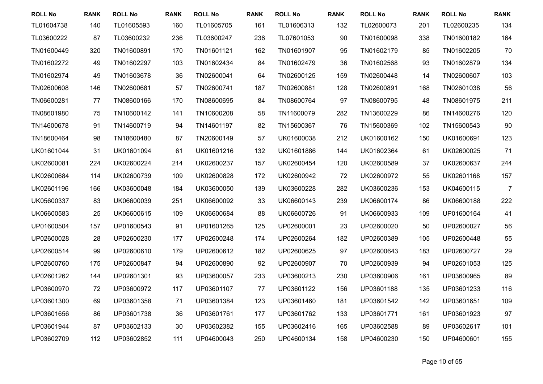| <b>ROLL No</b> | <b>RANK</b> | <b>ROLL No</b> | <b>RANK</b> | <b>ROLL No</b> | <b>RANK</b> | <b>ROLL No</b> | <b>RANK</b> | <b>ROLL No</b> | <b>RANK</b> | <b>ROLL No</b> | <b>RANK</b>    |
|----------------|-------------|----------------|-------------|----------------|-------------|----------------|-------------|----------------|-------------|----------------|----------------|
| TL01604738     | 140         | TL01605593     | 160         | TL01605705     | 161         | TL01606313     | 132         | TL02600073     | 201         | TL02600235     | 134            |
| TL03600222     | 87          | TL03600232     | 236         | TL03600247     | 236         | TL07601053     | 90          | TN01600098     | 338         | TN01600182     | 164            |
| TN01600449     | 320         | TN01600891     | 170         | TN01601121     | 162         | TN01601907     | 95          | TN01602179     | 85          | TN01602205     | 70             |
| TN01602272     | 49          | TN01602297     | 103         | TN01602434     | 84          | TN01602479     | 36          | TN01602568     | 93          | TN01602879     | 134            |
| TN01602974     | 49          | TN01603678     | 36          | TN02600041     | 64          | TN02600125     | 159         | TN02600448     | 14          | TN02600607     | 103            |
| TN02600608     | 146         | TN02600681     | 57          | TN02600741     | 187         | TN02600881     | 128         | TN02600891     | 168         | TN02601038     | 56             |
| TN06600281     | 77          | TN08600166     | 170         | TN08600695     | 84          | TN08600764     | 97          | TN08600795     | 48          | TN08601975     | 211            |
| TN08601980     | 75          | TN10600142     | 141         | TN10600208     | 58          | TN11600079     | 282         | TN13600229     | 86          | TN14600276     | 120            |
| TN14600678     | 91          | TN14600719     | 94          | TN14601197     | 82          | TN15600367     | 76          | TN15600369     | 102         | TN15600543     | 90             |
| TN18600464     | 98          | TN18600480     | 87          | TN20600149     | 57          | UK01600038     | 212         | UK01600162     | 150         | UK01600691     | 123            |
| UK01601044     | 31          | UK01601094     | 61          | UK01601216     | 132         | UK01601886     | 144         | UK01602364     | 61          | UK02600025     | 71             |
| UK02600081     | 224         | UK02600224     | 214         | UK02600237     | 157         | UK02600454     | 120         | UK02600589     | 37          | UK02600637     | 244            |
| UK02600684     | 114         | UK02600739     | 109         | UK02600828     | 172         | UK02600942     | 72          | UK02600972     | 55          | UK02601168     | 157            |
| UK02601196     | 166         | UK03600048     | 184         | UK03600050     | 139         | UK03600228     | 282         | UK03600236     | 153         | UK04600115     | $\overline{7}$ |
| UK05600337     | 83          | UK06600039     | 251         | UK06600092     | 33          | UK06600143     | 239         | UK06600174     | 86          | UK06600188     | 222            |
| UK06600583     | 25          | UK06600615     | 109         | UK06600684     | 88          | UK06600726     | 91          | UK06600933     | 109         | UP01600164     | 41             |
| UP01600504     | 157         | UP01600543     | 91          | UP01601265     | 125         | UP02600001     | 23          | UP02600020     | 50          | UP02600027     | 56             |
| UP02600028     | 28          | UP02600230     | 177         | UP02600248     | 174         | UP02600264     | 182         | UP02600389     | 105         | UP02600448     | 55             |
| UP02600514     | 99          | UP02600610     | 179         | UP02600612     | 182         | UP02600625     | 97          | UP02600643     | 183         | UP02600727     | 29             |
| UP02600760     | 175         | UP02600847     | 94          | UP02600890     | 92          | UP02600907     | 70          | UP02600939     | 94          | UP02601053     | 125            |
| UP02601262     | 144         | UP02601301     | 93          | UP03600057     | 233         | UP03600213     | 230         | UP03600906     | 161         | UP03600965     | 89             |
| UP03600970     | 72          | UP03600972     | 117         | UP03601107     | 77          | UP03601122     | 156         | UP03601188     | 135         | UP03601233     | 116            |
| UP03601300     | 69          | UP03601358     | 71          | UP03601384     | 123         | UP03601460     | 181         | UP03601542     | 142         | UP03601651     | 109            |
| UP03601656     | 86          | UP03601738     | 36          | UP03601761     | 177         | UP03601762     | 133         | UP03601771     | 161         | UP03601923     | 97             |
| UP03601944     | 87          | UP03602133     | 30          | UP03602382     | 155         | UP03602416     | 165         | UP03602588     | 89          | UP03602617     | 101            |
| UP03602709     | 112         | UP03602852     | 111         | UP04600043     | 250         | UP04600134     | 158         | UP04600230     | 150         | UP04600601     | 155            |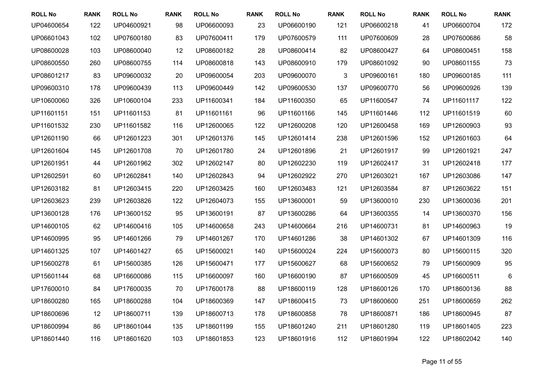| <b>ROLL No</b> | <b>RANK</b> | <b>ROLL No</b> | <b>RANK</b> | <b>ROLL No</b> | <b>RANK</b> | <b>ROLL No</b> | <b>RANK</b> | <b>ROLL No</b> | <b>RANK</b> | <b>ROLL No</b> | <b>RANK</b> |
|----------------|-------------|----------------|-------------|----------------|-------------|----------------|-------------|----------------|-------------|----------------|-------------|
| UP04600654     | 122         | UP04600921     | 98          | UP06600093     | 23          | UP06600190     | 121         | UP06600218     | 41          | UP06600704     | 172         |
| UP06601043     | 102         | UP07600180     | 83          | UP07600411     | 179         | UP07600579     | 111         | UP07600609     | 28          | UP07600686     | 58          |
| UP08600028     | 103         | UP08600040     | 12          | UP08600182     | 28          | UP08600414     | 82          | UP08600427     | 64          | UP08600451     | 158         |
| UP08600550     | 260         | UP08600755     | 114         | UP08600818     | 143         | UP08600910     | 179         | UP08601092     | 90          | UP08601155     | 73          |
| UP08601217     | 83          | UP09600032     | 20          | UP09600054     | 203         | UP09600070     | 3           | UP09600161     | 180         | UP09600185     | 111         |
| UP09600310     | 178         | UP09600439     | 113         | UP09600449     | 142         | UP09600530     | 137         | UP09600770     | 56          | UP09600926     | 139         |
| UP10600060     | 326         | UP10600104     | 233         | UP11600341     | 184         | UP11600350     | 65          | UP11600547     | 74          | UP11601117     | 122         |
| UP11601151     | 151         | UP11601153     | 81          | UP11601161     | 96          | UP11601166     | 145         | UP11601446     | 112         | UP11601519     | 60          |
| UP11601532     | 230         | UP11601582     | 116         | UP12600065     | 122         | UP12600208     | 120         | UP12600458     | 169         | UP12600903     | 93          |
| UP12601190     | 66          | UP12601223     | 301         | UP12601376     | 145         | UP12601414     | 238         | UP12601596     | 152         | UP12601603     | 64          |
| UP12601604     | 145         | UP12601708     | 70          | UP12601780     | 24          | UP12601896     | 21          | UP12601917     | 99          | UP12601921     | 247         |
| UP12601951     | 44          | UP12601962     | 302         | UP12602147     | 80          | UP12602230     | 119         | UP12602417     | 31          | UP12602418     | 177         |
| UP12602591     | 60          | UP12602841     | 140         | UP12602843     | 94          | UP12602922     | 270         | UP12603021     | 167         | UP12603086     | 147         |
| UP12603182     | 81          | UP12603415     | 220         | UP12603425     | 160         | UP12603483     | 121         | UP12603584     | 87          | UP12603622     | 151         |
| UP12603623     | 239         | UP12603826     | 122         | UP12604073     | 155         | UP13600001     | 59          | UP13600010     | 230         | UP13600036     | 201         |
| UP13600128     | 176         | UP13600152     | 95          | UP13600191     | 87          | UP13600286     | 64          | UP13600355     | 14          | UP13600370     | 156         |
| UP14600105     | 62          | UP14600416     | 105         | UP14600658     | 243         | UP14600664     | 216         | UP14600731     | 81          | UP14600963     | 19          |
| UP14600995     | 95          | UP14601266     | 79          | UP14601267     | 170         | UP14601286     | 38          | UP14601302     | 67          | UP14601309     | 116         |
| UP14601325     | 107         | UP14601427     | 65          | UP15600021     | 140         | UP15600024     | 224         | UP15600073     | 80          | UP15600115     | 320         |
| UP15600278     | 61          | UP15600385     | 126         | UP15600471     | 177         | UP15600627     | 68          | UP15600652     | 79          | UP15600909     | 95          |
| UP15601144     | 68          | UP16600086     | 115         | UP16600097     | 160         | UP16600190     | 87          | UP16600509     | 45          | UP16600511     | 6           |
| UP17600010     | 84          | UP17600035     | 70          | UP17600178     | 88          | UP18600119     | 128         | UP18600126     | 170         | UP18600136     | 88          |
| UP18600280     | 165         | UP18600288     | 104         | UP18600369     | 147         | UP18600415     | 73          | UP18600600     | 251         | UP18600659     | 262         |
| UP18600696     | 12          | UP18600711     | 139         | UP18600713     | 178         | UP18600858     | 78          | UP18600871     | 186         | UP18600945     | 87          |
| UP18600994     | 86          | UP18601044     | 135         | UP18601199     | 155         | UP18601240     | 211         | UP18601280     | 119         | UP18601405     | 223         |
| UP18601440     | 116         | UP18601620     | 103         | UP18601853     | 123         | UP18601916     | 112         | UP18601994     | 122         | UP18602042     | 140         |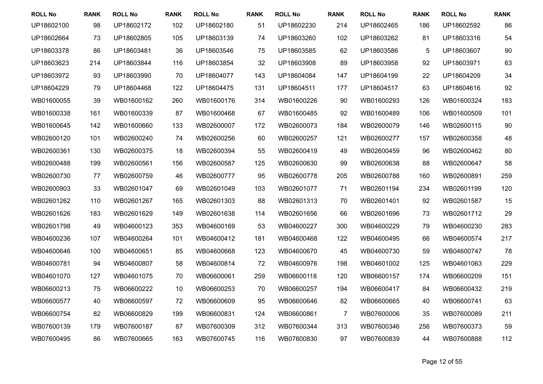| <b>ROLL No</b> | <b>RANK</b> | <b>ROLL No</b> | <b>RANK</b> | <b>ROLL No</b> | <b>RANK</b> | <b>ROLL No</b> | <b>RANK</b> | <b>ROLL No</b> | <b>RANK</b>    | <b>ROLL No</b> | <b>RANK</b> |
|----------------|-------------|----------------|-------------|----------------|-------------|----------------|-------------|----------------|----------------|----------------|-------------|
| UP18602100     | 98          | UP18602172     | 102         | UP18602180     | 51          | UP18602230     | 214         | UP18602465     | 186            | UP18602592     | 86          |
| UP18602664     | 73          | UP18602805     | 105         | UP18603139     | 74          | UP18603260     | 102         | UP18603262     | 81             | UP18603316     | 54          |
| UP18603378     | 86          | UP18603481     | 36          | UP18603546     | 75          | UP18603585     | 62          | UP18603586     | $\overline{5}$ | UP18603607     | 90          |
| UP18603623     | 214         | UP18603844     | 116         | UP18603854     | 32          | UP18603908     | 89          | UP18603958     | 92             | UP18603971     | 63          |
| UP18603972     | 93          | UP18603990     | 70          | UP18604077     | 143         | UP18604084     | 147         | UP18604199     | 22             | UP18604209     | 34          |
| UP18604229     | 79          | UP18604468     | 122         | UP18604475     | 131         | UP18604511     | 177         | UP18604517     | 63             | UP18604616     | 92          |
| WB01600055     | 39          | WB01600162     | 260         | WB01600176     | 314         | WB01600226     | 90          | WB01600293     | 126            | WB01600324     | 183         |
| WB01600338     | 161         | WB01600339     | 87          | WB01600468     | 67          | WB01600485     | 92          | WB01600489     | 106            | WB01600509     | 101         |
| WB01600645     | 142         | WB01600660     | 133         | WB02600007     | 172         | WB02600073     | 184         | WB02600079     | 146            | WB02600115     | 90          |
| WB02600120     | 101         | WB02600240     | 74          | WB02600256     | 60          | WB02600257     | 121         | WB02600277     | 157            | WB02600358     | 48          |
| WB02600361     | 130         | WB02600375     | 18          | WB02600394     | 55          | WB02600419     | 49          | WB02600459     | 96             | WB02600462     | 80          |
| WB02600488     | 199         | WB02600561     | 156         | WB02600587     | 125         | WB02600630     | 99          | WB02600638     | 88             | WB02600647     | 58          |
| WB02600730     | 77          | WB02600759     | 46          | WB02600777     | 95          | WB02600778     | 205         | WB02600788     | 160            | WB02600891     | 259         |
| WB02600903     | 33          | WB02601047     | 69          | WB02601049     | 103         | WB02601077     | 71          | WB02601194     | 234            | WB02601199     | 120         |
| WB02601262     | 110         | WB02601267     | 165         | WB02601303     | 88          | WB02601313     | 70          | WB02601401     | 92             | WB02601587     | 15          |
| WB02601626     | 183         | WB02601629     | 149         | WB02601638     | 114         | WB02601656     | 66          | WB02601696     | 73             | WB02601712     | 29          |
| WB02601798     | 49          | WB04600123     | 353         | WB04600169     | 53          | WB04600227     | 300         | WB04600229     | 79             | WB04600230     | 283         |
| WB04600236     | 107         | WB04600264     | 101         | WB04600412     | 181         | WB04600468     | 122         | WB04600495     | 66             | WB04600574     | 217         |
| WB04600646     | 100         | WB04600651     | 85          | WB04600668     | 123         | WB04600670     | 45          | WB04600730     | 59             | WB04600747     | 78          |
| WB04600781     | 94          | WB04600807     | 58          | WB04600814     | 72          | WB04600976     | 198         | WB04601002     | 125            | WB04601063     | 229         |
| WB04601070     | 127         | WB04601075     | 70          | WB06600061     | 259         | WB06600118     | 120         | WB06600157     | 174            | WB06600209     | 151         |
| WB06600213     | 75          | WB06600222     | 10          | WB06600253     | 70          | WB06600257     | 194         | WB06600417     | 84             | WB06600432     | 219         |
| WB06600577     | 40          | WB06600597     | 72          | WB06600609     | 95          | WB06600646     | 82          | WB06600665     | 40             | WB06600741     | 63          |
| WB06600754     | 82          | WB06600829     | 199         | WB06600831     | 124         | WB06600861     | 7           | WB07600006     | 35             | WB07600089     | 211         |
| WB07600139     | 179         | WB07600187     | 87          | WB07600309     | 312         | WB07600344     | 313         | WB07600346     | 256            | WB07600373     | 59          |
| WB07600495     | 86          | WB07600665     | 163         | WB07600745     | 116         | WB07600830     | 97          | WB07600839     | 44             | WB07600888     | 112         |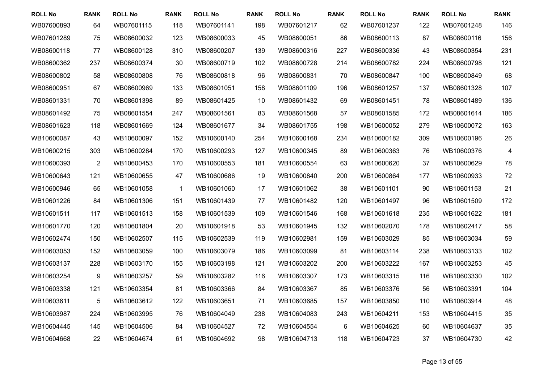| <b>ROLL No</b> | <b>RANK</b>    | <b>ROLL No</b> | <b>RANK</b>  | <b>ROLL No</b> | <b>RANK</b> | <b>ROLL No</b> | <b>RANK</b>     | <b>ROLL No</b> | <b>RANK</b> | <b>ROLL No</b> | <b>RANK</b>             |
|----------------|----------------|----------------|--------------|----------------|-------------|----------------|-----------------|----------------|-------------|----------------|-------------------------|
| WB07600893     | 64             | WB07601115     | 118          | WB07601141     | 198         | WB07601217     | 62              | WB07601237     | 122         | WB07601248     | 146                     |
| WB07601289     | 75             | WB08600032     | 123          | WB08600033     | 45          | WB08600051     | 86              | WB08600113     | 87          | WB08600116     | 156                     |
| WB08600118     | 77             | WB08600128     | 310          | WB08600207     | 139         | WB08600316     | 227             | WB08600336     | 43          | WB08600354     | 231                     |
| WB08600362     | 237            | WB08600374     | 30           | WB08600719     | 102         | WB08600728     | 214             | WB08600782     | 224         | WB08600798     | 121                     |
| WB08600802     | 58             | WB08600808     | 76           | WB08600818     | 96          | WB08600831     | 70              | WB08600847     | 100         | WB08600849     | 68                      |
| WB08600951     | 67             | WB08600969     | 133          | WB08601051     | 158         | WB08601109     | 196             | WB08601257     | 137         | WB08601328     | 107                     |
| WB08601331     | 70             | WB08601398     | 89           | WB08601425     | 10          | WB08601432     | 69              | WB08601451     | 78          | WB08601489     | 136                     |
| WB08601492     | 75             | WB08601554     | 247          | WB08601561     | 83          | WB08601568     | 57              | WB08601585     | 172         | WB08601614     | 186                     |
| WB08601623     | 118            | WB08601669     | 124          | WB08601677     | 34          | WB08601755     | 198             | WB10600052     | 279         | WB10600072     | 163                     |
| WB10600087     | 43             | WB10600097     | 152          | WB10600140     | 254         | WB10600168     | 234             | WB10600182     | 309         | WB10600196     | 26                      |
| WB10600215     | 303            | WB10600284     | 170          | WB10600293     | 127         | WB10600345     | 89              | WB10600363     | 76          | WB10600376     | $\overline{\mathbf{4}}$ |
| WB10600393     | $\overline{2}$ | WB10600453     | 170          | WB10600553     | 181         | WB10600554     | 63              | WB10600620     | 37          | WB10600629     | 78                      |
| WB10600643     | 121            | WB10600655     | 47           | WB10600686     | 19          | WB10600840     | 200             | WB10600864     | 177         | WB10600933     | 72                      |
| WB10600946     | 65             | WB10601058     | $\mathbf{1}$ | WB10601060     | 17          | WB10601062     | 38              | WB10601101     | 90          | WB10601153     | 21                      |
| WB10601226     | 84             | WB10601306     | 151          | WB10601439     | 77          | WB10601482     | 120             | WB10601497     | 96          | WB10601509     | 172                     |
| WB10601511     | 117            | WB10601513     | 158          | WB10601539     | 109         | WB10601546     | 168             | WB10601618     | 235         | WB10601622     | 181                     |
| WB10601770     | 120            | WB10601804     | 20           | WB10601918     | 53          | WB10601945     | 132             | WB10602070     | 178         | WB10602417     | 58                      |
| WB10602474     | 150            | WB10602507     | 115          | WB10602539     | 119         | WB10602981     | 159             | WB10603029     | 85          | WB10603034     | 59                      |
| WB10603053     | 152            | WB10603059     | 100          | WB10603079     | 186         | WB10603099     | 81              | WB10603114     | 238         | WB10603133     | 102                     |
| WB10603137     | 228            | WB10603170     | 155          | WB10603198     | 121         | WB10603202     | 200             | WB10603222     | 167         | WB10603253     | 45                      |
| WB10603254     | 9              | WB10603257     | 59           | WB10603282     | 116         | WB10603307     | 173             | WB10603315     | 116         | WB10603330     | 102                     |
| WB10603338     | 121            | WB10603354     | 81           | WB10603366     | 84          | WB10603367     | 85              | WB10603376     | 56          | WB10603391     | 104                     |
| WB10603611     | 5              | WB10603612     | 122          | WB10603651     | 71          | WB10603685     | 157             | WB10603850     | 110         | WB10603914     | 48                      |
| WB10603987     | 224            | WB10603995     | 76           | WB10604049     | 238         | WB10604083     | 243             | WB10604211     | 153         | WB10604415     | 35                      |
| WB10604445     | 145            | WB10604506     | 84           | WB10604527     | 72          | WB10604554     | $6\phantom{1}6$ | WB10604625     | 60          | WB10604637     | 35                      |
| WB10604668     | 22             | WB10604674     | 61           | WB10604692     | 98          | WB10604713     | 118             | WB10604723     | 37          | WB10604730     | 42                      |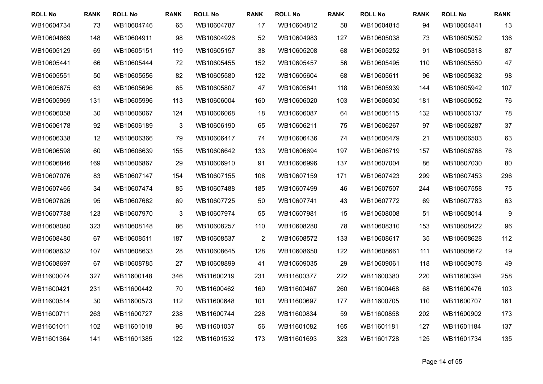| <b>ROLL No</b> | <b>RANK</b> | <b>ROLL No</b> | <b>RANK</b> | <b>ROLL No</b> | <b>RANK</b>    | <b>ROLL No</b> | <b>RANK</b> | <b>ROLL No</b> | <b>RANK</b> | <b>ROLL No</b> | <b>RANK</b>      |
|----------------|-------------|----------------|-------------|----------------|----------------|----------------|-------------|----------------|-------------|----------------|------------------|
| WB10604734     | 73          | WB10604746     | 65          | WB10604787     | 17             | WB10604812     | 58          | WB10604815     | 94          | WB10604841     | 13               |
| WB10604869     | 148         | WB10604911     | 98          | WB10604926     | 52             | WB10604983     | 127         | WB10605038     | 73          | WB10605052     | 136              |
| WB10605129     | 69          | WB10605151     | 119         | WB10605157     | 38             | WB10605208     | 68          | WB10605252     | 91          | WB10605318     | 87               |
| WB10605441     | 66          | WB10605444     | 72          | WB10605455     | 152            | WB10605457     | 56          | WB10605495     | 110         | WB10605550     | 47               |
| WB10605551     | 50          | WB10605556     | 82          | WB10605580     | 122            | WB10605604     | 68          | WB10605611     | 96          | WB10605632     | 98               |
| WB10605675     | 63          | WB10605696     | 65          | WB10605807     | 47             | WB10605841     | 118         | WB10605939     | 144         | WB10605942     | 107              |
| WB10605969     | 131         | WB10605996     | 113         | WB10606004     | 160            | WB10606020     | 103         | WB10606030     | 181         | WB10606052     | 76               |
| WB10606058     | 30          | WB10606067     | 124         | WB10606068     | 18             | WB10606087     | 64          | WB10606115     | 132         | WB10606137     | 78               |
| WB10606178     | 92          | WB10606189     | 3           | WB10606190     | 65             | WB10606211     | 75          | WB10606267     | 97          | WB10606287     | 37               |
| WB10606338     | 12          | WB10606366     | 79          | WB10606417     | 74             | WB10606436     | 74          | WB10606479     | 21          | WB10606503     | 63               |
| WB10606598     | 60          | WB10606639     | 155         | WB10606642     | 133            | WB10606694     | 197         | WB10606719     | 157         | WB10606768     | 76               |
| WB10606846     | 169         | WB10606867     | 29          | WB10606910     | 91             | WB10606996     | 137         | WB10607004     | 86          | WB10607030     | 80               |
| WB10607076     | 83          | WB10607147     | 154         | WB10607155     | 108            | WB10607159     | 171         | WB10607423     | 299         | WB10607453     | 296              |
| WB10607465     | 34          | WB10607474     | 85          | WB10607488     | 185            | WB10607499     | 46          | WB10607507     | 244         | WB10607558     | 75               |
| WB10607626     | 95          | WB10607682     | 69          | WB10607725     | 50             | WB10607741     | 43          | WB10607772     | 69          | WB10607783     | 63               |
| WB10607788     | 123         | WB10607970     | 3           | WB10607974     | 55             | WB10607981     | 15          | WB10608008     | 51          | WB10608014     | $\boldsymbol{9}$ |
| WB10608080     | 323         | WB10608148     | 86          | WB10608257     | 110            | WB10608280     | 78          | WB10608310     | 153         | WB10608422     | 96               |
| WB10608480     | 67          | WB10608511     | 187         | WB10608537     | $\overline{2}$ | WB10608572     | 133         | WB10608617     | 35          | WB10608628     | 112              |
| WB10608632     | 107         | WB10608633     | 28          | WB10608645     | 128            | WB10608650     | 122         | WB10608661     | 111         | WB10608672     | 19               |
| WB10608697     | 67          | WB10608785     | 27          | WB10608899     | 41             | WB10609035     | 29          | WB10609061     | 118         | WB10609078     | 49               |
| WB11600074     | 327         | WB11600148     | 346         | WB11600219     | 231            | WB11600377     | 222         | WB11600380     | 220         | WB11600394     | 258              |
| WB11600421     | 231         | WB11600442     | 70          | WB11600462     | 160            | WB11600467     | 260         | WB11600468     | 68          | WB11600476     | 103              |
| WB11600514     | 30          | WB11600573     | 112         | WB11600648     | 101            | WB11600697     | 177         | WB11600705     | 110         | WB11600707     | 161              |
| WB11600711     | 263         | WB11600727     | 238         | WB11600744     | 228            | WB11600834     | 59          | WB11600858     | 202         | WB11600902     | 173              |
| WB11601011     | 102         | WB11601018     | 96          | WB11601037     | 56             | WB11601082     | 165         | WB11601181     | 127         | WB11601184     | 137              |
| WB11601364     | 141         | WB11601385     | 122         | WB11601532     | 173            | WB11601693     | 323         | WB11601728     | 125         | WB11601734     | 135              |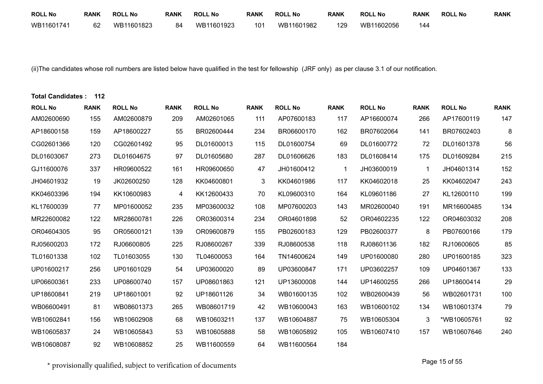| <b>ROLL No</b> | <b>RANK</b> | <b>ROLL No</b> | <b>RANK</b> | <b>ROLL No</b> | <b>RANK</b> | <b>ROLL No</b> | <b>RANK</b> | <b>ROLL No</b> | <b>RANK</b> | <b>ROLL No</b> | <b>RANK</b> |
|----------------|-------------|----------------|-------------|----------------|-------------|----------------|-------------|----------------|-------------|----------------|-------------|
| WB11601741     | 62          | WB11601823     | 84          | WB11601923     | 101         | WB11601982     | 129         | WB11602056     | 144         |                |             |

(ii)The candidates whose roll numbers are listed below have qualified in the test for fellowship (JRF only) as per clause 3.1 of our notification.

| <b>Total Candidates:</b> | 112         |                |             |                |              |                |             |                |             |                |             |
|--------------------------|-------------|----------------|-------------|----------------|--------------|----------------|-------------|----------------|-------------|----------------|-------------|
| <b>ROLL No</b>           | <b>RANK</b> | <b>ROLL No</b> | <b>RANK</b> | <b>ROLL No</b> | <b>RANK</b>  | <b>ROLL No</b> | <b>RANK</b> | <b>ROLL No</b> | <b>RANK</b> | <b>ROLL No</b> | <b>RANK</b> |
| AM02600690               | 155         | AM02600879     | 209         | AM02601065     | 111          | AP07600183     | 117         | AP16600074     | 266         | AP17600119     | 147         |
| AP18600158               | 159         | AP18600227     | 55          | BR02600444     | 234          | BR06600170     | 162         | BR07602064     | 141         | BR07602403     | 8           |
| CG02601366               | 120         | CG02601492     | 95          | DL01600013     | 115          | DL01600754     | 69          | DL01600772     | 72          | DL01601378     | 56          |
| DL01603067               | 273         | DL01604675     | 97          | DL01605680     | 287          | DL01606626     | 183         | DL01608414     | 175         | DL01609284     | 215         |
| GJ11600076               | 337         | HR09600522     | 161         | HR09600650     | 47           | JH01600412     |             | JH03600019     | $\mathbf 1$ | JH04601314     | 152         |
| JH04601932               | 19          | JK02600250     | 128         | KK04600801     | $\mathbf{3}$ | KK04601986     | 117         | KK04602018     | 25          | KK04602047     | 243         |
| KK04603396               | 194         | KK10600983     | 4           | KK12600433     | 70           | KL09600310     | 164         | KL09601186     | 27          | KL12600110     | 199         |
| KL17600039               | 77          | MP01600052     | 235         | MP03600032     | 108          | MP07600203     | 143         | MR02600040     | 191         | MR16600485     | 134         |
| MR22600082               | 122         | MR28600781     | 226         | OR03600314     | 234          | OR04601898     | 52          | OR04602235     | 122         | OR04603032     | 208         |
| OR04604305               | 95          | OR05600121     | 139         | OR09600879     | 155          | PB02600183     | 129         | PB02600377     | 8           | PB07600166     | 179         |
| RJ05600203               | 172         | RJ06600805     | 225         | RJ08600267     | 339          | RJ08600538     | 118         | RJ08601136     | 182         | RJ10600605     | 85          |
| TL01601338               | 102         | TL01603055     | 130         | TL04600053     | 164          | TN14600624     | 149         | UP01600080     | 280         | UP01600185     | 323         |
| UP01600217               | 256         | UP01601029     | 54          | UP03600020     | 89           | UP03600847     | 171         | UP03602257     | 109         | UP04601367     | 133         |
| UP06600361               | 233         | UP08600740     | 157         | UP08601863     | 121          | UP13600008     | 144         | UP14600255     | 266         | UP18600414     | 29          |
| UP18600841               | 219         | UP18601001     | 92          | UP18601126     | 34           | WB01600135     | 102         | WB02600439     | 56          | WB02601731     | 100         |
| WB06600491               | 81          | WB08601373     | 265         | WB08601719     | 42           | WB10600043     | 163         | WB10600102     | 134         | WB10601374     | 79          |
| WB10602841               | 156         | WB10602908     | 68          | WB10603211     | 137          | WB10604887     | 75          | WB10605304     | 3           | *WB10605761    | 92          |
| WB10605837               | 24          | WB10605843     | 53          | WB10605888     | 58           | WB10605892     | 105         | WB10607410     | 157         | WB10607646     | 240         |
| WB10608087               | 92          | WB10608852     | 25          | WB11600559     | 64           | WB11600564     | 184         |                |             |                |             |

 $^\star$  provisionally qualified, subject to verification of documents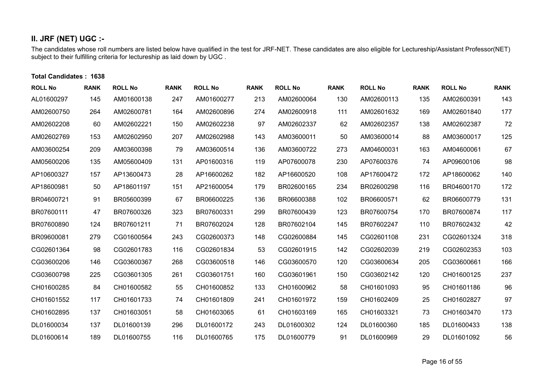## **II. JRF (NET) UGC :-**

The candidates whose roll numbers are listed below have qualified in the test for JRF-NET. These candidates are also eligible for Lectureship/Assistant Professor(NET) subject to their fulfilling criteria for lectureship as laid down by UGC .

#### **Total Candidates : 1638**

| <b>ROLL No</b> | <b>RANK</b> | <b>ROLL No</b> | <b>RANK</b> | <b>ROLL No</b> | <b>RANK</b> | <b>ROLL No</b> | <b>RANK</b> | <b>ROLL No</b> | <b>RANK</b> | <b>ROLL No</b> | <b>RANK</b> |
|----------------|-------------|----------------|-------------|----------------|-------------|----------------|-------------|----------------|-------------|----------------|-------------|
| AL01600297     | 145         | AM01600138     | 247         | AM01600277     | 213         | AM02600064     | 130         | AM02600113     | 135         | AM02600391     | 143         |
| AM02600750     | 264         | AM02600781     | 164         | AM02600896     | 274         | AM02600918     | 111         | AM02601632     | 169         | AM02601840     | 177         |
| AM02602208     | 60          | AM02602221     | 150         | AM02602238     | 97          | AM02602337     | 62          | AM02602357     | 138         | AM02602387     | 72          |
| AM02602769     | 153         | AM02602950     | 207         | AM02602988     | 143         | AM03600011     | 50          | AM03600014     | 88          | AM03600017     | 125         |
| AM03600254     | 209         | AM03600398     | 79          | AM03600514     | 136         | AM03600722     | 273         | AM04600031     | 163         | AM04600061     | 67          |
| AM05600206     | 135         | AM05600409     | 131         | AP01600316     | 119         | AP07600078     | 230         | AP07600376     | 74          | AP09600106     | 98          |
| AP10600327     | 157         | AP13600473     | 28          | AP16600262     | 182         | AP16600520     | 108         | AP17600472     | 172         | AP18600062     | 140         |
| AP18600981     | 50          | AP18601197     | 151         | AP21600054     | 179         | BR02600165     | 234         | BR02600298     | 116         | BR04600170     | 172         |
| BR04600721     | 91          | BR05600399     | 67          | BR06600225     | 136         | BR06600388     | 102         | BR06600571     | 62          | BR06600779     | 131         |
| BR07600111     | 47          | BR07600326     | 323         | BR07600331     | 299         | BR07600439     | 123         | BR07600754     | 170         | BR07600874     | 117         |
| BR07600890     | 124         | BR07601211     | 71          | BR07602024     | 128         | BR07602104     | 145         | BR07602247     | 110         | BR07602432     | 42          |
| BR09600081     | 279         | CG01600564     | 243         | CG02600373     | 148         | CG02600884     | 145         | CG02601108     | 231         | CG02601324     | 318         |
| CG02601364     | 98          | CG02601783     | 116         | CG02601834     | 53          | CG02601915     | 142         | CG02602039     | 219         | CG02602353     | 103         |
| CG03600206     | 146         | CG03600367     | 268         | CG03600518     | 146         | CG03600570     | 120         | CG03600634     | 205         | CG03600661     | 166         |
| CG03600798     | 225         | CG03601305     | 261         | CG03601751     | 160         | CG03601961     | 150         | CG03602142     | 120         | CH01600125     | 237         |
| CH01600285     | 84          | CH01600582     | 55          | CH01600852     | 133         | CH01600962     | 58          | CH01601093     | 95          | CH01601186     | 96          |
| CH01601552     | 117         | CH01601733     | 74          | CH01601809     | 241         | CH01601972     | 159         | CH01602409     | 25          | CH01602827     | 97          |
| CH01602895     | 137         | CH01603051     | 58          | CH01603065     | 61          | CH01603169     | 165         | CH01603321     | 73          | CH01603470     | 173         |
| DL01600034     | 137         | DL01600139     | 296         | DL01600172     | 243         | DL01600302     | 124         | DL01600360     | 185         | DL01600433     | 138         |
| DL01600614     | 189         | DL01600755     | 116         | DL01600765     | 175         | DL01600779     | 91          | DL01600969     | 29          | DL01601092     | 56          |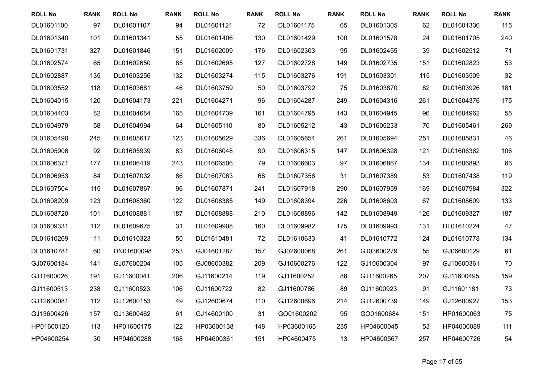| <b>ROLL No</b> | <b>RANK</b> | <b>ROLL No</b> | <b>RANK</b> | <b>ROLL No</b> | <b>RANK</b> | <b>ROLL No</b> | <b>RANK</b> | <b>ROLL No</b> | <b>RANK</b> | <b>ROLL No</b> | <b>RANK</b> |
|----------------|-------------|----------------|-------------|----------------|-------------|----------------|-------------|----------------|-------------|----------------|-------------|
| DL01601100     | 97          | DL01601107     | 94          | DL01601121     | 72          | DL01601175     | 65          | DL01601305     | 62          | DL01601336     | 115         |
| DL01601340     | 101         | DL01601341     | 55          | DL01601406     | 130         | DL01601429     | 100         | DL01601578     | 24          | DL01601705     | 240         |
| DL01601731     | 327         | DL01601846     | 151         | DL01602009     | 176         | DL01602303     | 95          | DL01602455     | 39          | DL01602512     | 71          |
| DL01602574     | 65          | DL01602650     | 85          | DL01602695     | 127         | DL01602728     | 149         | DL01602735     | 151         | DL01602823     | 53          |
| DL01602887     | 135         | DL01603256     | 132         | DL01603274     | 115         | DL01603276     | 191         | DL01603301     | 115         | DL01603509     | 32          |
| DL01603552     | 118         | DL01603681     | 46          | DL01603759     | 50          | DL01603792     | 75          | DL01603870     | 82          | DL01603926     | 181         |
| DL01604015     | 120         | DL01604173     | 221         | DL01604271     | 96          | DL01604287     | 249         | DL01604316     | 261         | DL01604376     | 175         |
| DL01604403     | 82          | DL01604684     | 165         | DL01604739     | 161         | DL01604795     | 143         | DL01604945     | 96          | DL01604962     | 55          |
| DL01604979     | 58          | DL01604994     | 64          | DL01605110     | 80          | DL01605212     | 43          | DL01605233     | 70          | DL01605461     | 269         |
| DL01605490     | 245         | DL01605617     | 123         | DL01605629     | 336         | DL01605654     | 261         | DL01605694     | 251         | DL01605831     | 46          |
| DL01605906     | 92          | DL01605939     | 83          | DL01606048     | 90          | DL01606315     | 147         | DL01606328     | 121         | DL01606362     | 106         |
| DL01606371     | 177         | DL01606419     | 243         | DL01606506     | 79          | DL01606603     | 97          | DL01606867     | 134         | DL01606893     | 66          |
| DL01606953     | 84          | DL01607032     | 86          | DL01607063     | 68          | DL01607356     | 31          | DL01607389     | 53          | DL01607438     | 119         |
| DL01607504     | 115         | DL01607867     | 96          | DL01607871     | 241         | DL01607918     | 290         | DL01607959     | 169         | DL01607984     | 322         |
| DL01608209     | 123         | DL01608360     | 122         | DL01608385     | 149         | DL01608394     | 226         | DL01608603     | 67          | DL01608609     | 133         |
| DL01608720     | 101         | DL01608881     | 187         | DL01608888     | 210         | DL01608896     | 142         | DL01608949     | 126         | DL01609327     | 187         |
| DL01609331     | 112         | DL01609675     | 31          | DL01609908     | 160         | DL01609982     | 175         | DL01609993     | 131         | DL01610224     | 47          |
| DL01610269     | 11          | DL01610323     | 50          | DL01610481     | 72          | DL01610633     | 41          | DL01610772     | 124         | DL01610778     | 134         |
| DL01610781     | 60          | DN01600098     | 253         | GJ01601287     | 157         | GJ02600068     | 261         | GJ03600279     | 55          | GJ06600129     | 61          |
| GJ07600184     | 141         | GJ07600204     | 105         | GJ08600382     | 209         | GJ10600276     | 122         | GJ10600304     | 97          | GJ10600361     | 70          |
| GJ11600026     | 191         | GJ11600041     | 206         | GJ11600214     | 119         | GJ11600252     | 88          | GJ11600265     | 207         | GJ11600495     | 159         |
| GJ11600513     | 238         | GJ11600523     | 106         | GJ11600722     | 82          | GJ11600786     | 89          | GJ11600923     | 91          | GJ11601181     | 73          |
| GJ12600081     | 112         | GJ12600153     | 49          | GJ12600674     | 110         | GJ12600696     | 214         | GJ12600739     | 149         | GJ12600927     | 153         |
| GJ13600426     | 157         | GJ13600462     | 61          | GJ14600100     | 31          | GO01600202     | 95          | GO01600684     | 151         | HP01600063     | 75          |
| HP01600120     | 113         | HP01600175     | 122         | HP03600138     | 148         | HP03600165     | 235         | HP04600045     | 53          | HP04600089     | 111         |
| HP04600254     | 30          | HP04600288     | 168         | HP04600361     | 151         | HP04600475     | 13          | HP04600567     | 257         | HP04600726     | 54          |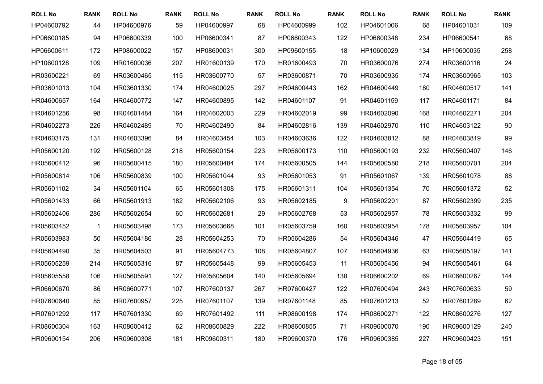| <b>ROLL No</b> | <b>RANK</b> | <b>ROLL No</b> | <b>RANK</b> | <b>ROLL No</b> | <b>RANK</b> | <b>ROLL No</b> | <b>RANK</b> | <b>ROLL No</b> | <b>RANK</b> | <b>ROLL No</b> | <b>RANK</b> |
|----------------|-------------|----------------|-------------|----------------|-------------|----------------|-------------|----------------|-------------|----------------|-------------|
| HP04600792     | 44          | HP04600976     | 59          | HP04600997     | 68          | HP04600999     | 102         | HP04601006     | 68          | HP04601031     | 109         |
| HP06600185     | 94          | HP06600339     | 100         | HP06600341     | 87          | HP06600343     | 122         | HP06600348     | 234         | HP06600541     | 68          |
| HP06600611     | 172         | HP08600022     | 157         | HP08600031     | 300         | HP09600155     | 18          | HP10600029     | 134         | HP10600035     | 258         |
| HP10600128     | 109         | HR01600036     | 207         | HR01600139     | 170         | HR01600493     | 70          | HR03600076     | 274         | HR03600116     | 24          |
| HR03600221     | 69          | HR03600465     | 115         | HR03600770     | 57          | HR03600871     | 70          | HR03600935     | 174         | HR03600965     | 103         |
| HR03601013     | 104         | HR03601330     | 174         | HR04600025     | 297         | HR04600443     | 162         | HR04600449     | 180         | HR04600517     | 141         |
| HR04600657     | 164         | HR04600772     | 147         | HR04600895     | 142         | HR04601107     | 91          | HR04601159     | 117         | HR04601171     | 84          |
| HR04601256     | 98          | HR04601484     | 164         | HR04602003     | 229         | HR04602019     | 99          | HR04602090     | 168         | HR04602271     | 204         |
| HR04602273     | 226         | HR04602489     | 70          | HR04602490     | 84          | HR04602816     | 139         | HR04602970     | 110         | HR04603122     | 90          |
| HR04603175     | 131         | HR04603396     | 84          | HR04603454     | 103         | HR04603636     | 122         | HR04603812     | 88          | HR04603819     | 99          |
| HR05600120     | 192         | HR05600128     | 218         | HR05600154     | 223         | HR05600173     | 110         | HR05600193     | 232         | HR05600407     | 146         |
| HR05600412     | 96          | HR05600415     | 180         | HR05600484     | 174         | HR05600505     | 144         | HR05600580     | 218         | HR05600701     | 204         |
| HR05600814     | 106         | HR05600839     | 100         | HR05601044     | 93          | HR05601053     | 91          | HR05601067     | 139         | HR05601078     | 88          |
| HR05601102     | 34          | HR05601104     | 65          | HR05601308     | 175         | HR05601311     | 104         | HR05601354     | 70          | HR05601372     | 52          |
| HR05601433     | 66          | HR05601913     | 182         | HR05602106     | 93          | HR05602185     | $9\,$       | HR05602201     | 87          | HR05602399     | 235         |
| HR05602406     | 286         | HR05602654     | 60          | HR05602681     | 29          | HR05602768     | 53          | HR05602957     | 78          | HR05603332     | 99          |
| HR05603452     | 1           | HR05603498     | 173         | HR05603668     | 101         | HR05603759     | 160         | HR05603954     | 178         | HR05603957     | 104         |
| HR05603983     | 50          | HR05604186     | 28          | HR05604253     | 70          | HR05604286     | 54          | HR05604346     | 47          | HR05604419     | 65          |
| HR05604490     | 35          | HR05604503     | 91          | HR05604773     | 108         | HR05604807     | 107         | HR05604936     | 63          | HR05605197     | 141         |
| HR05605259     | 214         | HR05605316     | 87          | HR05605448     | 99          | HR05605453     | 11          | HR05605456     | 94          | HR05605461     | 64          |
| HR05605558     | 106         | HR05605591     | 127         | HR05605604     | 140         | HR05605694     | 138         | HR06600202     | 69          | HR06600267     | 144         |
| HR06600670     | 86          | HR06600771     | 107         | HR07600137     | 267         | HR07600427     | 122         | HR07600494     | 243         | HR07600633     | 59          |
| HR07600640     | 85          | HR07600957     | 225         | HR07601107     | 139         | HR07601148     | 85          | HR07601213     | 52          | HR07601289     | 62          |
| HR07601292     | 117         | HR07601330     | 69          | HR07601492     | 111         | HR08600198     | 174         | HR08600271     | 122         | HR08600276     | 127         |
| HR08600304     | 163         | HR08600412     | 62          | HR08600829     | 222         | HR08600855     | 71          | HR09600070     | 190         | HR09600129     | 240         |
| HR09600154     | 206         | HR09600308     | 181         | HR09600311     | 180         | HR09600370     | 176         | HR09600385     | 227         | HR09600423     | 151         |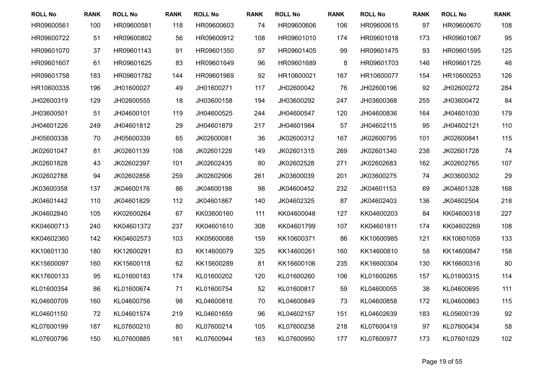| <b>ROLL No</b> | <b>RANK</b> | <b>ROLL No</b> | <b>RANK</b> | <b>ROLL No</b> | <b>RANK</b> | <b>ROLL No</b> | <b>RANK</b> | <b>ROLL No</b> | <b>RANK</b> | <b>ROLL No</b> | <b>RANK</b> |
|----------------|-------------|----------------|-------------|----------------|-------------|----------------|-------------|----------------|-------------|----------------|-------------|
| HR09600561     | 100         | HR09600581     | 118         | HR09600603     | 74          | HR09600606     | 106         | HR09600615     | 97          | HR09600670     | 108         |
| HR09600722     | 51          | HR09600802     | 56          | HR09600912     | 108         | HR09601010     | 174         | HR09601018     | 173         | HR09601067     | 95          |
| HR09601070     | 37          | HR09601143     | 91          | HR09601350     | 97          | HR09601405     | 99          | HR09601475     | 93          | HR09601595     | 125         |
| HR09601607     | 61          | HR09601625     | 83          | HR09601649     | 96          | HR09601689     | 8           | HR09601703     | 146         | HR09601725     | 46          |
| HR09601758     | 183         | HR09601782     | 144         | HR09601969     | 92          | HR10600021     | 167         | HR10600077     | 154         | HR10600253     | 126         |
| HR10600335     | 196         | JH01600027     | 49          | JH01600271     | 117         | JH02600042     | 76          | JH02600196     | 92          | JH02600272     | 284         |
| JH02600319     | 129         | JH02600555     | 18          | JH03600158     | 194         | JH03600292     | 247         | JH03600368     | 255         | JH03600472     | 84          |
| JH03600501     | 51          | JH04600101     | 119         | JH04600525     | 244         | JH04600547     | 120         | JH04600836     | 164         | JH04601030     | 179         |
| JH04601226     | 249         | JH04601812     | 29          | JH04601879     | 217         | JH04601984     | 57          | JH04602115     | 95          | JH04602121     | 110         |
| JH05600338     | 70          | JH05600339     | 65          | JK02600081     | 36          | JK02600312     | 167         | JK02600795     | 101         | JK02600841     | 115         |
| JK02601047     | 81          | JK02601139     | 108         | JK02601228     | 149         | JK02601315     | 269         | JK02601340     | 238         | JK02601728     | 74          |
| JK02601828     | 43          | JK02602397     | 101         | JK02602435     | 80          | JK02602528     | 271         | JK02602683     | 162         | JK02602765     | 107         |
| JK02602788     | 94          | JK02602858     | 259         | JK02602906     | 261         | JK03600039     | 201         | JK03600275     | 74          | JK03600302     | 29          |
| JK03600358     | 137         | JK04600176     | 86          | JK04600198     | 98          | JK04600452     | 232         | JK04601153     | 69          | JK04601328     | 168         |
| JK04601442     | 110         | JK04601829     | 112         | JK04601867     | 140         | JK04602325     | 87          | JK04602403     | 136         | JK04602504     | 218         |
| JK04602840     | 105         | KK02600264     | 67          | KK03600160     | 111         | KK04600048     | 127         | KK04600203     | 84          | KK04600318     | 227         |
| KK04600713     | 240         | KK04601372     | 237         | KK04601610     | 308         | KK04601799     | 107         | KK04601811     | 174         | KK04602269     | 108         |
| KK04602360     | 142         | KK04602573     | 103         | KK05600088     | 159         | KK10600371     | 86          | KK10600985     | 121         | KK10601059     | 133         |
| KK10601130     | 180         | KK12600291     | 83          | KK14600079     | 325         | KK14600261     | 160         | KK14600810     | 58          | KK14600847     | 158         |
| KK15600097     | 160         | KK15600118     | 62          | KK15600289     | 81          | KK16600106     | 235         | KK16600304     | 130         | KK16600316     | 80          |
| KK17600133     | 95          | KL01600183     | 174         | KL01600202     | 120         | KL01600260     | 106         | KL01600265     | 157         | KL01600315     | 114         |
| KL01600354     | 86          | KL01600674     | 71          | KL01600754     | 52          | KL01600817     | 59          | KL04600055     | 38          | KL04600695     | 111         |
| KL04600709     | 160         | KL04600756     | 98          | KL04600818     | 70          | KL04600849     | 73          | KL04600858     | 172         | KL04600863     | 115         |
| KL04601150     | 72          | KL04601574     | 219         | KL04601659     | 96          | KL04602157     | 151         | KL04602639     | 183         | KL05600139     | 92          |
| KL07600199     | 187         | KL07600210     | 80          | KL07600214     | 105         | KL07600238     | 218         | KL07600419     | 97          | KL07600434     | 58          |
| KL07600796     | 150         | KL07600885     | 161         | KL07600944     | 163         | KL07600950     | 177         | KL07600977     | 173         | KL07601029     | 102         |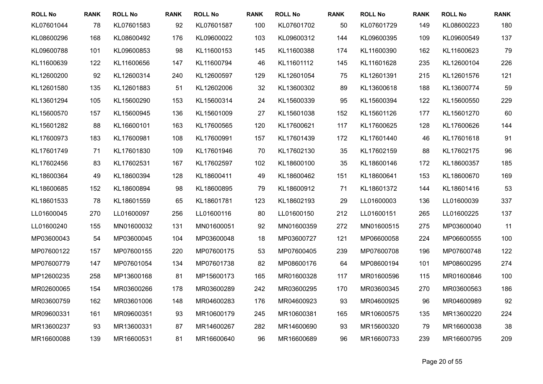| <b>ROLL No</b> | <b>RANK</b> | <b>ROLL No</b> | <b>RANK</b> | <b>ROLL No</b> | <b>RANK</b> | <b>ROLL No</b> | <b>RANK</b> | <b>ROLL No</b> | <b>RANK</b> | <b>ROLL No</b> | <b>RANK</b> |
|----------------|-------------|----------------|-------------|----------------|-------------|----------------|-------------|----------------|-------------|----------------|-------------|
| KL07601044     | 78          | KL07601583     | 92          | KL07601587     | 100         | KL07601702     | 50          | KL07601729     | 149         | KL08600223     | 180         |
| KL08600296     | 168         | KL08600492     | 176         | KL09600022     | 103         | KL09600312     | 144         | KL09600395     | 109         | KL09600549     | 137         |
| KL09600788     | 101         | KL09600853     | 98          | KL11600153     | 145         | KL11600388     | 174         | KL11600390     | 162         | KL11600623     | 79          |
| KL11600639     | 122         | KL11600656     | 147         | KL11600794     | 46          | KL11601112     | 145         | KL11601628     | 235         | KL12600104     | 226         |
| KL12600200     | 92          | KL12600314     | 240         | KL12600597     | 129         | KL12601054     | 75          | KL12601391     | 215         | KL12601576     | 121         |
| KL12601580     | 135         | KL12601883     | 51          | KL12602006     | 32          | KL13600302     | 89          | KL13600618     | 188         | KL13600774     | 59          |
| KL13601294     | 105         | KL15600290     | 153         | KL15600314     | 24          | KL15600339     | 95          | KL15600394     | 122         | KL15600550     | 229         |
| KL15600570     | 157         | KL15600945     | 136         | KL15601009     | 27          | KL15601038     | 152         | KL15601126     | 177         | KL15601270     | 60          |
| KL15601282     | 88          | KL16600101     | 163         | KL17600565     | 120         | KL17600621     | 117         | KL17600625     | 128         | KL17600626     | 144         |
| KL17600973     | 183         | KL17600981     | 108         | KL17600991     | 157         | KL17601439     | 172         | KL17601440     | 46          | KL17601618     | 91          |
| KL17601749     | 71          | KL17601830     | 109         | KL17601946     | 70          | KL17602130     | 35          | KL17602159     | 88          | KL17602175     | 96          |
| KL17602456     | 83          | KL17602531     | 167         | KL17602597     | 102         | KL18600100     | 35          | KL18600146     | 172         | KL18600357     | 185         |
| KL18600364     | 49          | KL18600394     | 128         | KL18600411     | 49          | KL18600462     | 151         | KL18600641     | 153         | KL18600670     | 169         |
| KL18600685     | 152         | KL18600894     | 98          | KL18600895     | 79          | KL18600912     | 71          | KL18601372     | 144         | KL18601416     | 53          |
| KL18601533     | 78          | KL18601559     | 65          | KL18601781     | 123         | KL18602193     | 29          | LL01600003     | 136         | LL01600039     | 337         |
| LL01600045     | 270         | LL01600097     | 256         | LL01600116     | 80          | LL01600150     | 212         | LL01600151     | 265         | LL01600225     | 137         |
| LL01600240     | 155         | MN01600032     | 131         | MN01600051     | 92          | MN01600359     | 272         | MN01600515     | 275         | MP03600040     | 11          |
| MP03600043     | 54          | MP03600045     | 104         | MP03600048     | 18          | MP03600727     | 121         | MP06600058     | 224         | MP06600555     | 100         |
| MP07600122     | 157         | MP07600155     | 220         | MP07600175     | 53          | MP07600405     | 239         | MP07600708     | 196         | MP07600748     | 122         |
| MP07600779     | 147         | MP07601054     | 134         | MP07601738     | 82          | MP08600176     | 64          | MP08600194     | 101         | MP08600295     | 274         |
| MP12600235     | 258         | MP13600168     | 81          | MP15600173     | 165         | MR01600328     | 117         | MR01600596     | 115         | MR01600846     | 100         |
| MR02600065     | 154         | MR03600266     | 178         | MR03600289     | 242         | MR03600295     | 170         | MR03600345     | 270         | MR03600563     | 186         |
| MR03600759     | 162         | MR03601006     | 148         | MR04600283     | 176         | MR04600923     | 93          | MR04600925     | 96          | MR04600989     | 92          |
| MR09600331     | 161         | MR09600351     | 93          | MR10600179     | 245         | MR10600381     | 165         | MR10600575     | 135         | MR13600220     | 224         |
| MR13600237     | 93          | MR13600331     | 87          | MR14600267     | 282         | MR14600690     | 93          | MR15600320     | 79          | MR16600038     | 38          |
| MR16600088     | 139         | MR16600531     | 81          | MR16600640     | 96          | MR16600689     | 96          | MR16600733     | 239         | MR16600795     | 209         |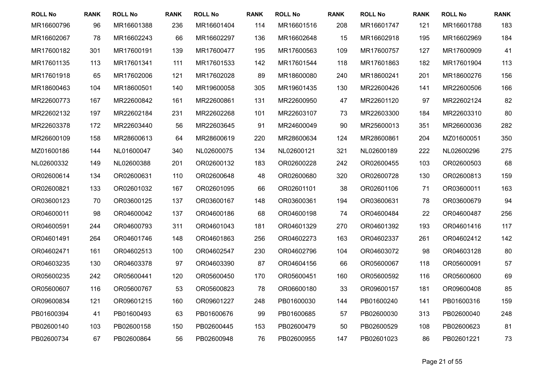| <b>ROLL No</b> | <b>RANK</b> | <b>ROLL No</b> | <b>RANK</b> | <b>ROLL No</b> | <b>RANK</b> | <b>ROLL No</b> | <b>RANK</b> | <b>ROLL No</b> | <b>RANK</b> | <b>ROLL No</b> | <b>RANK</b> |
|----------------|-------------|----------------|-------------|----------------|-------------|----------------|-------------|----------------|-------------|----------------|-------------|
| MR16600796     | 96          | MR16601388     | 236         | MR16601404     | 114         | MR16601516     | 208         | MR16601747     | 121         | MR16601788     | 183         |
| MR16602067     | 78          | MR16602243     | 66          | MR16602297     | 136         | MR16602648     | 15          | MR16602918     | 195         | MR16602969     | 184         |
| MR17600182     | 301         | MR17600191     | 139         | MR17600477     | 195         | MR17600563     | 109         | MR17600757     | 127         | MR17600909     | 41          |
| MR17601135     | 113         | MR17601341     | 111         | MR17601533     | 142         | MR17601544     | 118         | MR17601863     | 182         | MR17601904     | 113         |
| MR17601918     | 65          | MR17602006     | 121         | MR17602028     | 89          | MR18600080     | 240         | MR18600241     | 201         | MR18600276     | 156         |
| MR18600463     | 104         | MR18600501     | 140         | MR19600058     | 305         | MR19601435     | 130         | MR22600426     | 141         | MR22600506     | 166         |
| MR22600773     | 167         | MR22600842     | 161         | MR22600861     | 131         | MR22600950     | 47          | MR22601120     | 97          | MR22602124     | 82          |
| MR22602132     | 197         | MR22602184     | 231         | MR22602268     | 101         | MR22603107     | 73          | MR22603300     | 184         | MR22603310     | 80          |
| MR22603378     | 172         | MR22603440     | 56          | MR22603645     | 91          | MR24600049     | 90          | MR25600013     | 351         | MR26600036     | 282         |
| MR26600109     | 158         | MR28600613     | 64          | MR28600619     | 220         | MR28600634     | 124         | MR28600861     | 204         | MZ01600051     | 350         |
| MZ01600186     | 144         | NL01600047     | 340         | NL02600075     | 134         | NL02600121     | 321         | NL02600189     | 222         | NL02600296     | 275         |
| NL02600332     | 149         | NL02600388     | 201         | OR02600132     | 183         | OR02600228     | 242         | OR02600455     | 103         | OR02600503     | 68          |
| OR02600614     | 134         | OR02600631     | 110         | OR02600648     | 48          | OR02600680     | 320         | OR02600728     | 130         | OR02600813     | 159         |
| OR02600821     | 133         | OR02601032     | 167         | OR02601095     | 66          | OR02601101     | 38          | OR02601106     | 71          | OR03600011     | 163         |
| OR03600123     | 70          | OR03600125     | 137         | OR03600167     | 148         | OR03600361     | 194         | OR03600631     | 78          | OR03600679     | 94          |
| OR04600011     | 98          | OR04600042     | 137         | OR04600186     | 68          | OR04600198     | 74          | OR04600484     | 22          | OR04600487     | 256         |
| OR04600591     | 244         | OR04600793     | 311         | OR04601043     | 181         | OR04601329     | 270         | OR04601392     | 193         | OR04601416     | 117         |
| OR04601491     | 264         | OR04601746     | 148         | OR04601863     | 256         | OR04602273     | 163         | OR04602337     | 261         | OR04602412     | 142         |
| OR04602471     | 161         | OR04602513     | 100         | OR04602547     | 230         | OR04602796     | 104         | OR04603072     | 98          | OR04603128     | 80          |
| OR04603235     | 130         | OR04603378     | 97          | OR04603390     | 87          | OR04604156     | 66          | OR05600067     | 118         | OR05600091     | 57          |
| OR05600235     | 242         | OR05600441     | 120         | OR05600450     | 170         | OR05600451     | 160         | OR05600592     | 116         | OR05600600     | 69          |
| OR05600607     | 116         | OR05600767     | 53          | OR05600823     | 78          | OR06600180     | 33          | OR09600157     | 181         | OR09600408     | 85          |
| OR09600834     | 121         | OR09601215     | 160         | OR09601227     | 248         | PB01600030     | 144         | PB01600240     | 141         | PB01600316     | 159         |
| PB01600394     | 41          | PB01600493     | 63          | PB01600676     | 99          | PB01600685     | 57          | PB02600030     | 313         | PB02600040     | 248         |
| PB02600140     | 103         | PB02600158     | 150         | PB02600445     | 153         | PB02600479     | 50          | PB02600529     | 108         | PB02600623     | 81          |
| PB02600734     | 67          | PB02600864     | 56          | PB02600948     | 76          | PB02600955     | 147         | PB02601023     | 86          | PB02601221     | 73          |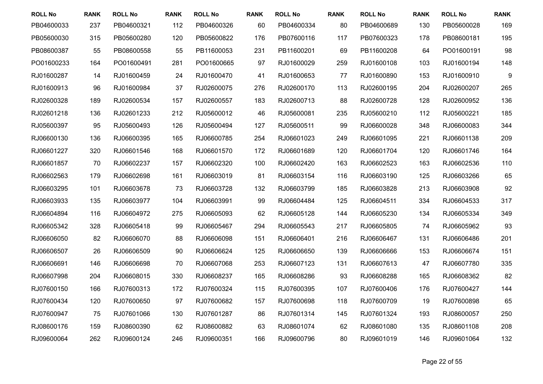| <b>ROLL No</b> | <b>RANK</b> | <b>ROLL No</b> | <b>RANK</b> | <b>ROLL No</b> | <b>RANK</b> | <b>ROLL No</b> | <b>RANK</b> | <b>ROLL No</b> | <b>RANK</b> | <b>ROLL No</b> | <b>RANK</b> |
|----------------|-------------|----------------|-------------|----------------|-------------|----------------|-------------|----------------|-------------|----------------|-------------|
| PB04600033     | 237         | PB04600321     | 112         | PB04600326     | 60          | PB04600334     | 80          | PB04600689     | 130         | PB05600028     | 169         |
| PB05600030     | 315         | PB05600280     | 120         | PB05600822     | 176         | PB07600116     | 117         | PB07600323     | 178         | PB08600181     | 195         |
| PB08600387     | 55          | PB08600558     | 55          | PB11600053     | 231         | PB11600201     | 69          | PB11600208     | 64          | PO01600191     | 98          |
| PO01600233     | 164         | PO01600491     | 281         | PO01600665     | 97          | RJ01600029     | 259         | RJ01600108     | 103         | RJ01600194     | 148         |
| RJ01600287     | 14          | RJ01600459     | 24          | RJ01600470     | 41          | RJ01600653     | 77          | RJ01600890     | 153         | RJ01600910     | 9           |
| RJ01600913     | 96          | RJ01600984     | 37          | RJ02600075     | 276         | RJ02600170     | 113         | RJ02600195     | 204         | RJ02600207     | 265         |
| RJ02600328     | 189         | RJ02600534     | 157         | RJ02600557     | 183         | RJ02600713     | 88          | RJ02600728     | 128         | RJ02600952     | 136         |
| RJ02601218     | 136         | RJ02601233     | 212         | RJ05600012     | 46          | RJ05600081     | 235         | RJ05600210     | 112         | RJ05600221     | 185         |
| RJ05600397     | 95          | RJ05600493     | 126         | RJ05600494     | 127         | RJ05600511     | 99          | RJ06600028     | 348         | RJ06600083     | 344         |
| RJ06600130     | 136         | RJ06600395     | 165         | RJ06600785     | 254         | RJ06601023     | 249         | RJ06601095     | 221         | RJ06601138     | 209         |
| RJ06601227     | 320         | RJ06601546     | 168         | RJ06601570     | 172         | RJ06601689     | 120         | RJ06601704     | 120         | RJ06601746     | 164         |
| RJ06601857     | 70          | RJ06602237     | 157         | RJ06602320     | 100         | RJ06602420     | 163         | RJ06602523     | 163         | RJ06602536     | 110         |
| RJ06602563     | 179         | RJ06602698     | 161         | RJ06603019     | 81          | RJ06603154     | 116         | RJ06603190     | 125         | RJ06603266     | 65          |
| RJ06603295     | 101         | RJ06603678     | 73          | RJ06603728     | 132         | RJ06603799     | 185         | RJ06603828     | 213         | RJ06603908     | 92          |
| RJ06603933     | 135         | RJ06603977     | 104         | RJ06603991     | 99          | RJ06604484     | 125         | RJ06604511     | 334         | RJ06604533     | 317         |
| RJ06604894     | 116         | RJ06604972     | 275         | RJ06605093     | 62          | RJ06605128     | 144         | RJ06605230     | 134         | RJ06605334     | 349         |
| RJ06605342     | 328         | RJ06605418     | 99          | RJ06605467     | 294         | RJ06605543     | 217         | RJ06605805     | 74          | RJ06605962     | 93          |
| RJ06606050     | 82          | RJ06606070     | 88          | RJ06606098     | 151         | RJ06606401     | 216         | RJ06606467     | 131         | RJ06606486     | 201         |
| RJ06606507     | 26          | RJ06606509     | 90          | RJ06606624     | 125         | RJ06606650     | 139         | RJ06606666     | 153         | RJ06606674     | 151         |
| RJ06606691     | 146         | RJ06606698     | 70          | RJ06607068     | 253         | RJ06607123     | 131         | RJ06607613     | 47          | RJ06607780     | 335         |
| RJ06607998     | 204         | RJ06608015     | 330         | RJ06608237     | 165         | RJ06608286     | 93          | RJ06608288     | 165         | RJ06608362     | 82          |
| RJ07600150     | 166         | RJ07600313     | 172         | RJ07600324     | 115         | RJ07600395     | 107         | RJ07600406     | 176         | RJ07600427     | 144         |
| RJ07600434     | 120         | RJ07600650     | 97          | RJ07600682     | 157         | RJ07600698     | 118         | RJ07600709     | 19          | RJ07600898     | 65          |
| RJ07600947     | 75          | RJ07601066     | 130         | RJ07601287     | 86          | RJ07601314     | 145         | RJ07601324     | 193         | RJ08600057     | 250         |
| RJ08600176     | 159         | RJ08600390     | 62          | RJ08600882     | 63          | RJ08601074     | 62          | RJ08601080     | 135         | RJ08601108     | 208         |
| RJ09600064     | 262         | RJ09600124     | 246         | RJ09600351     | 166         | RJ09600796     | 80          | RJ09601019     | 146         | RJ09601064     | 132         |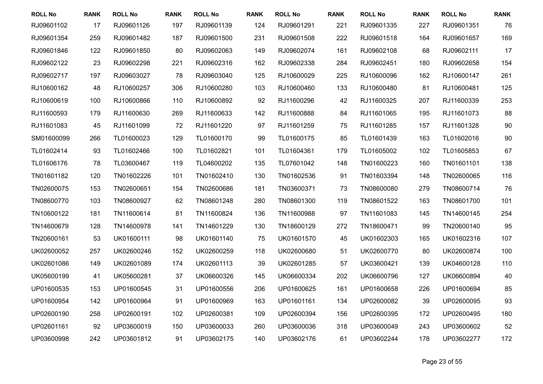| <b>ROLL No</b> | <b>RANK</b> | <b>ROLL No</b> | <b>RANK</b> | <b>ROLL No</b> | <b>RANK</b> | <b>ROLL No</b> | <b>RANK</b> | <b>ROLL No</b> | <b>RANK</b> | <b>ROLL No</b> | <b>RANK</b> |
|----------------|-------------|----------------|-------------|----------------|-------------|----------------|-------------|----------------|-------------|----------------|-------------|
| RJ09601102     | 17          | RJ09601126     | 197         | RJ09601139     | 124         | RJ09601291     | 221         | RJ09601335     | 227         | RJ09601351     | 76          |
| RJ09601354     | 259         | RJ09601482     | 187         | RJ09601500     | 231         | RJ09601508     | 222         | RJ09601518     | 164         | RJ09601657     | 169         |
| RJ09601846     | 122         | RJ09601850     | 80          | RJ09602063     | 149         | RJ09602074     | 161         | RJ09602108     | 68          | RJ09602111     | 17          |
| RJ09602122     | 23          | RJ09602298     | 221         | RJ09602316     | 162         | RJ09602338     | 284         | RJ09602451     | 180         | RJ09602658     | 154         |
| RJ09602717     | 197         | RJ09603027     | 78          | RJ09603040     | 125         | RJ10600029     | 225         | RJ10600096     | 162         | RJ10600147     | 261         |
| RJ10600162     | 48          | RJ10600257     | 306         | RJ10600280     | 103         | RJ10600460     | 133         | RJ10600480     | 81          | RJ10600481     | 125         |
| RJ10600619     | 100         | RJ10600866     | 110         | RJ10600892     | 92          | RJ11600296     | 42          | RJ11600325     | 207         | RJ11600339     | 253         |
| RJ11600593     | 179         | RJ11600630     | 269         | RJ11600633     | 142         | RJ11600888     | 84          | RJ11601065     | 195         | RJ11601073     | 88          |
| RJ11601083     | 45          | RJ11601099     | 72          | RJ11601220     | 97          | RJ11601259     | 75          | RJ11601285     | 157         | RJ11601328     | 90          |
| SM01600099     | 266         | TL01600023     | 129         | TL01600170     | 99          | TL01600175     | 85          | TL01601439     | 163         | TL01602016     | 90          |
| TL01602414     | 93          | TL01602466     | 100         | TL01602821     | 101         | TL01604361     | 179         | TL01605002     | 102         | TL01605853     | 67          |
| TL01606176     | 78          | TL03600467     | 119         | TL04600202     | 135         | TL07601042     | 148         | TN01600223     | 160         | TN01601101     | 138         |
| TN01601182     | 120         | TN01602226     | 101         | TN01602410     | 130         | TN01602536     | 91          | TN01603394     | 148         | TN02600065     | 116         |
| TN02600075     | 153         | TN02600651     | 154         | TN02600686     | 181         | TN03600371     | 73          | TN08600080     | 279         | TN08600714     | 76          |
| TN08600770     | 103         | TN08600927     | 62          | TN08601248     | 280         | TN08601300     | 119         | TN08601522     | 163         | TN08601700     | 101         |
| TN10600122     | 181         | TN11600614     | 81          | TN11600824     | 136         | TN11600988     | 97          | TN11601083     | 145         | TN14600145     | 254         |
| TN14600679     | 128         | TN14600978     | 141         | TN14601229     | 130         | TN18600129     | 272         | TN18600471     | 99          | TN20600140     | 95          |
| TN20600161     | 53          | UK01600111     | 98          | UK01601140     | 75          | UK01601570     | 45          | UK01602303     | 165         | UK01602316     | 107         |
| UK02600052     | 257         | UK02600246     | 152         | UK02600259     | 118         | UK02600680     | 51          | UK02600770     | 80          | UK02600874     | 100         |
| UK02601086     | 149         | UK02601089     | 174         | UK02601113     | 39          | UK02601285     | 57          | UK03600421     | 139         | UK04600128     | 110         |
| UK05600199     | 41          | UK05600281     | 37          | UK06600326     | 145         | UK06600334     | 202         | UK06600796     | 127         | UK06600894     | 40          |
| UP01600535     | 153         | UP01600545     | 31          | UP01600556     | 206         | UP01600625     | 161         | UP01600658     | 226         | UP01600694     | 85          |
| UP01600954     | 142         | UP01600964     | 91          | UP01600969     | 163         | UP01601161     | 134         | UP02600082     | 39          | UP02600095     | 93          |
| UP02600190     | 258         | UP02600191     | 102         | UP02600381     | 109         | UP02600394     | 156         | UP02600395     | 172         | UP02600495     | 180         |
| UP02601161     | 92          | UP03600019     | 150         | UP03600033     | 260         | UP03600036     | 318         | UP03600049     | 243         | UP03600602     | 52          |
| UP03600998     | 242         | UP03601812     | 91          | UP03602175     | 140         | UP03602176     | 61          | UP03602244     | 178         | UP03602277     | 172         |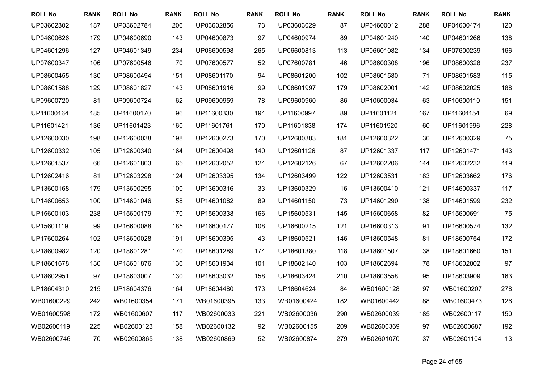| <b>ROLL No</b> | <b>RANK</b> | <b>ROLL No</b> | <b>RANK</b> | <b>ROLL No</b> | <b>RANK</b> | <b>ROLL No</b> | <b>RANK</b> | <b>ROLL No</b> | <b>RANK</b> | <b>ROLL No</b> | <b>RANK</b> |
|----------------|-------------|----------------|-------------|----------------|-------------|----------------|-------------|----------------|-------------|----------------|-------------|
| UP03602302     | 187         | UP03602784     | 206         | UP03602856     | 73          | UP03603029     | 87          | UP04600012     | 288         | UP04600474     | 120         |
| UP04600626     | 179         | UP04600690     | 143         | UP04600873     | 97          | UP04600974     | 89          | UP04601240     | 140         | UP04601266     | 138         |
| UP04601296     | 127         | UP04601349     | 234         | UP06600598     | 265         | UP06600813     | 113         | UP06601082     | 134         | UP07600239     | 166         |
| UP07600347     | 106         | UP07600546     | 70          | UP07600577     | 52          | UP07600781     | 46          | UP08600308     | 196         | UP08600328     | 237         |
| UP08600455     | 130         | UP08600494     | 151         | UP08601170     | 94          | UP08601200     | 102         | UP08601580     | 71          | UP08601583     | 115         |
| UP08601588     | 129         | UP08601827     | 143         | UP08601916     | 99          | UP08601997     | 179         | UP08602001     | 142         | UP08602025     | 188         |
| UP09600720     | 81          | UP09600724     | 62          | UP09600959     | 78          | UP09600960     | 86          | UP10600034     | 63          | UP10600110     | 151         |
| UP11600164     | 185         | UP11600170     | 96          | UP11600330     | 194         | UP11600997     | 89          | UP11601121     | 167         | UP11601154     | 69          |
| UP11601421     | 136         | UP11601423     | 160         | UP11601761     | 170         | UP11601838     | 174         | UP11601920     | 60          | UP11601996     | 228         |
| UP12600030     | 198         | UP12600038     | 198         | UP12600273     | 170         | UP12600303     | 181         | UP12600322     | 30          | UP12600329     | 75          |
| UP12600332     | 105         | UP12600340     | 164         | UP12600498     | 140         | UP12601126     | 87          | UP12601337     | 117         | UP12601471     | 143         |
| UP12601537     | 66          | UP12601803     | 65          | UP12602052     | 124         | UP12602126     | 67          | UP12602206     | 144         | UP12602232     | 119         |
| UP12602416     | 81          | UP12603298     | 124         | UP12603395     | 134         | UP12603499     | 122         | UP12603531     | 183         | UP12603662     | 176         |
| UP13600168     | 179         | UP13600295     | 100         | UP13600316     | 33          | UP13600329     | 16          | UP13600410     | 121         | UP14600337     | 117         |
| UP14600653     | 100         | UP14601046     | 58          | UP14601082     | 89          | UP14601150     | 73          | UP14601290     | 138         | UP14601599     | 232         |
| UP15600103     | 238         | UP15600179     | 170         | UP15600338     | 166         | UP15600531     | 145         | UP15600658     | 82          | UP15600691     | 75          |
| UP15601119     | 99          | UP16600088     | 185         | UP16600177     | 108         | UP16600215     | 121         | UP16600313     | 91          | UP16600574     | 132         |
| UP17600264     | 102         | UP18600028     | 191         | UP18600395     | 43          | UP18600521     | 146         | UP18600548     | 81          | UP18600754     | 172         |
| UP18600982     | 120         | UP18601281     | 170         | UP18601289     | 174         | UP18601380     | 118         | UP18601507     | 38          | UP18601660     | 151         |
| UP18601678     | 130         | UP18601876     | 136         | UP18601934     | 101         | UP18602140     | 103         | UP18602694     | 78          | UP18602802     | 97          |
| UP18602951     | 97          | UP18603007     | 130         | UP18603032     | 158         | UP18603424     | 210         | UP18603558     | 95          | UP18603909     | 163         |
| UP18604310     | 215         | UP18604376     | 164         | UP18604480     | 173         | UP18604624     | 84          | WB01600128     | 97          | WB01600207     | 278         |
| WB01600229     | 242         | WB01600354     | 171         | WB01600395     | 133         | WB01600424     | 182         | WB01600442     | 88          | WB01600473     | 126         |
| WB01600598     | 172         | WB01600607     | 117         | WB02600033     | 221         | WB02600036     | 290         | WB02600039     | 185         | WB02600117     | 150         |
| WB02600119     | 225         | WB02600123     | 158         | WB02600132     | 92          | WB02600155     | 209         | WB02600369     | 97          | WB02600687     | 192         |
| WB02600746     | 70          | WB02600865     | 138         | WB02600869     | 52          | WB02600874     | 279         | WB02601070     | 37          | WB02601104     | 13          |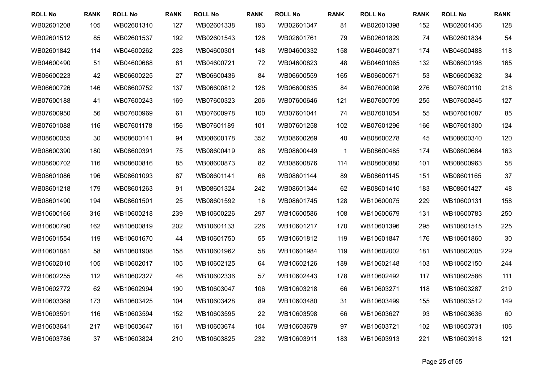| <b>ROLL No</b> | <b>RANK</b> | <b>ROLL No</b> | <b>RANK</b> | <b>ROLL No</b> | <b>RANK</b> | <b>ROLL No</b> | <b>RANK</b> | <b>ROLL No</b> | <b>RANK</b> | <b>ROLL No</b> | <b>RANK</b> |
|----------------|-------------|----------------|-------------|----------------|-------------|----------------|-------------|----------------|-------------|----------------|-------------|
| WB02601208     | 105         | WB02601310     | 127         | WB02601338     | 193         | WB02601347     | 81          | WB02601398     | 152         | WB02601436     | 128         |
| WB02601512     | 85          | WB02601537     | 192         | WB02601543     | 126         | WB02601761     | 79          | WB02601829     | 74          | WB02601834     | 54          |
| WB02601842     | 114         | WB04600262     | 228         | WB04600301     | 148         | WB04600332     | 158         | WB04600371     | 174         | WB04600488     | 118         |
| WB04600490     | 51          | WB04600688     | 81          | WB04600721     | 72          | WB04600823     | 48          | WB04601065     | 132         | WB06600198     | 165         |
| WB06600223     | 42          | WB06600225     | 27          | WB06600436     | 84          | WB06600559     | 165         | WB06600571     | 53          | WB06600632     | 34          |
| WB06600726     | 146         | WB06600752     | 137         | WB06600812     | 128         | WB06600835     | 84          | WB07600098     | 276         | WB07600110     | 218         |
| WB07600188     | 41          | WB07600243     | 169         | WB07600323     | 206         | WB07600646     | 121         | WB07600709     | 255         | WB07600845     | 127         |
| WB07600950     | 56          | WB07600969     | 61          | WB07600978     | 100         | WB07601041     | 74          | WB07601054     | 55          | WB07601087     | 85          |
| WB07601088     | 116         | WB07601178     | 156         | WB07601189     | 101         | WB07601258     | 102         | WB07601296     | 166         | WB07601300     | 124         |
| WB08600055     | 30          | WB08600141     | 94          | WB08600178     | 352         | WB08600269     | 40          | WB08600278     | 45          | WB08600340     | 120         |
| WB08600390     | 180         | WB08600391     | 75          | WB08600419     | 88          | WB08600449     | $\mathbf 1$ | WB08600485     | 174         | WB08600684     | 163         |
| WB08600702     | 116         | WB08600816     | 85          | WB08600873     | 82          | WB08600876     | 114         | WB08600880     | 101         | WB08600963     | 58          |
| WB08601086     | 196         | WB08601093     | 87          | WB08601141     | 66          | WB08601144     | 89          | WB08601145     | 151         | WB08601165     | 37          |
| WB08601218     | 179         | WB08601263     | 91          | WB08601324     | 242         | WB08601344     | 62          | WB08601410     | 183         | WB08601427     | 48          |
| WB08601490     | 194         | WB08601501     | 25          | WB08601592     | 16          | WB08601745     | 128         | WB10600075     | 229         | WB10600131     | 158         |
| WB10600166     | 316         | WB10600218     | 239         | WB10600226     | 297         | WB10600586     | 108         | WB10600679     | 131         | WB10600783     | 250         |
| WB10600790     | 162         | WB10600819     | 202         | WB10601133     | 226         | WB10601217     | 170         | WB10601396     | 295         | WB10601515     | 225         |
| WB10601554     | 119         | WB10601670     | 44          | WB10601750     | 55          | WB10601812     | 119         | WB10601847     | 176         | WB10601860     | 30          |
| WB10601881     | 58          | WB10601908     | 158         | WB10601962     | 58          | WB10601984     | 119         | WB10602002     | 181         | WB10602005     | 229         |
| WB10602010     | 105         | WB10602017     | 105         | WB10602125     | 64          | WB10602126     | 189         | WB10602148     | 103         | WB10602150     | 244         |
| WB10602255     | 112         | WB10602327     | 46          | WB10602336     | 57          | WB10602443     | 178         | WB10602492     | 117         | WB10602586     | 111         |
| WB10602772     | 62          | WB10602994     | 190         | WB10603047     | 106         | WB10603218     | 66          | WB10603271     | 118         | WB10603287     | 219         |
| WB10603368     | 173         | WB10603425     | 104         | WB10603428     | 89          | WB10603480     | 31          | WB10603499     | 155         | WB10603512     | 149         |
| WB10603591     | 116         | WB10603594     | 152         | WB10603595     | 22          | WB10603598     | 66          | WB10603627     | 93          | WB10603636     | 60          |
| WB10603641     | 217         | WB10603647     | 161         | WB10603674     | 104         | WB10603679     | 97          | WB10603721     | 102         | WB10603731     | 106         |
| WB10603786     | 37          | WB10603824     | 210         | WB10603825     | 232         | WB10603911     | 183         | WB10603913     | 221         | WB10603918     | 121         |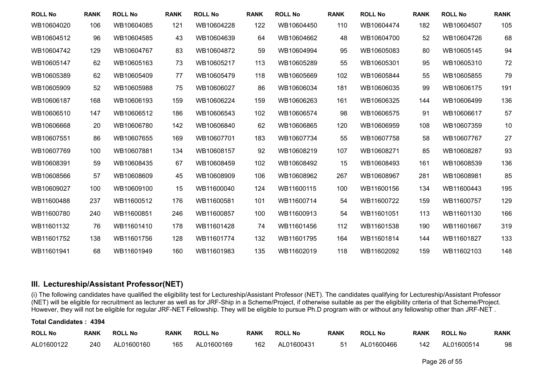| <b>ROLL No</b> | <b>RANK</b> | <b>ROLL No</b> | <b>RANK</b> | <b>ROLL No</b> | <b>RANK</b> | <b>ROLL No</b> | <b>RANK</b> | <b>ROLL No</b> | <b>RANK</b> | <b>ROLL No</b> | <b>RANK</b> |
|----------------|-------------|----------------|-------------|----------------|-------------|----------------|-------------|----------------|-------------|----------------|-------------|
| WB10604020     | 106         | WB10604085     | 121         | WB10604228     | 122         | WB10604450     | 110         | WB10604474     | 182         | WB10604507     | 105         |
| WB10604512     | 96          | WB10604585     | 43          | WB10604639     | 64          | WB10604662     | 48          | WB10604700     | 52          | WB10604726     | 68          |
| WB10604742     | 129         | WB10604767     | 83          | WB10604872     | 59          | WB10604994     | 95          | WB10605083     | 80          | WB10605145     | 94          |
| WB10605147     | 62          | WB10605163     | 73          | WB10605217     | 113         | WB10605289     | 55          | WB10605301     | 95          | WB10605310     | 72          |
| WB10605389     | 62          | WB10605409     | 77          | WB10605479     | 118         | WB10605669     | 102         | WB10605844     | 55          | WB10605855     | 79          |
| WB10605909     | 52          | WB10605988     | 75          | WB10606027     | 86          | WB10606034     | 181         | WB10606035     | 99          | WB10606175     | 191         |
| WB10606187     | 168         | WB10606193     | 159         | WB10606224     | 159         | WB10606263     | 161         | WB10606325     | 144         | WB10606499     | 136         |
| WB10606510     | 147         | WB10606512     | 186         | WB10606543     | 102         | WB10606574     | 98          | WB10606575     | 91          | WB10606617     | 57          |
| WB10606668     | 20          | WB10606780     | 142         | WB10606840     | 62          | WB10606865     | 120         | WB10606959     | 108         | WB10607359     | 10          |
| WB10607551     | 86          | WB10607655     | 169         | WB10607701     | 183         | WB10607734     | 55          | WB10607758     | 58          | WB10607767     | 27          |
| WB10607769     | 100         | WB10607881     | 134         | WB10608157     | 92          | WB10608219     | 107         | WB10608271     | 85          | WB10608287     | 93          |
| WB10608391     | 59          | WB10608435     | 67          | WB10608459     | 102         | WB10608492     | 15          | WB10608493     | 161         | WB10608539     | 136         |
| WB10608566     | 57          | WB10608609     | 45          | WB10608909     | 106         | WB10608962     | 267         | WB10608967     | 281         | WB10608981     | 85          |
| WB10609027     | 100         | WB10609100     | 15          | WB11600040     | 124         | WB11600115     | 100         | WB11600156     | 134         | WB11600443     | 195         |
| WB11600488     | 237         | WB11600512     | 176         | WB11600581     | 101         | WB11600714     | 54          | WB11600722     | 159         | WB11600757     | 129         |
| WB11600780     | 240         | WB11600851     | 246         | WB11600857     | 100         | WB11600913     | 54          | WB11601051     | 113         | WB11601130     | 166         |
| WB11601132     | 76          | WB11601410     | 178         | WB11601428     | 74          | WB11601456     | 112         | WB11601538     | 190         | WB11601667     | 319         |
| WB11601752     | 138         | WB11601756     | 128         | WB11601774     | 132         | WB11601795     | 164         | WB11601814     | 144         | WB11601827     | 133         |
| WB11601941     | 68          | WB11601949     | 160         | WB11601983     | 135         | WB11602019     | 118         | WB11602092     | 159         | WB11602103     | 148         |

### **III. Lectureship/Assistant Professor(NET)**

(i) The following candidates have qualified the eligibility test for Lectureship/Assistant Professor (NET). The candidates qualifying for Lectureship/Assistant Professor (NET) will be eligible for recruitment as lecturer as well as for JRF-Ship in a Scheme/Project, if otherwise suitable as per the eligibility criteria of that Scheme/Project. However, they will not be eligible for regular JRF-NET Fellowship. They will be eligible to pursue Ph.D program with or without any fellowship other than JRF-NET .

#### **Total Candidates : 4394**

| <b>ROLL No</b> | <b>RANK</b> | <b>ROLL No</b> | <b>RANK</b> | <b>ROLL No</b> | <b>RANK</b> | <b>ROLL No</b> | <b>RANK</b> | <b>ROLL No</b> | <b>RANK</b> | <b>ROLL No</b> | <b>RANK</b> |
|----------------|-------------|----------------|-------------|----------------|-------------|----------------|-------------|----------------|-------------|----------------|-------------|
| AL01600122     | 240         | AL01600160     | 165         | AL01600169     | 162         | AL01600431     | -51         | AL01600466     | 142         | AL01600514     | 98          |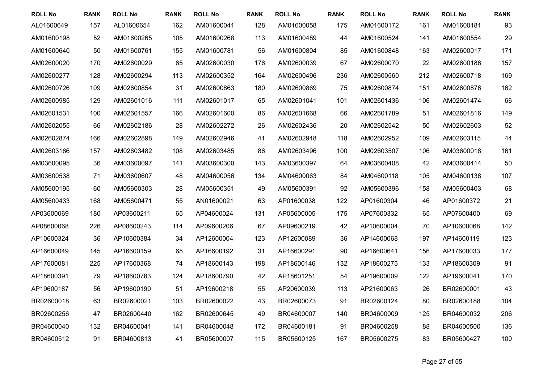| <b>ROLL No</b> | <b>RANK</b> | <b>ROLL No</b> | <b>RANK</b> | <b>ROLL No</b> | <b>RANK</b> | <b>ROLL No</b> | <b>RANK</b> | <b>ROLL No</b> | <b>RANK</b> | <b>ROLL No</b> | <b>RANK</b> |
|----------------|-------------|----------------|-------------|----------------|-------------|----------------|-------------|----------------|-------------|----------------|-------------|
| AL01600649     | 157         | AL01600654     | 162         | AM01600041     | 128         | AM01600058     | 175         | AM01600172     | 161         | AM01600181     | 93          |
| AM01600198     | 52          | AM01600265     | 105         | AM01600268     | 113         | AM01600489     | 44          | AM01600524     | 141         | AM01600554     | 29          |
| AM01600640     | 50          | AM01600761     | 155         | AM01600781     | 56          | AM01600804     | 85          | AM01600848     | 163         | AM02600017     | 171         |
| AM02600020     | 170         | AM02600029     | 65          | AM02600030     | 176         | AM02600039     | 67          | AM02600070     | 22          | AM02600186     | 157         |
| AM02600277     | 128         | AM02600294     | 113         | AM02600352     | 164         | AM02600496     | 236         | AM02600560     | 212         | AM02600718     | 169         |
| AM02600726     | 109         | AM02600854     | 31          | AM02600863     | 180         | AM02600869     | 75          | AM02600874     | 151         | AM02600876     | 162         |
| AM02600985     | 129         | AM02601016     | 111         | AM02601017     | 65          | AM02601041     | 101         | AM02601436     | 106         | AM02601474     | 66          |
| AM02601531     | 100         | AM02601557     | 166         | AM02601600     | 86          | AM02601668     | 66          | AM02601789     | 51          | AM02601816     | 149         |
| AM02602055     | 66          | AM02602186     | 28          | AM02602272     | 26          | AM02602436     | 20          | AM02602542     | 50          | AM02602603     | 52          |
| AM02602874     | 166         | AM02602898     | 149         | AM02602946     | 41          | AM02602948     | 118         | AM02602952     | 109         | AM02603115     | 44          |
| AM02603186     | 157         | AM02603482     | 108         | AM02603485     | 86          | AM02603496     | 100         | AM02603507     | 106         | AM03600018     | 161         |
| AM03600095     | 36          | AM03600097     | 141         | AM03600300     | 143         | AM03600397     | 64          | AM03600408     | 42          | AM03600414     | 50          |
| AM03600538     | 71          | AM03600607     | 48          | AM04600056     | 134         | AM04600063     | 84          | AM04600118     | 105         | AM04600138     | 107         |
| AM05600195     | 60          | AM05600303     | 28          | AM05600351     | 49          | AM05600391     | 92          | AM05600396     | 158         | AM05600403     | 68          |
| AM05600433     | 168         | AM05600471     | 55          | AN01600021     | 63          | AP01600038     | 122         | AP01600304     | 46          | AP01600372     | 21          |
| AP03600069     | 180         | AP03600211     | 65          | AP04600024     | 131         | AP05600005     | 175         | AP07600332     | 65          | AP07600400     | 69          |
| AP08600068     | 226         | AP08600243     | 114         | AP09600206     | 67          | AP09600219     | 42          | AP10600004     | 70          | AP10600068     | 142         |
| AP10600324     | 36          | AP10600384     | 34          | AP12600004     | 123         | AP12600089     | 36          | AP14600068     | 197         | AP14600119     | 123         |
| AP16600049     | 145         | AP16600159     | 65          | AP16600192     | 31          | AP16600291     | 90          | AP16600641     | 156         | AP17600033     | 177         |
| AP17600081     | 225         | AP17600368     | 74          | AP18600143     | 198         | AP18600146     | 132         | AP18600275     | 133         | AP18600309     | 91          |
| AP18600391     | 79          | AP18600783     | 124         | AP18600790     | 42          | AP18601251     | 54          | AP19600009     | 122         | AP19600041     | 170         |
| AP19600187     | 56          | AP19600190     | 51          | AP19600218     | 55          | AP20600039     | 113         | AP21600063     | 26          | BR02600001     | 43          |
| BR02600018     | 63          | BR02600021     | 103         | BR02600022     | 43          | BR02600073     | 91          | BR02600124     | 80          | BR02600188     | 104         |
| BR02600256     | 47          | BR02600440     | 162         | BR02600645     | 49          | BR04600007     | 140         | BR04600009     | 125         | BR04600032     | 206         |
| BR04600040     | 132         | BR04600041     | 141         | BR04600048     | 172         | BR04600181     | 91          | BR04600258     | 88          | BR04600500     | 136         |
| BR04600512     | 91          | BR04600813     | 41          | BR05600007     | 115         | BR05600125     | 167         | BR05600275     | 83          | BR05600427     | 100         |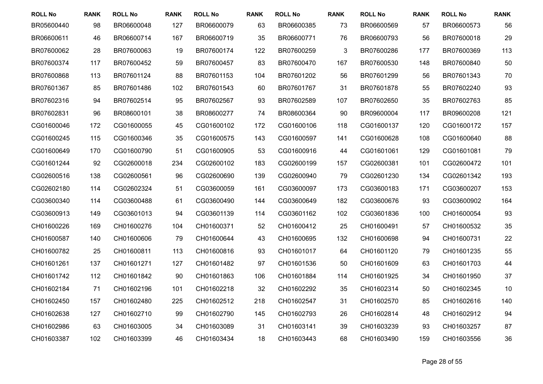| <b>ROLL No</b> | <b>RANK</b> | <b>ROLL No</b> | <b>RANK</b> | <b>ROLL No</b> | <b>RANK</b> | <b>ROLL No</b> | <b>RANK</b> | <b>ROLL No</b> | <b>RANK</b> | <b>ROLL No</b> | <b>RANK</b> |
|----------------|-------------|----------------|-------------|----------------|-------------|----------------|-------------|----------------|-------------|----------------|-------------|
| BR05600440     | 98          | BR06600048     | 127         | BR06600079     | 63          | BR06600385     | 73          | BR06600569     | 57          | BR06600573     | 56          |
| BR06600611     | 46          | BR06600714     | 167         | BR06600719     | 35          | BR06600771     | 76          | BR06600793     | 56          | BR07600018     | 29          |
| BR07600062     | 28          | BR07600063     | 19          | BR07600174     | 122         | BR07600259     | 3           | BR07600286     | 177         | BR07600369     | 113         |
| BR07600374     | 117         | BR07600452     | 59          | BR07600457     | 83          | BR07600470     | 167         | BR07600530     | 148         | BR07600840     | 50          |
| BR07600868     | 113         | BR07601124     | 88          | BR07601153     | 104         | BR07601202     | 56          | BR07601299     | 56          | BR07601343     | 70          |
| BR07601367     | 85          | BR07601486     | 102         | BR07601543     | 60          | BR07601767     | 31          | BR07601878     | 55          | BR07602240     | 93          |
| BR07602316     | 94          | BR07602514     | 95          | BR07602567     | 93          | BR07602589     | 107         | BR07602650     | 35          | BR07602763     | 85          |
| BR07602831     | 96          | BR08600101     | 38          | BR08600277     | 74          | BR08600364     | 90          | BR09600004     | 117         | BR09600208     | 121         |
| CG01600046     | 172         | CG01600055     | 45          | CG01600102     | 172         | CG01600106     | 118         | CG01600137     | 120         | CG01600172     | 157         |
| CG01600245     | 115         | CG01600346     | 35          | CG01600575     | 143         | CG01600597     | 141         | CG01600628     | 108         | CG01600640     | 88          |
| CG01600649     | 170         | CG01600790     | 51          | CG01600905     | 53          | CG01600916     | 44          | CG01601061     | 129         | CG01601081     | 79          |
| CG01601244     | 92          | CG02600018     | 234         | CG02600102     | 183         | CG02600199     | 157         | CG02600381     | 101         | CG02600472     | 101         |
| CG02600516     | 138         | CG02600561     | 96          | CG02600690     | 139         | CG02600940     | 79          | CG02601230     | 134         | CG02601342     | 193         |
| CG02602180     | 114         | CG02602324     | 51          | CG03600059     | 161         | CG03600097     | 173         | CG03600183     | 171         | CG03600207     | 153         |
| CG03600340     | 114         | CG03600488     | 61          | CG03600490     | 144         | CG03600649     | 182         | CG03600676     | 93          | CG03600902     | 164         |
| CG03600913     | 149         | CG03601013     | 94          | CG03601139     | 114         | CG03601162     | 102         | CG03601836     | 100         | CH01600054     | 93          |
| CH01600226     | 169         | CH01600276     | 104         | CH01600371     | 52          | CH01600412     | 25          | CH01600491     | 57          | CH01600532     | 35          |
| CH01600587     | 140         | CH01600606     | 79          | CH01600644     | 43          | CH01600695     | 132         | CH01600698     | 94          | CH01600731     | 22          |
| CH01600782     | 25          | CH01600811     | 113         | CH01600816     | 93          | CH01601017     | 64          | CH01601120     | 79          | CH01601235     | 55          |
| CH01601261     | 137         | CH01601271     | 127         | CH01601482     | 97          | CH01601536     | 50          | CH01601609     | 63          | CH01601703     | 44          |
| CH01601742     | 112         | CH01601842     | 90          | CH01601863     | 106         | CH01601884     | 114         | CH01601925     | 34          | CH01601950     | 37          |
| CH01602184     | 71          | CH01602196     | 101         | CH01602218     | 32          | CH01602292     | 35          | CH01602314     | 50          | CH01602345     | 10          |
| CH01602450     | 157         | CH01602480     | 225         | CH01602512     | 218         | CH01602547     | 31          | CH01602570     | 85          | CH01602616     | 140         |
| CH01602638     | 127         | CH01602710     | 99          | CH01602790     | 145         | CH01602793     | 26          | CH01602814     | 48          | CH01602912     | 94          |
| CH01602986     | 63          | CH01603005     | 34          | CH01603089     | 31          | CH01603141     | 39          | CH01603239     | 93          | CH01603257     | 87          |
| CH01603387     | 102         | CH01603399     | 46          | CH01603434     | 18          | CH01603443     | 68          | CH01603490     | 159         | CH01603556     | 36          |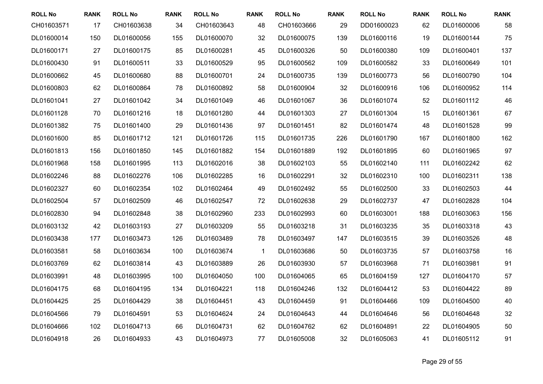| <b>ROLL No</b> | <b>RANK</b> | <b>ROLL No</b> | <b>RANK</b> | <b>ROLL No</b> | <b>RANK</b>  | <b>ROLL No</b> | <b>RANK</b> | <b>ROLL No</b> | <b>RANK</b> | <b>ROLL No</b> | <b>RANK</b> |
|----------------|-------------|----------------|-------------|----------------|--------------|----------------|-------------|----------------|-------------|----------------|-------------|
| CH01603571     | 17          | CH01603638     | 34          | CH01603643     | 48           | CH01603666     | 29          | DD01600023     | 62          | DL01600006     | 58          |
| DL01600014     | 150         | DL01600056     | 155         | DL01600070     | 32           | DL01600075     | 139         | DL01600116     | 19          | DL01600144     | 75          |
| DL01600171     | 27          | DL01600175     | 85          | DL01600281     | 45           | DL01600326     | 50          | DL01600380     | 109         | DL01600401     | 137         |
| DL01600430     | 91          | DL01600511     | 33          | DL01600529     | 95           | DL01600562     | 109         | DL01600582     | 33          | DL01600649     | 101         |
| DL01600662     | 45          | DL01600680     | 88          | DL01600701     | 24           | DL01600735     | 139         | DL01600773     | 56          | DL01600790     | 104         |
| DL01600803     | 62          | DL01600864     | 78          | DL01600892     | 58           | DL01600904     | 32          | DL01600916     | 106         | DL01600952     | 114         |
| DL01601041     | 27          | DL01601042     | 34          | DL01601049     | 46           | DL01601067     | 36          | DL01601074     | 52          | DL01601112     | 46          |
| DL01601128     | 70          | DL01601216     | 18          | DL01601280     | 44           | DL01601303     | 27          | DL01601304     | 15          | DL01601361     | 67          |
| DL01601382     | 75          | DL01601400     | 29          | DL01601436     | 97           | DL01601451     | 82          | DL01601474     | 48          | DL01601528     | 99          |
| DL01601600     | 85          | DL01601712     | 121         | DL01601726     | 115          | DL01601735     | 226         | DL01601790     | 167         | DL01601800     | 162         |
| DL01601813     | 156         | DL01601850     | 145         | DL01601882     | 154          | DL01601889     | 192         | DL01601895     | 60          | DL01601965     | 97          |
| DL01601968     | 158         | DL01601995     | 113         | DL01602016     | 38           | DL01602103     | 55          | DL01602140     | 111         | DL01602242     | 62          |
| DL01602246     | 88          | DL01602276     | 106         | DL01602285     | 16           | DL01602291     | 32          | DL01602310     | 100         | DL01602311     | 138         |
| DL01602327     | 60          | DL01602354     | 102         | DL01602464     | 49           | DL01602492     | 55          | DL01602500     | 33          | DL01602503     | 44          |
| DL01602504     | 57          | DL01602509     | 46          | DL01602547     | 72           | DL01602638     | 29          | DL01602737     | 47          | DL01602828     | 104         |
| DL01602830     | 94          | DL01602848     | 38          | DL01602960     | 233          | DL01602993     | 60          | DL01603001     | 188         | DL01603063     | 156         |
| DL01603132     | 42          | DL01603193     | 27          | DL01603209     | 55           | DL01603218     | 31          | DL01603235     | 35          | DL01603318     | 43          |
| DL01603438     | 177         | DL01603473     | 126         | DL01603489     | 78           | DL01603497     | 147         | DL01603515     | 39          | DL01603526     | 48          |
| DL01603581     | 58          | DL01603634     | 100         | DL01603674     | $\mathbf{1}$ | DL01603686     | 50          | DL01603735     | 57          | DL01603758     | 16          |
| DL01603769     | 62          | DL01603814     | 43          | DL01603889     | 26           | DL01603930     | 57          | DL01603968     | 71          | DL01603981     | 91          |
| DL01603991     | 48          | DL01603995     | 100         | DL01604050     | 100          | DL01604065     | 65          | DL01604159     | 127         | DL01604170     | 57          |
| DL01604175     | 68          | DL01604195     | 134         | DL01604221     | 118          | DL01604246     | 132         | DL01604412     | 53          | DL01604422     | 89          |
| DL01604425     | 25          | DL01604429     | 38          | DL01604451     | 43           | DL01604459     | 91          | DL01604466     | 109         | DL01604500     | 40          |
| DL01604566     | 79          | DL01604591     | 53          | DL01604624     | 24           | DL01604643     | 44          | DL01604646     | 56          | DL01604648     | 32          |
| DL01604666     | 102         | DL01604713     | 66          | DL01604731     | 62           | DL01604762     | 62          | DL01604891     | 22          | DL01604905     | 50          |
| DL01604918     | 26          | DL01604933     | 43          | DL01604973     | 77           | DL01605008     | 32          | DL01605063     | 41          | DL01605112     | 91          |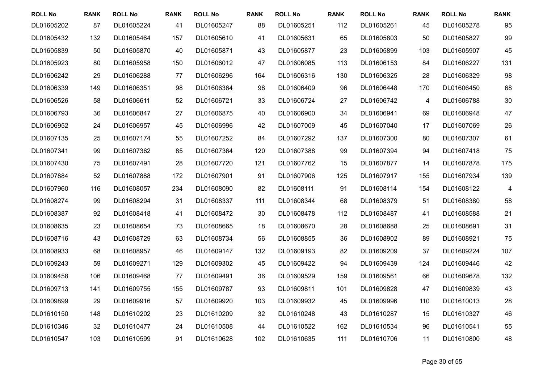| <b>ROLL No</b> | <b>RANK</b> | <b>ROLL No</b> | <b>RANK</b> | <b>ROLL No</b> | <b>RANK</b> | <b>ROLL No</b> | <b>RANK</b> | <b>ROLL No</b> | <b>RANK</b> | <b>ROLL No</b> | <b>RANK</b>              |
|----------------|-------------|----------------|-------------|----------------|-------------|----------------|-------------|----------------|-------------|----------------|--------------------------|
| DL01605202     | 87          | DL01605224     | 41          | DL01605247     | 88          | DL01605251     | 112         | DL01605261     | 45          | DL01605278     | 95                       |
| DL01605432     | 132         | DL01605464     | 157         | DL01605610     | 41          | DL01605631     | 65          | DL01605803     | 50          | DL01605827     | 99                       |
| DL01605839     | 50          | DL01605870     | 40          | DL01605871     | 43          | DL01605877     | 23          | DL01605899     | 103         | DL01605907     | 45                       |
| DL01605923     | 80          | DL01605958     | 150         | DL01606012     | 47          | DL01606085     | 113         | DL01606153     | 84          | DL01606227     | 131                      |
| DL01606242     | 29          | DL01606288     | 77          | DL01606296     | 164         | DL01606316     | 130         | DL01606325     | 28          | DL01606329     | 98                       |
| DL01606339     | 149         | DL01606351     | 98          | DL01606364     | 98          | DL01606409     | 96          | DL01606448     | 170         | DL01606450     | 68                       |
| DL01606526     | 58          | DL01606611     | 52          | DL01606721     | 33          | DL01606724     | 27          | DL01606742     | 4           | DL01606788     | 30                       |
| DL01606793     | 36          | DL01606847     | 27          | DL01606875     | 40          | DL01606900     | 34          | DL01606941     | 69          | DL01606948     | 47                       |
| DL01606952     | 24          | DL01606957     | 45          | DL01606996     | 42          | DL01607009     | 45          | DL01607040     | 17          | DL01607069     | 26                       |
| DL01607135     | 25          | DL01607174     | 55          | DL01607252     | 84          | DL01607292     | 137         | DL01607300     | 80          | DL01607307     | 61                       |
| DL01607341     | 99          | DL01607362     | 85          | DL01607364     | 120         | DL01607388     | 99          | DL01607394     | 94          | DL01607418     | 75                       |
| DL01607430     | 75          | DL01607491     | 28          | DL01607720     | 121         | DL01607762     | 15          | DL01607877     | 14          | DL01607878     | 175                      |
| DL01607884     | 52          | DL01607888     | 172         | DL01607901     | 91          | DL01607906     | 125         | DL01607917     | 155         | DL01607934     | 139                      |
| DL01607960     | 116         | DL01608057     | 234         | DL01608090     | 82          | DL01608111     | 91          | DL01608114     | 154         | DL01608122     | $\overline{\mathcal{A}}$ |
| DL01608274     | 99          | DL01608294     | 31          | DL01608337     | 111         | DL01608344     | 68          | DL01608379     | 51          | DL01608380     | 58                       |
| DL01608387     | 92          | DL01608418     | 41          | DL01608472     | 30          | DL01608478     | 112         | DL01608487     | 41          | DL01608588     | 21                       |
| DL01608635     | 23          | DL01608654     | 73          | DL01608665     | 18          | DL01608670     | 28          | DL01608688     | 25          | DL01608691     | 31                       |
| DL01608716     | 43          | DL01608729     | 63          | DL01608734     | 56          | DL01608855     | 36          | DL01608902     | 89          | DL01608921     | 75                       |
| DL01608933     | 68          | DL01608957     | 46          | DL01609147     | 132         | DL01609193     | 82          | DL01609209     | 37          | DL01609224     | 107                      |
| DL01609243     | 59          | DL01609271     | 129         | DL01609302     | 45          | DL01609422     | 94          | DL01609439     | 124         | DL01609446     | 42                       |
| DL01609458     | 106         | DL01609468     | 77          | DL01609491     | 36          | DL01609529     | 159         | DL01609561     | 66          | DL01609678     | 132                      |
| DL01609713     | 141         | DL01609755     | 155         | DL01609787     | 93          | DL01609811     | 101         | DL01609828     | 47          | DL01609839     | 43                       |
| DL01609899     | 29          | DL01609916     | 57          | DL01609920     | 103         | DL01609932     | 45          | DL01609996     | 110         | DL01610013     | 28                       |
| DL01610150     | 148         | DL01610202     | 23          | DL01610209     | 32          | DL01610248     | 43          | DL01610287     | 15          | DL01610327     | 46                       |
| DL01610346     | 32          | DL01610477     | 24          | DL01610508     | 44          | DL01610522     | 162         | DL01610534     | 96          | DL01610541     | 55                       |
| DL01610547     | 103         | DL01610599     | 91          | DL01610628     | 102         | DL01610635     | 111         | DL01610706     | 11          | DL01610800     | 48                       |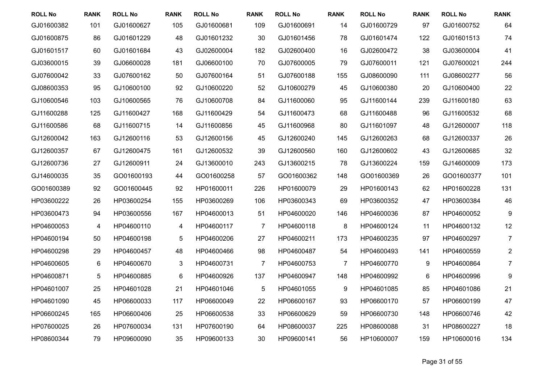| <b>ROLL No</b> | <b>RANK</b> | <b>ROLL No</b> | <b>RANK</b> | <b>ROLL No</b> | <b>RANK</b>    | <b>ROLL No</b> | <b>RANK</b> | <b>ROLL No</b> | <b>RANK</b>     | <b>ROLL No</b> | <b>RANK</b>      |
|----------------|-------------|----------------|-------------|----------------|----------------|----------------|-------------|----------------|-----------------|----------------|------------------|
| GJ01600382     | 101         | GJ01600627     | 105         | GJ01600681     | 109            | GJ01600691     | 14          | GJ01600729     | 97              | GJ01600752     | 64               |
| GJ01600875     | 86          | GJ01601229     | 48          | GJ01601232     | 30             | GJ01601456     | 78          | GJ01601474     | 122             | GJ01601513     | 74               |
| GJ01601517     | 60          | GJ01601684     | 43          | GJ02600004     | 182            | GJ02600400     | 16          | GJ02600472     | 38              | GJ03600004     | 41               |
| GJ03600015     | 39          | GJ06600028     | 181         | GJ06600100     | 70             | GJ07600005     | 79          | GJ07600011     | 121             | GJ07600021     | 244              |
| GJ07600042     | 33          | GJ07600162     | 50          | GJ07600164     | 51             | GJ07600188     | 155         | GJ08600090     | 111             | GJ08600277     | 56               |
| GJ08600353     | 95          | GJ10600100     | 92          | GJ10600220     | 52             | GJ10600279     | 45          | GJ10600380     | 20              | GJ10600400     | 22               |
| GJ10600546     | 103         | GJ10600565     | 76          | GJ10600708     | 84             | GJ11600060     | 95          | GJ11600144     | 239             | GJ11600180     | 63               |
| GJ11600288     | 125         | GJ11600427     | 168         | GJ11600429     | 54             | GJ11600473     | 68          | GJ11600488     | 96              | GJ11600532     | 68               |
| GJ11600586     | 68          | GJ11600715     | 14          | GJ11600856     | 45             | GJ11600968     | 80          | GJ11601097     | 48              | GJ12600007     | 118              |
| GJ12600042     | 163         | GJ12600116     | 53          | GJ12600156     | 45             | GJ12600240     | 145         | GJ12600263     | 68              | GJ12600337     | 26               |
| GJ12600357     | 67          | GJ12600475     | 161         | GJ12600532     | 39             | GJ12600560     | 160         | GJ12600602     | 43              | GJ12600685     | 32               |
| GJ12600736     | 27          | GJ12600911     | 24          | GJ13600010     | 243            | GJ13600215     | 78          | GJ13600224     | 159             | GJ14600009     | 173              |
| GJ14600035     | 35          | GO01600193     | 44          | GO01600258     | 57             | GO01600362     | 148         | GO01600369     | 26              | GO01600377     | 101              |
| GO01600389     | 92          | GO01600445     | 92          | HP01600011     | 226            | HP01600079     | 29          | HP01600143     | 62              | HP01600228     | 131              |
| HP03600222     | 26          | HP03600254     | 155         | HP03600269     | 106            | HP03600343     | 69          | HP03600352     | 47              | HP03600384     | 46               |
| HP03600473     | 94          | HP03600556     | 167         | HP04600013     | 51             | HP04600020     | 146         | HP04600036     | 87              | HP04600052     | $\boldsymbol{9}$ |
| HP04600053     | 4           | HP04600110     | 4           | HP04600117     | $\overline{7}$ | HP04600118     | 8           | HP04600124     | 11              | HP04600132     | 12               |
| HP04600194     | 50          | HP04600198     | 5           | HP04600206     | 27             | HP04600211     | 173         | HP04600235     | 97              | HP04600297     | $\overline{7}$   |
| HP04600298     | 29          | HP04600457     | 48          | HP04600466     | 98             | HP04600487     | 54          | HP04600493     | 141             | HP04600559     | $\overline{c}$   |
| HP04600605     | 6           | HP04600670     | 3           | HP04600731     | $\overline{7}$ | HP04600753     | 7           | HP04600770     | 9               | HP04600864     | $\overline{7}$   |
| HP04600871     | 5           | HP04600885     | $\,6$       | HP04600926     | 137            | HP04600947     | 148         | HP04600992     | $6\phantom{1}6$ | HP04600996     | 9                |
| HP04601007     | 25          | HP04601028     | 21          | HP04601046     | $\sqrt{5}$     | HP04601055     | 9           | HP04601085     | 85              | HP04601086     | 21               |
| HP04601090     | 45          | HP06600033     | 117         | HP06600049     | 22             | HP06600167     | 93          | HP06600170     | 57              | HP06600199     | 47               |
| HP06600245     | 165         | HP06600406     | 25          | HP06600538     | 33             | HP06600629     | 59          | HP06600730     | 148             | HP06600746     | 42               |
| HP07600025     | 26          | HP07600034     | 131         | HP07600190     | 64             | HP08600037     | 225         | HP08600088     | 31              | HP08600227     | 18               |
| HP08600344     | 79          | HP09600090     | 35          | HP09600133     | 30             | HP09600141     | 56          | HP10600007     | 159             | HP10600016     | 134              |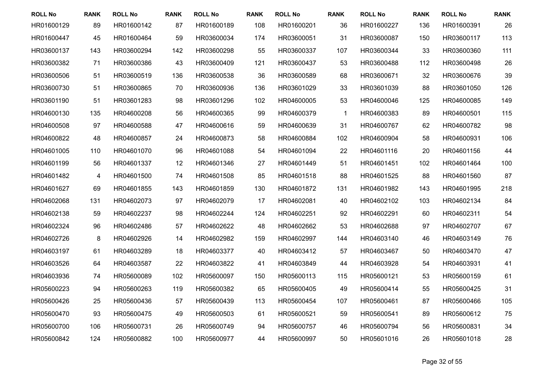| <b>ROLL No</b> | <b>RANK</b> | <b>ROLL No</b> | <b>RANK</b> | <b>ROLL No</b> | <b>RANK</b> | <b>ROLL No</b> | <b>RANK</b>  | <b>ROLL No</b> | <b>RANK</b> | <b>ROLL No</b> | <b>RANK</b> |
|----------------|-------------|----------------|-------------|----------------|-------------|----------------|--------------|----------------|-------------|----------------|-------------|
| HR01600129     | 89          | HR01600142     | 87          | HR01600189     | 108         | HR01600201     | 36           | HR01600227     | 136         | HR01600391     | 26          |
| HR01600447     | 45          | HR01600464     | 59          | HR03600034     | 174         | HR03600051     | 31           | HR03600087     | 150         | HR03600117     | 113         |
| HR03600137     | 143         | HR03600294     | 142         | HR03600298     | 55          | HR03600337     | 107          | HR03600344     | 33          | HR03600360     | 111         |
| HR03600382     | 71          | HR03600386     | 43          | HR03600409     | 121         | HR03600437     | 53           | HR03600488     | 112         | HR03600498     | 26          |
| HR03600506     | 51          | HR03600519     | 136         | HR03600538     | 36          | HR03600589     | 68           | HR03600671     | 32          | HR03600676     | 39          |
| HR03600730     | 51          | HR03600865     | 70          | HR03600936     | 136         | HR03601029     | 33           | HR03601039     | 88          | HR03601050     | 126         |
| HR03601190     | 51          | HR03601283     | 98          | HR03601296     | 102         | HR04600005     | 53           | HR04600046     | 125         | HR04600085     | 149         |
| HR04600130     | 135         | HR04600208     | 56          | HR04600365     | 99          | HR04600379     | $\mathbf{1}$ | HR04600383     | 89          | HR04600501     | 115         |
| HR04600508     | 97          | HR04600588     | 47          | HR04600616     | 59          | HR04600639     | 31           | HR04600767     | 62          | HR04600782     | 98          |
| HR04600822     | 48          | HR04600857     | 24          | HR04600873     | 58          | HR04600884     | 102          | HR04600904     | 58          | HR04600931     | 106         |
| HR04601005     | 110         | HR04601070     | 96          | HR04601088     | 54          | HR04601094     | 22           | HR04601116     | 20          | HR04601156     | 44          |
| HR04601199     | 56          | HR04601337     | 12          | HR04601346     | 27          | HR04601449     | 51           | HR04601451     | 102         | HR04601464     | 100         |
| HR04601482     | 4           | HR04601500     | 74          | HR04601508     | 85          | HR04601518     | 88           | HR04601525     | 88          | HR04601560     | 87          |
| HR04601627     | 69          | HR04601855     | 143         | HR04601859     | 130         | HR04601872     | 131          | HR04601982     | 143         | HR04601995     | 218         |
| HR04602068     | 131         | HR04602073     | 97          | HR04602079     | 17          | HR04602081     | 40           | HR04602102     | 103         | HR04602134     | 84          |
| HR04602138     | 59          | HR04602237     | 98          | HR04602244     | 124         | HR04602251     | 92           | HR04602291     | 60          | HR04602311     | 54          |
| HR04602324     | 96          | HR04602486     | 57          | HR04602622     | 48          | HR04602662     | 53           | HR04602688     | 97          | HR04602707     | 67          |
| HR04602726     | 8           | HR04602926     | 14          | HR04602982     | 159         | HR04602997     | 144          | HR04603140     | 46          | HR04603149     | 76          |
| HR04603197     | 61          | HR04603289     | 18          | HR04603377     | 40          | HR04603412     | 57           | HR04603467     | 50          | HR04603470     | 47          |
| HR04603526     | 64          | HR04603587     | 22          | HR04603822     | 41          | HR04603849     | 44           | HR04603928     | 54          | HR04603931     | 41          |
| HR04603936     | 74          | HR05600089     | 102         | HR05600097     | 150         | HR05600113     | 115          | HR05600121     | 53          | HR05600159     | 61          |
| HR05600223     | 94          | HR05600263     | 119         | HR05600382     | 65          | HR05600405     | 49           | HR05600414     | 55          | HR05600425     | 31          |
| HR05600426     | 25          | HR05600436     | 57          | HR05600439     | 113         | HR05600454     | 107          | HR05600461     | 87          | HR05600466     | 105         |
| HR05600470     | 93          | HR05600475     | 49          | HR05600503     | 61          | HR05600521     | 59           | HR05600541     | 89          | HR05600612     | 75          |
| HR05600700     | 106         | HR05600731     | 26          | HR05600749     | 94          | HR05600757     | 46           | HR05600794     | 56          | HR05600831     | 34          |
| HR05600842     | 124         | HR05600882     | 100         | HR05600977     | 44          | HR05600997     | 50           | HR05601016     | 26          | HR05601018     | 28          |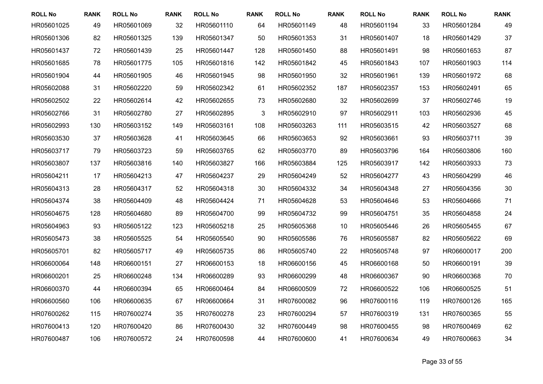| <b>ROLL No</b> | <b>RANK</b> | <b>ROLL No</b> | <b>RANK</b> | <b>ROLL No</b> | <b>RANK</b> | <b>ROLL No</b> | <b>RANK</b> | <b>ROLL No</b> | <b>RANK</b> | <b>ROLL No</b> | <b>RANK</b> |
|----------------|-------------|----------------|-------------|----------------|-------------|----------------|-------------|----------------|-------------|----------------|-------------|
| HR05601025     | 49          | HR05601069     | 32          | HR05601110     | 64          | HR05601149     | 48          | HR05601194     | 33          | HR05601284     | 49          |
| HR05601306     | 82          | HR05601325     | 139         | HR05601347     | 50          | HR05601353     | 31          | HR05601407     | 18          | HR05601429     | 37          |
| HR05601437     | 72          | HR05601439     | 25          | HR05601447     | 128         | HR05601450     | 88          | HR05601491     | 98          | HR05601653     | 87          |
| HR05601685     | 78          | HR05601775     | 105         | HR05601816     | 142         | HR05601842     | 45          | HR05601843     | 107         | HR05601903     | 114         |
| HR05601904     | 44          | HR05601905     | 46          | HR05601945     | 98          | HR05601950     | 32          | HR05601961     | 139         | HR05601972     | 68          |
| HR05602088     | 31          | HR05602220     | 59          | HR05602342     | 61          | HR05602352     | 187         | HR05602357     | 153         | HR05602491     | 65          |
| HR05602502     | 22          | HR05602614     | 42          | HR05602655     | 73          | HR05602680     | 32          | HR05602699     | 37          | HR05602746     | 19          |
| HR05602766     | 31          | HR05602780     | 27          | HR05602895     | $\sqrt{3}$  | HR05602910     | 97          | HR05602911     | 103         | HR05602936     | 45          |
| HR05602993     | 130         | HR05603152     | 149         | HR05603161     | 108         | HR05603263     | 111         | HR05603515     | 42          | HR05603527     | 68          |
| HR05603530     | 37          | HR05603628     | 41          | HR05603645     | 66          | HR05603653     | 92          | HR05603661     | 93          | HR05603711     | 39          |
| HR05603717     | 79          | HR05603723     | 59          | HR05603765     | 62          | HR05603770     | 89          | HR05603796     | 164         | HR05603806     | 160         |
| HR05603807     | 137         | HR05603816     | 140         | HR05603827     | 166         | HR05603884     | 125         | HR05603917     | 142         | HR05603933     | 73          |
| HR05604211     | 17          | HR05604213     | 47          | HR05604237     | 29          | HR05604249     | 52          | HR05604277     | 43          | HR05604299     | 46          |
| HR05604313     | 28          | HR05604317     | 52          | HR05604318     | 30          | HR05604332     | 34          | HR05604348     | 27          | HR05604356     | 30          |
| HR05604374     | 38          | HR05604409     | 48          | HR05604424     | 71          | HR05604628     | 53          | HR05604646     | 53          | HR05604666     | 71          |
| HR05604675     | 128         | HR05604680     | 89          | HR05604700     | 99          | HR05604732     | 99          | HR05604751     | 35          | HR05604858     | 24          |
| HR05604963     | 93          | HR05605122     | 123         | HR05605218     | 25          | HR05605368     | 10          | HR05605446     | 26          | HR05605455     | 67          |
| HR05605473     | 38          | HR05605525     | 54          | HR05605540     | 90          | HR05605586     | 76          | HR05605587     | 82          | HR05605622     | 69          |
| HR05605701     | 82          | HR05605717     | 49          | HR05605735     | 86          | HR05605740     | 22          | HR05605748     | 97          | HR06600017     | 200         |
| HR06600064     | 148         | HR06600151     | 27          | HR06600153     | 18          | HR06600156     | 45          | HR06600168     | 50          | HR06600191     | 39          |
| HR06600201     | 25          | HR06600248     | 134         | HR06600289     | 93          | HR06600299     | 48          | HR06600367     | 90          | HR06600368     | 70          |
| HR06600370     | 44          | HR06600394     | 65          | HR06600464     | 84          | HR06600509     | 72          | HR06600522     | 106         | HR06600525     | 51          |
| HR06600560     | 106         | HR06600635     | 67          | HR06600664     | 31          | HR07600082     | 96          | HR07600116     | 119         | HR07600126     | 165         |
| HR07600262     | 115         | HR07600274     | 35          | HR07600278     | 23          | HR07600294     | 57          | HR07600319     | 131         | HR07600365     | 55          |
| HR07600413     | 120         | HR07600420     | 86          | HR07600430     | 32          | HR07600449     | 98          | HR07600455     | 98          | HR07600469     | 62          |
| HR07600487     | 106         | HR07600572     | 24          | HR07600598     | 44          | HR07600600     | 41          | HR07600634     | 49          | HR07600663     | 34          |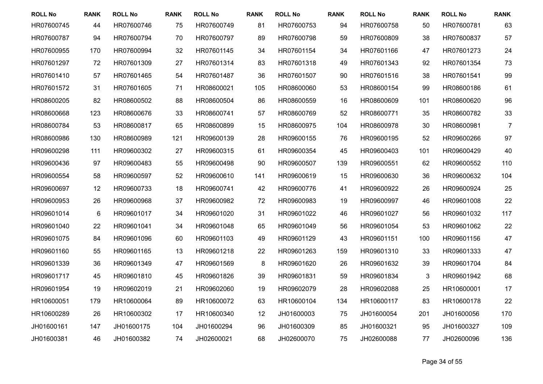| <b>ROLL No</b> | <b>RANK</b> | <b>ROLL No</b> | <b>RANK</b> | <b>ROLL No</b> | <b>RANK</b> | <b>ROLL No</b> | <b>RANK</b> | <b>ROLL No</b> | <b>RANK</b> | <b>ROLL No</b> | <b>RANK</b>    |
|----------------|-------------|----------------|-------------|----------------|-------------|----------------|-------------|----------------|-------------|----------------|----------------|
| HR07600745     | 44          | HR07600746     | 75          | HR07600749     | 81          | HR07600753     | 94          | HR07600758     | 50          | HR07600781     | 63             |
| HR07600787     | 94          | HR07600794     | 70          | HR07600797     | 89          | HR07600798     | 59          | HR07600809     | 38          | HR07600837     | 57             |
| HR07600955     | 170         | HR07600994     | 32          | HR07601145     | 34          | HR07601154     | 34          | HR07601166     | 47          | HR07601273     | 24             |
| HR07601297     | 72          | HR07601309     | 27          | HR07601314     | 83          | HR07601318     | 49          | HR07601343     | 92          | HR07601354     | 73             |
| HR07601410     | 57          | HR07601465     | 54          | HR07601487     | 36          | HR07601507     | 90          | HR07601516     | 38          | HR07601541     | 99             |
| HR07601572     | 31          | HR07601605     | 71          | HR08600021     | 105         | HR08600060     | 53          | HR08600154     | 99          | HR08600186     | 61             |
| HR08600205     | 82          | HR08600502     | 88          | HR08600504     | 86          | HR08600559     | 16          | HR08600609     | 101         | HR08600620     | 96             |
| HR08600668     | 123         | HR08600676     | 33          | HR08600741     | 57          | HR08600769     | 52          | HR08600771     | 35          | HR08600782     | 33             |
| HR08600784     | 53          | HR08600817     | 65          | HR08600899     | 15          | HR08600975     | 104         | HR08600978     | 30          | HR08600981     | $\overline{7}$ |
| HR08600986     | 130         | HR08600989     | 121         | HR09600139     | 28          | HR09600155     | 76          | HR09600195     | 52          | HR09600266     | 97             |
| HR09600298     | 111         | HR09600302     | 27          | HR09600315     | 61          | HR09600354     | 45          | HR09600403     | 101         | HR09600429     | 40             |
| HR09600436     | 97          | HR09600483     | 55          | HR09600498     | 90          | HR09600507     | 139         | HR09600551     | 62          | HR09600552     | 110            |
| HR09600554     | 58          | HR09600597     | 52          | HR09600610     | 141         | HR09600619     | 15          | HR09600630     | 36          | HR09600632     | 104            |
| HR09600697     | 12          | HR09600733     | 18          | HR09600741     | 42          | HR09600776     | 41          | HR09600922     | 26          | HR09600924     | 25             |
| HR09600953     | 26          | HR09600968     | 37          | HR09600982     | 72          | HR09600983     | 19          | HR09600997     | 46          | HR09601008     | 22             |
| HR09601014     | 6           | HR09601017     | 34          | HR09601020     | 31          | HR09601022     | 46          | HR09601027     | 56          | HR09601032     | 117            |
| HR09601040     | 22          | HR09601041     | 34          | HR09601048     | 65          | HR09601049     | 56          | HR09601054     | 53          | HR09601062     | 22             |
| HR09601075     | 84          | HR09601096     | 60          | HR09601103     | 49          | HR09601129     | 43          | HR09601151     | 100         | HR09601156     | 47             |
| HR09601160     | 55          | HR09601165     | 13          | HR09601218     | 22          | HR09601263     | 159         | HR09601310     | 33          | HR09601333     | 47             |
| HR09601339     | 36          | HR09601349     | 47          | HR09601569     | $\bf 8$     | HR09601620     | 26          | HR09601632     | 39          | HR09601704     | 84             |
| HR09601717     | 45          | HR09601810     | 45          | HR09601826     | 39          | HR09601831     | 59          | HR09601834     | 3           | HR09601942     | 68             |
| HR09601954     | 19          | HR09602019     | 21          | HR09602060     | 19          | HR09602079     | 28          | HR09602088     | 25          | HR10600001     | 17             |
| HR10600051     | 179         | HR10600064     | 89          | HR10600072     | 63          | HR10600104     | 134         | HR10600117     | 83          | HR10600178     | 22             |
| HR10600289     | 26          | HR10600302     | 17          | HR10600340     | 12          | JH01600003     | 75          | JH01600054     | 201         | JH01600056     | 170            |
| JH01600161     | 147         | JH01600175     | 104         | JH01600294     | 96          | JH01600309     | 85          | JH01600321     | 95          | JH01600327     | 109            |
| JH01600381     | 46          | JH01600382     | 74          | JH02600021     | 68          | JH02600070     | 75          | JH02600088     | 77          | JH02600096     | 136            |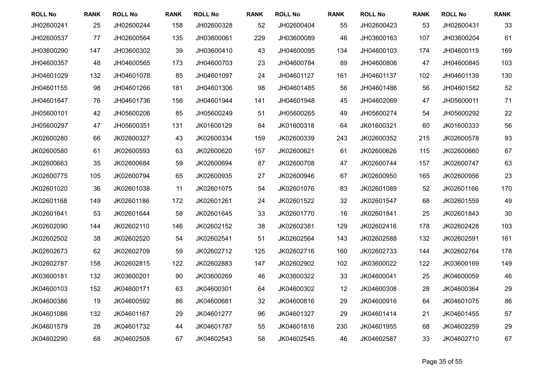| <b>ROLL No</b> | <b>RANK</b> | <b>ROLL No</b> | <b>RANK</b> | <b>ROLL No</b> | <b>RANK</b> | <b>ROLL No</b> | <b>RANK</b> | <b>ROLL No</b> | <b>RANK</b> | <b>ROLL No</b> | <b>RANK</b> |
|----------------|-------------|----------------|-------------|----------------|-------------|----------------|-------------|----------------|-------------|----------------|-------------|
| JH02600241     | 25          | JH02600244     | 158         | JH02600328     | 52          | JH02600404     | 55          | JH02600423     | 53          | JH02600431     | 33          |
| JH02600537     | 77          | JH02600564     | 135         | JH03600061     | 229         | JH03600089     | 46          | JH03600163     | 107         | JH03600204     | 61          |
| JH03600290     | 147         | JH03600302     | 39          | JH03600410     | 43          | JH04600095     | 134         | JH04600103     | 174         | JH04600119     | 169         |
| JH04600357     | 48          | JH04600565     | 173         | JH04600703     | 23          | JH04600784     | 89          | JH04600806     | 47          | JH04600845     | 103         |
| JH04601029     | 132         | JH04601078     | 85          | JH04601097     | 24          | JH04601127     | 161         | JH04601137     | 102         | JH04601139     | 130         |
| JH04601155     | 98          | JH04601266     | 181         | JH04601306     | 98          | JH04601485     | 56          | JH04601486     | 56          | JH04601582     | 52          |
| JH04601647     | 76          | JH04601736     | 156         | JH04601944     | 141         | JH04601948     | 45          | JH04602069     | 47          | JH05600011     | 71          |
| JH05600101     | 42          | JH05600206     | 85          | JH05600249     | 51          | JH05600265     | 49          | JH05600274     | 54          | JH05600292     | 22          |
| JH05600297     | 47          | JH05600351     | 131         | JK01600129     | 84          | JK01600318     | 64          | JK01600321     | 60          | JK01600333     | 56          |
| JK02600280     | 66          | JK02600327     | 43          | JK02600334     | 159         | JK02600339     | 243         | JK02600352     | 215         | JK02600578     | 93          |
| JK02600580     | 61          | JK02600593     | 63          | JK02600620     | 157         | JK02600621     | 61          | JK02600626     | 115         | JK02600660     | 67          |
| JK02600663     | 35          | JK02600684     | 59          | JK02600694     | 87          | JK02600708     | 47          | JK02600744     | 157         | JK02600747     | 63          |
| JK02600775     | 105         | JK02600794     | 65          | JK02600935     | 27          | JK02600946     | 67          | JK02600950     | 165         | JK02600956     | 23          |
| JK02601020     | 36          | JK02601038     | 11          | JK02601075     | 54          | JK02601076     | 83          | JK02601089     | 52          | JK02601166     | 170         |
| JK02601168     | 149         | JK02601186     | 172         | JK02601261     | 24          | JK02601522     | 32          | JK02601547     | 68          | JK02601559     | 49          |
| JK02601641     | 53          | JK02601644     | 58          | JK02601645     | 33          | JK02601770     | 16          | JK02601841     | 25          | JK02601843     | 30          |
| JK02602090     | 144         | JK02602110     | 146         | JK02602152     | 38          | JK02602381     | 129         | JK02602416     | 178         | JK02602428     | 103         |
| JK02602502     | 38          | JK02602520     | 54          | JK02602541     | 51          | JK02602564     | 143         | JK02602588     | 132         | JK02602591     | 161         |
| JK02602673     | 62          | JK02602709     | 59          | JK02602712     | 125         | JK02602716     | 160         | JK02602733     | 144         | JK02602764     | 178         |
| JK02602787     | 158         | JK02602815     | 122         | JK02602883     | 147         | JK02602902     | 102         | JK03600022     | 122         | JK03600169     | 149         |
| JK03600181     | 132         | JK03600201     | 90          | JK03600269     | 46          | JK03600322     | 33          | JK04600041     | 25          | JK04600059     | 46          |
| JK04600103     | 152         | JK04600171     | 63          | JK04600301     | 64          | JK04600302     | 12          | JK04600308     | 28          | JK04600364     | 29          |
| JK04600386     | 19          | JK04600592     | 86          | JK04600681     | 32          | JK04600816     | 29          | JK04600916     | 64          | JK04601075     | 86          |
| JK04601086     | 132         | JK04601167     | 29          | JK04601277     | 96          | JK04601327     | 29          | JK04601414     | 21          | JK04601455     | 57          |
| JK04601579     | 28          | JK04601732     | 44          | JK04601787     | 55          | JK04601816     | 230         | JK04601955     | 68          | JK04602259     | 29          |
| JK04602290     | 68          | JK04602508     | 67          | JK04602543     | 58          | JK04602545     | 46          | JK04602587     | 33          | JK04602710     | 67          |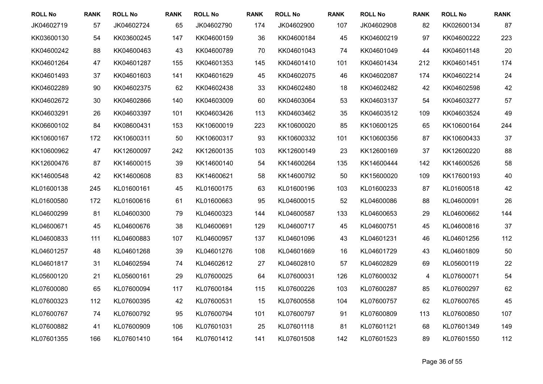| <b>ROLL No</b> | <b>RANK</b> | <b>ROLL No</b> | <b>RANK</b> | <b>ROLL No</b> | <b>RANK</b> | <b>ROLL No</b> | <b>RANK</b> | <b>ROLL No</b> | <b>RANK</b> | <b>ROLL No</b> | <b>RANK</b> |
|----------------|-------------|----------------|-------------|----------------|-------------|----------------|-------------|----------------|-------------|----------------|-------------|
| JK04602719     | 57          | JK04602724     | 65          | JK04602790     | 174         | JK04602900     | 107         | JK04602908     | 82          | KK02600134     | 87          |
| KK03600130     | 54          | KK03600245     | 147         | KK04600159     | 36          | KK04600184     | 45          | KK04600219     | 97          | KK04600222     | 223         |
| KK04600242     | 88          | KK04600463     | 43          | KK04600789     | 70          | KK04601043     | 74          | KK04601049     | 44          | KK04601148     | 20          |
| KK04601264     | 47          | KK04601287     | 155         | KK04601353     | 145         | KK04601410     | 101         | KK04601434     | 212         | KK04601451     | 174         |
| KK04601493     | 37          | KK04601603     | 141         | KK04601629     | 45          | KK04602075     | 46          | KK04602087     | 174         | KK04602214     | 24          |
| KK04602289     | 90          | KK04602375     | 62          | KK04602438     | 33          | KK04602480     | 18          | KK04602482     | 42          | KK04602598     | 42          |
| KK04602672     | 30          | KK04602866     | 140         | KK04603009     | 60          | KK04603064     | 53          | KK04603137     | 54          | KK04603277     | 57          |
| KK04603291     | 26          | KK04603397     | 101         | KK04603426     | 113         | KK04603462     | 35          | KK04603512     | 109         | KK04603524     | 49          |
| KK06600102     | 84          | KK08600431     | 153         | KK10600019     | 223         | KK10600020     | 85          | KK10600125     | 65          | KK10600164     | 244         |
| KK10600167     | 172         | KK10600311     | 50          | KK10600317     | 93          | KK10600332     | 101         | KK10600356     | 87          | KK10600433     | 37          |
| KK10600962     | 47          | KK12600097     | 242         | KK12600135     | 103         | KK12600149     | 23          | KK12600169     | 37          | KK12600220     | 88          |
| KK12600476     | 87          | KK14600015     | 39          | KK14600140     | 54          | KK14600264     | 135         | KK14600444     | 142         | KK14600526     | 58          |
| KK14600548     | 42          | KK14600608     | 83          | KK14600621     | 58          | KK14600792     | 50          | KK15600020     | 109         | KK17600193     | 40          |
| KL01600138     | 245         | KL01600161     | 45          | KL01600175     | 63          | KL01600196     | 103         | KL01600233     | 87          | KL01600518     | 42          |
| KL01600580     | 172         | KL01600616     | 61          | KL01600663     | 95          | KL04600015     | 52          | KL04600086     | 88          | KL04600091     | 26          |
| KL04600299     | 81          | KL04600300     | 79          | KL04600323     | 144         | KL04600587     | 133         | KL04600653     | 29          | KL04600662     | 144         |
| KL04600671     | 45          | KL04600676     | 38          | KL04600691     | 129         | KL04600717     | 45          | KL04600751     | 45          | KL04600816     | 37          |
| KL04600833     | 111         | KL04600883     | 107         | KL04600957     | 137         | KL04601096     | 43          | KL04601231     | 46          | KL04601256     | 112         |
| KL04601257     | 48          | KL04601268     | 39          | KL04601276     | 108         | KL04601669     | 16          | KL04601729     | 43          | KL04601809     | 50          |
| KL04601817     | 31          | KL04602594     | 74          | KL04602612     | 27          | KL04602810     | 57          | KL04602829     | 69          | KL05600119     | 22          |
| KL05600120     | 21          | KL05600161     | 29          | KL07600025     | 64          | KL07600031     | 126         | KL07600032     | 4           | KL07600071     | 54          |
| KL07600080     | 65          | KL07600094     | 117         | KL07600184     | 115         | KL07600226     | 103         | KL07600287     | 85          | KL07600297     | 62          |
| KL07600323     | 112         | KL07600395     | 42          | KL07600531     | 15          | KL07600558     | 104         | KL07600757     | 62          | KL07600765     | 45          |
| KL07600767     | 74          | KL07600792     | 95          | KL07600794     | 101         | KL07600797     | 91          | KL07600809     | 113         | KL07600850     | 107         |
| KL07600882     | 41          | KL07600909     | 106         | KL07601031     | 25          | KL07601118     | 81          | KL07601121     | 68          | KL07601349     | 149         |
| KL07601355     | 166         | KL07601410     | 164         | KL07601412     | 141         | KL07601508     | 142         | KL07601523     | 89          | KL07601550     | 112         |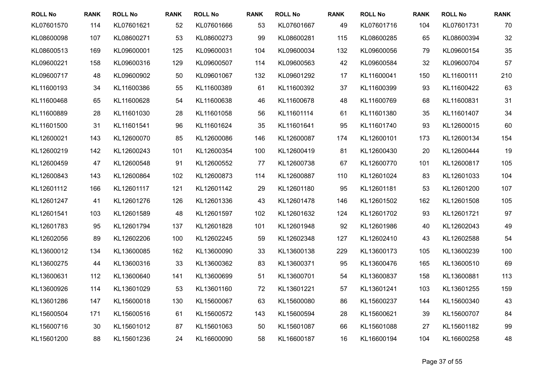| <b>ROLL No</b> | <b>RANK</b> | <b>ROLL No</b> | <b>RANK</b> | <b>ROLL No</b> | <b>RANK</b> | <b>ROLL No</b> | <b>RANK</b> | <b>ROLL No</b> | <b>RANK</b> | <b>ROLL No</b> | <b>RANK</b> |
|----------------|-------------|----------------|-------------|----------------|-------------|----------------|-------------|----------------|-------------|----------------|-------------|
| KL07601570     | 114         | KL07601621     | 52          | KL07601666     | 53          | KL07601667     | 49          | KL07601716     | 104         | KL07601731     | 70          |
| KL08600098     | 107         | KL08600271     | 53          | KL08600273     | 99          | KL08600281     | 115         | KL08600285     | 65          | KL08600394     | 32          |
| KL08600513     | 169         | KL09600001     | 125         | KL09600031     | 104         | KL09600034     | 132         | KL09600056     | 79          | KL09600154     | 35          |
| KL09600221     | 158         | KL09600316     | 129         | KL09600507     | 114         | KL09600563     | 42          | KL09600584     | 32          | KL09600704     | 57          |
| KL09600717     | 48          | KL09600902     | 50          | KL09601067     | 132         | KL09601292     | 17          | KL11600041     | 150         | KL11600111     | 210         |
| KL11600193     | 34          | KL11600386     | 55          | KL11600389     | 61          | KL11600392     | 37          | KL11600399     | 93          | KL11600422     | 63          |
| KL11600468     | 65          | KL11600628     | 54          | KL11600638     | 46          | KL11600678     | 48          | KL11600769     | 68          | KL11600831     | 31          |
| KL11600889     | 28          | KL11601030     | 28          | KL11601058     | 56          | KL11601114     | 61          | KL11601380     | 35          | KL11601407     | 34          |
| KL11601500     | 31          | KL11601541     | 96          | KL11601624     | 35          | KL11601641     | 95          | KL11601740     | 93          | KL12600015     | 60          |
| KL12600021     | 143         | KL12600070     | 85          | KL12600086     | 146         | KL12600087     | 174         | KL12600101     | 173         | KL12600134     | 154         |
| KL12600219     | 142         | KL12600243     | 101         | KL12600354     | 100         | KL12600419     | 81          | KL12600430     | 20          | KL12600444     | 19          |
| KL12600459     | 47          | KL12600548     | 91          | KL12600552     | 77          | KL12600738     | 67          | KL12600770     | 101         | KL12600817     | 105         |
| KL12600843     | 143         | KL12600864     | 102         | KL12600873     | 114         | KL12600887     | 110         | KL12601024     | 83          | KL12601033     | 104         |
| KL12601112     | 166         | KL12601117     | 121         | KL12601142     | 29          | KL12601180     | 95          | KL12601181     | 53          | KL12601200     | 107         |
| KL12601247     | 41          | KL12601276     | 126         | KL12601336     | 43          | KL12601478     | 146         | KL12601502     | 162         | KL12601508     | 105         |
| KL12601541     | 103         | KL12601589     | 48          | KL12601597     | 102         | KL12601632     | 124         | KL12601702     | 93          | KL12601721     | 97          |
| KL12601783     | 95          | KL12601794     | 137         | KL12601828     | 101         | KL12601948     | 92          | KL12601986     | 40          | KL12602043     | 49          |
| KL12602056     | 89          | KL12602206     | 100         | KL12602245     | 59          | KL12602348     | 127         | KL12602410     | 43          | KL12602588     | 54          |
| KL13600012     | 134         | KL13600085     | 162         | KL13600090     | 33          | KL13600138     | 229         | KL13600173     | 105         | KL13600239     | 100         |
| KL13600275     | 44          | KL13600316     | 33          | KL13600362     | 83          | KL13600371     | 95          | KL13600476     | 165         | KL13600510     | 69          |
| KL13600631     | 112         | KL13600640     | 141         | KL13600699     | 51          | KL13600701     | 54          | KL13600837     | 158         | KL13600881     | 113         |
| KL13600926     | 114         | KL13601029     | 53          | KL13601160     | 72          | KL13601221     | 57          | KL13601241     | 103         | KL13601255     | 159         |
| KL13601286     | 147         | KL15600018     | 130         | KL15600067     | 63          | KL15600080     | 86          | KL15600237     | 144         | KL15600340     | 43          |
| KL15600504     | 171         | KL15600516     | 61          | KL15600572     | 143         | KL15600594     | 28          | KL15600621     | 39          | KL15600707     | 84          |
| KL15600716     | 30          | KL15601012     | 87          | KL15601063     | 50          | KL15601087     | 66          | KL15601088     | 27          | KL15601182     | 99          |
| KL15601200     | 88          | KL15601236     | 24          | KL16600090     | 58          | KL16600187     | 16          | KL16600194     | 104         | KL16600258     | 48          |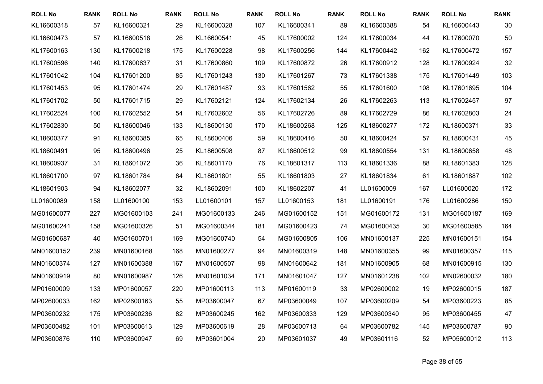| <b>ROLL No</b> | <b>RANK</b> | <b>ROLL No</b> | <b>RANK</b> | <b>ROLL No</b> | <b>RANK</b> | <b>ROLL No</b> | <b>RANK</b> | <b>ROLL No</b> | <b>RANK</b> | <b>ROLL No</b> | <b>RANK</b> |
|----------------|-------------|----------------|-------------|----------------|-------------|----------------|-------------|----------------|-------------|----------------|-------------|
| KL16600318     | 57          | KL16600321     | 29          | KL16600328     | 107         | KL16600341     | 89          | KL16600388     | 54          | KL16600443     | 30          |
| KL16600473     | 57          | KL16600518     | 26          | KL16600541     | 45          | KL17600002     | 124         | KL17600034     | 44          | KL17600070     | 50          |
| KL17600163     | 130         | KL17600218     | 175         | KL17600228     | 98          | KL17600256     | 144         | KL17600442     | 162         | KL17600472     | 157         |
| KL17600596     | 140         | KL17600637     | 31          | KL17600860     | 109         | KL17600872     | 26          | KL17600912     | 128         | KL17600924     | 32          |
| KL17601042     | 104         | KL17601200     | 85          | KL17601243     | 130         | KL17601267     | 73          | KL17601338     | 175         | KL17601449     | 103         |
| KL17601453     | 95          | KL17601474     | 29          | KL17601487     | 93          | KL17601562     | 55          | KL17601600     | 108         | KL17601695     | 104         |
| KL17601702     | 50          | KL17601715     | 29          | KL17602121     | 124         | KL17602134     | 26          | KL17602263     | 113         | KL17602457     | 97          |
| KL17602524     | 100         | KL17602552     | 54          | KL17602602     | 56          | KL17602726     | 89          | KL17602729     | 86          | KL17602803     | 24          |
| KL17602830     | 50          | KL18600046     | 133         | KL18600130     | 170         | KL18600268     | 125         | KL18600277     | 172         | KL18600371     | 33          |
| KL18600377     | 91          | KL18600385     | 65          | KL18600406     | 59          | KL18600416     | 50          | KL18600424     | 57          | KL18600431     | 45          |
| KL18600491     | 95          | KL18600496     | 25          | KL18600508     | 87          | KL18600512     | 99          | KL18600554     | 131         | KL18600658     | 48          |
| KL18600937     | 31          | KL18601072     | 36          | KL18601170     | 76          | KL18601317     | 113         | KL18601336     | 88          | KL18601383     | 128         |
| KL18601700     | 97          | KL18601784     | 84          | KL18601801     | 55          | KL18601803     | 27          | KL18601834     | 61          | KL18601887     | 102         |
| KL18601903     | 94          | KL18602077     | 32          | KL18602091     | 100         | KL18602207     | 41          | LL01600009     | 167         | LL01600020     | 172         |
| LL01600089     | 158         | LL01600100     | 153         | LL01600101     | 157         | LL01600153     | 181         | LL01600191     | 176         | LL01600286     | 150         |
| MG01600077     | 227         | MG01600103     | 241         | MG01600133     | 246         | MG01600152     | 151         | MG01600172     | 131         | MG01600187     | 169         |
| MG01600241     | 158         | MG01600326     | 51          | MG01600344     | 181         | MG01600423     | 74          | MG01600435     | 30          | MG01600585     | 164         |
| MG01600687     | 40          | MG01600701     | 169         | MG01600740     | 54          | MG01600805     | 106         | MN01600137     | 225         | MN01600151     | 154         |
| MN01600152     | 239         | MN01600168     | 168         | MN01600277     | 94          | MN01600319     | 148         | MN01600355     | 99          | MN01600357     | 115         |
| MN01600374     | 127         | MN01600388     | 167         | MN01600507     | 98          | MN01600642     | 181         | MN01600905     | 68          | MN01600915     | 130         |
| MN01600919     | 80          | MN01600987     | 126         | MN01601034     | 171         | MN01601047     | 127         | MN01601238     | 102         | MN02600032     | 180         |
| MP01600009     | 133         | MP01600057     | 220         | MP01600113     | 113         | MP01600119     | 33          | MP02600002     | 19          | MP02600015     | 187         |
| MP02600033     | 162         | MP02600163     | 55          | MP03600047     | 67          | MP03600049     | 107         | MP03600209     | 54          | MP03600223     | 85          |
| MP03600232     | 175         | MP03600236     | 82          | MP03600245     | 162         | MP03600333     | 129         | MP03600340     | 95          | MP03600455     | 47          |
| MP03600482     | 101         | MP03600613     | 129         | MP03600619     | 28          | MP03600713     | 64          | MP03600782     | 145         | MP03600787     | 90          |
| MP03600876     | 110         | MP03600947     | 69          | MP03601004     | 20          | MP03601037     | 49          | MP03601116     | 52          | MP05600012     | 113         |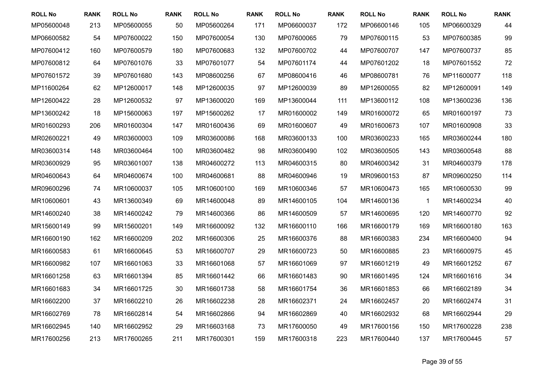| <b>ROLL No</b> | <b>RANK</b> | <b>ROLL No</b> | <b>RANK</b> | <b>ROLL No</b> | <b>RANK</b> | <b>ROLL No</b> | <b>RANK</b> | <b>ROLL No</b> | <b>RANK</b>  | <b>ROLL No</b> | <b>RANK</b> |
|----------------|-------------|----------------|-------------|----------------|-------------|----------------|-------------|----------------|--------------|----------------|-------------|
| MP05600048     | 213         | MP05600055     | 50          | MP05600264     | 171         | MP06600037     | 172         | MP06600146     | 105          | MP06600329     | 44          |
| MP06600582     | 54          | MP07600022     | 150         | MP07600054     | 130         | MP07600065     | 79          | MP07600115     | 53           | MP07600385     | 99          |
| MP07600412     | 160         | MP07600579     | 180         | MP07600683     | 132         | MP07600702     | 44          | MP07600707     | 147          | MP07600737     | 85          |
| MP07600812     | 64          | MP07601076     | 33          | MP07601077     | 54          | MP07601174     | 44          | MP07601202     | 18           | MP07601552     | 72          |
| MP07601572     | 39          | MP07601680     | 143         | MP08600256     | 67          | MP08600416     | 46          | MP08600781     | 76           | MP11600077     | 118         |
| MP11600264     | 62          | MP12600017     | 148         | MP12600035     | 97          | MP12600039     | 89          | MP12600055     | 82           | MP12600091     | 149         |
| MP12600422     | 28          | MP12600532     | 97          | MP13600020     | 169         | MP13600044     | 111         | MP13600112     | 108          | MP13600236     | 136         |
| MP13600242     | 18          | MP15600063     | 197         | MP15600262     | 17          | MR01600002     | 149         | MR01600072     | 65           | MR01600197     | 73          |
| MR01600293     | 206         | MR01600304     | 147         | MR01600436     | 69          | MR01600607     | 49          | MR01600673     | 107          | MR01600908     | 33          |
| MR02600221     | 49          | MR03600003     | 109         | MR03600086     | 168         | MR03600133     | 100         | MR03600233     | 165          | MR03600244     | 180         |
| MR03600314     | 148         | MR03600464     | 100         | MR03600482     | 98          | MR03600490     | 102         | MR03600505     | 143          | MR03600548     | 88          |
| MR03600929     | 95          | MR03601007     | 138         | MR04600272     | 113         | MR04600315     | 80          | MR04600342     | 31           | MR04600379     | 178         |
| MR04600643     | 64          | MR04600674     | 100         | MR04600681     | 88          | MR04600946     | 19          | MR09600153     | 87           | MR09600250     | 114         |
| MR09600296     | 74          | MR10600037     | 105         | MR10600100     | 169         | MR10600346     | 57          | MR10600473     | 165          | MR10600530     | 99          |
| MR10600601     | 43          | MR13600349     | 69          | MR14600048     | 89          | MR14600105     | 104         | MR14600136     | $\mathbf{1}$ | MR14600234     | 40          |
| MR14600240     | 38          | MR14600242     | 79          | MR14600366     | 86          | MR14600509     | 57          | MR14600695     | 120          | MR14600770     | 92          |
| MR15600149     | 99          | MR15600201     | 149         | MR16600092     | 132         | MR16600110     | 166         | MR16600179     | 169          | MR16600180     | 163         |
| MR16600190     | 162         | MR16600209     | 202         | MR16600306     | 25          | MR16600376     | 88          | MR16600383     | 234          | MR16600400     | 94          |
| MR16600583     | 61          | MR16600645     | 53          | MR16600707     | 29          | MR16600723     | 50          | MR16600885     | 23           | MR16600975     | 45          |
| MR16600982     | 107         | MR16601063     | 33          | MR16601068     | 57          | MR16601069     | 97          | MR16601219     | 49           | MR16601252     | 67          |
| MR16601258     | 63          | MR16601394     | 85          | MR16601442     | 66          | MR16601483     | 90          | MR16601495     | 124          | MR16601616     | 34          |
| MR16601683     | 34          | MR16601725     | 30          | MR16601738     | 58          | MR16601754     | 36          | MR16601853     | 66           | MR16602189     | 34          |
| MR16602200     | 37          | MR16602210     | 26          | MR16602238     | 28          | MR16602371     | 24          | MR16602457     | 20           | MR16602474     | 31          |
| MR16602769     | 78          | MR16602814     | 54          | MR16602866     | 94          | MR16602869     | 40          | MR16602932     | 68           | MR16602944     | 29          |
| MR16602945     | 140         | MR16602952     | 29          | MR16603168     | 73          | MR17600050     | 49          | MR17600156     | 150          | MR17600228     | 238         |
| MR17600256     | 213         | MR17600265     | 211         | MR17600301     | 159         | MR17600318     | 223         | MR17600440     | 137          | MR17600445     | 57          |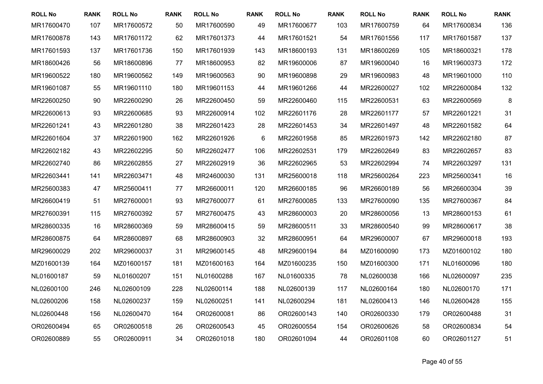| <b>ROLL No</b> | <b>RANK</b> | <b>ROLL No</b> | <b>RANK</b> | <b>ROLL No</b> | <b>RANK</b> | <b>ROLL No</b> | <b>RANK</b> | <b>ROLL No</b> | <b>RANK</b> | <b>ROLL No</b> | <b>RANK</b> |
|----------------|-------------|----------------|-------------|----------------|-------------|----------------|-------------|----------------|-------------|----------------|-------------|
| MR17600470     | 107         | MR17600572     | 50          | MR17600590     | 49          | MR17600677     | 103         | MR17600759     | 64          | MR17600834     | 136         |
| MR17600878     | 143         | MR17601172     | 62          | MR17601373     | 44          | MR17601521     | 54          | MR17601556     | 117         | MR17601587     | 137         |
| MR17601593     | 137         | MR17601736     | 150         | MR17601939     | 143         | MR18600193     | 131         | MR18600269     | 105         | MR18600321     | 178         |
| MR18600426     | 56          | MR18600896     | 77          | MR18600953     | 82          | MR19600006     | 87          | MR19600040     | 16          | MR19600373     | 172         |
| MR19600522     | 180         | MR19600562     | 149         | MR19600563     | 90          | MR19600898     | 29          | MR19600983     | 48          | MR19601000     | 110         |
| MR19601087     | 55          | MR19601110     | 180         | MR19601153     | 44          | MR19601266     | 44          | MR22600027     | 102         | MR22600084     | 132         |
| MR22600250     | 90          | MR22600290     | 26          | MR22600450     | 59          | MR22600460     | 115         | MR22600531     | 63          | MR22600569     | 8           |
| MR22600613     | 93          | MR22600685     | 93          | MR22600914     | 102         | MR22601176     | 28          | MR22601177     | 57          | MR22601221     | 31          |
| MR22601241     | 43          | MR22601280     | 38          | MR22601423     | 28          | MR22601453     | 34          | MR22601497     | 48          | MR22601582     | 64          |
| MR22601604     | 37          | MR22601900     | 162         | MR22601926     | 6           | MR22601958     | 85          | MR22601973     | 142         | MR22602180     | 87          |
| MR22602182     | 43          | MR22602295     | 50          | MR22602477     | 106         | MR22602531     | 179         | MR22602649     | 83          | MR22602657     | 83          |
| MR22602740     | 86          | MR22602855     | 27          | MR22602919     | 36          | MR22602965     | 53          | MR22602994     | 74          | MR22603297     | 131         |
| MR22603441     | 141         | MR22603471     | 48          | MR24600030     | 131         | MR25600018     | 118         | MR25600264     | 223         | MR25600341     | 16          |
| MR25600383     | 47          | MR25600411     | 77          | MR26600011     | 120         | MR26600185     | 96          | MR26600189     | 56          | MR26600304     | 39          |
| MR26600419     | 51          | MR27600001     | 93          | MR27600077     | 61          | MR27600085     | 133         | MR27600090     | 135         | MR27600367     | 84          |
| MR27600391     | 115         | MR27600392     | 57          | MR27600475     | 43          | MR28600003     | 20          | MR28600056     | 13          | MR28600153     | 61          |
| MR28600335     | 16          | MR28600369     | 59          | MR28600415     | 59          | MR28600511     | 33          | MR28600540     | 99          | MR28600617     | 38          |
| MR28600875     | 64          | MR28600897     | 68          | MR28600903     | 32          | MR28600951     | 64          | MR29600007     | 67          | MR29600018     | 193         |
| MR29600029     | 202         | MR29600037     | 31          | MR29600145     | 48          | MR29600194     | 84          | MZ01600090     | 173         | MZ01600102     | 180         |
| MZ01600139     | 164         | MZ01600157     | 181         | MZ01600163     | 164         | MZ01600235     | 150         | MZ01600300     | 171         | NL01600096     | 180         |
| NL01600187     | 59          | NL01600207     | 151         | NL01600288     | 167         | NL01600335     | 78          | NL02600038     | 166         | NL02600097     | 235         |
| NL02600100     | 246         | NL02600109     | 228         | NL02600114     | 188         | NL02600139     | 117         | NL02600164     | 180         | NL02600170     | 171         |
| NL02600206     | 158         | NL02600237     | 159         | NL02600251     | 141         | NL02600294     | 181         | NL02600413     | 146         | NL02600428     | 155         |
| NL02600448     | 156         | NL02600470     | 164         | OR02600081     | 86          | OR02600143     | 140         | OR02600330     | 179         | OR02600488     | 31          |
| OR02600494     | 65          | OR02600518     | 26          | OR02600543     | 45          | OR02600554     | 154         | OR02600626     | 58          | OR02600834     | 54          |
| OR02600889     | 55          | OR02600911     | 34          | OR02601018     | 180         | OR02601094     | 44          | OR02601108     | 60          | OR02601127     | 51          |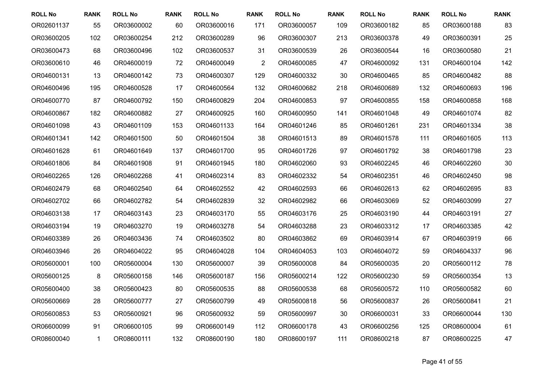| <b>ROLL No</b> | <b>RANK</b>  | <b>ROLL No</b> | <b>RANK</b> | <b>ROLL No</b> | <b>RANK</b>    | <b>ROLL No</b> | <b>RANK</b> | <b>ROLL No</b> | <b>RANK</b> | <b>ROLL No</b> | <b>RANK</b> |
|----------------|--------------|----------------|-------------|----------------|----------------|----------------|-------------|----------------|-------------|----------------|-------------|
| OR02601137     | 55           | OR03600002     | 60          | OR03600016     | 171            | OR03600057     | 109         | OR03600182     | 85          | OR03600188     | 83          |
| OR03600205     | 102          | OR03600254     | 212         | OR03600289     | 96             | OR03600307     | 213         | OR03600378     | 49          | OR03600391     | 25          |
| OR03600473     | 68           | OR03600496     | 102         | OR03600537     | 31             | OR03600539     | 26          | OR03600544     | 16          | OR03600580     | 21          |
| OR03600610     | 46           | OR04600019     | 72          | OR04600049     | $\overline{2}$ | OR04600085     | 47          | OR04600092     | 131         | OR04600104     | 142         |
| OR04600131     | 13           | OR04600142     | 73          | OR04600307     | 129            | OR04600332     | 30          | OR04600465     | 85          | OR04600482     | 88          |
| OR04600496     | 195          | OR04600528     | 17          | OR04600564     | 132            | OR04600682     | 218         | OR04600689     | 132         | OR04600693     | 196         |
| OR04600770     | 87           | OR04600792     | 150         | OR04600829     | 204            | OR04600853     | 97          | OR04600855     | 158         | OR04600858     | 168         |
| OR04600867     | 182          | OR04600882     | 27          | OR04600925     | 160            | OR04600950     | 141         | OR04601048     | 49          | OR04601074     | 82          |
| OR04601098     | 43           | OR04601109     | 153         | OR04601133     | 164            | OR04601246     | 85          | OR04601261     | 231         | OR04601334     | 38          |
| OR04601341     | 142          | OR04601500     | 50          | OR04601504     | 38             | OR04601513     | 89          | OR04601578     | 111         | OR04601605     | 113         |
| OR04601628     | 61           | OR04601649     | 137         | OR04601700     | 95             | OR04601726     | 97          | OR04601792     | 38          | OR04601798     | 23          |
| OR04601806     | 84           | OR04601908     | 91          | OR04601945     | 180            | OR04602060     | 93          | OR04602245     | 46          | OR04602260     | 30          |
| OR04602265     | 126          | OR04602268     | 41          | OR04602314     | 83             | OR04602332     | 54          | OR04602351     | 46          | OR04602450     | 98          |
| OR04602479     | 68           | OR04602540     | 64          | OR04602552     | 42             | OR04602593     | 66          | OR04602613     | 62          | OR04602695     | 83          |
| OR04602702     | 66           | OR04602782     | 54          | OR04602839     | 32             | OR04602982     | 66          | OR04603069     | 52          | OR04603099     | 27          |
| OR04603138     | 17           | OR04603143     | 23          | OR04603170     | 55             | OR04603176     | 25          | OR04603190     | 44          | OR04603191     | 27          |
| OR04603194     | 19           | OR04603270     | 19          | OR04603278     | 54             | OR04603288     | 23          | OR04603312     | 17          | OR04603385     | 42          |
| OR04603389     | 26           | OR04603436     | 74          | OR04603502     | 80             | OR04603862     | 69          | OR04603914     | 67          | OR04603919     | 66          |
| OR04603946     | 26           | OR04604022     | 95          | OR04604028     | 104            | OR04604053     | 103         | OR04604072     | 59          | OR04604337     | 96          |
| OR05600001     | 100          | OR05600004     | 130         | OR05600007     | 39             | OR05600008     | 84          | OR05600035     | 20          | OR05600112     | 78          |
| OR05600125     | 8            | OR05600158     | 146         | OR05600187     | 156            | OR05600214     | 122         | OR05600230     | 59          | OR05600354     | 13          |
| OR05600400     | 38           | OR05600423     | 80          | OR05600535     | 88             | OR05600538     | 68          | OR05600572     | 110         | OR05600582     | 60          |
| OR05600669     | 28           | OR05600777     | 27          | OR05600799     | 49             | OR05600818     | 56          | OR05600837     | 26          | OR05600841     | 21          |
| OR05600853     | 53           | OR05600921     | 96          | OR05600932     | 59             | OR05600997     | 30          | OR06600031     | 33          | OR06600044     | 130         |
| OR06600099     | 91           | OR06600105     | 99          | OR06600149     | 112            | OR06600178     | 43          | OR06600256     | 125         | OR08600004     | 61          |
| OR08600040     | $\mathbf{1}$ | OR08600111     | 132         | OR08600190     | 180            | OR08600197     | 111         | OR08600218     | 87          | OR08600225     | 47          |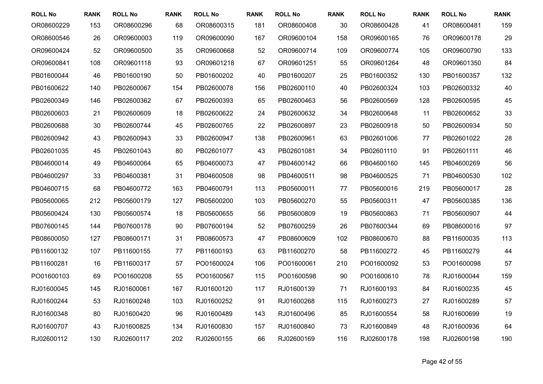| <b>ROLL No</b> | <b>RANK</b> | <b>ROLL No</b> | <b>RANK</b> | <b>ROLL No</b> | <b>RANK</b> | <b>ROLL No</b> | <b>RANK</b> | <b>ROLL No</b> | <b>RANK</b> | <b>ROLL No</b> | <b>RANK</b> |
|----------------|-------------|----------------|-------------|----------------|-------------|----------------|-------------|----------------|-------------|----------------|-------------|
| OR08600229     | 153         | OR08600296     | 68          | OR08600315     | 181         | OR08600408     | 30          | OR08600428     | 41          | OR08600481     | 159         |
| OR08600546     | 26          | OR09600003     | 119         | OR09600090     | 167         | OR09600104     | 158         | OR09600165     | 76          | OR09600178     | 29          |
| OR09600424     | 52          | OR09600500     | 35          | OR09600668     | 52          | OR09600714     | 109         | OR09600774     | 105         | OR09600790     | 133         |
| OR09600841     | 108         | OR09601118     | 93          | OR09601218     | 67          | OR09601251     | 55          | OR09601264     | 48          | OR09601350     | 84          |
| PB01600044     | 46          | PB01600190     | 50          | PB01600202     | 40          | PB01600207     | 25          | PB01600352     | 130         | PB01600357     | 132         |
| PB01600622     | 140         | PB02600067     | 154         | PB02600078     | 156         | PB02600110     | 40          | PB02600324     | 103         | PB02600332     | 40          |
| PB02600349     | 146         | PB02600362     | 67          | PB02600393     | 65          | PB02600463     | 56          | PB02600569     | 128         | PB02600595     | 45          |
| PB02600603     | 21          | PB02600609     | 18          | PB02600622     | 24          | PB02600632     | 34          | PB02600648     | 11          | PB02600652     | 33          |
| PB02600688     | 30          | PB02600744     | 45          | PB02600765     | 22          | PB02600897     | 23          | PB02600918     | 50          | PB02600934     | 50          |
| PB02600942     | 43          | PB02600943     | 33          | PB02600947     | 138         | PB02600961     | 63          | PB02601006     | 77          | PB02601022     | 28          |
| PB02601035     | 45          | PB02601043     | 80          | PB02601077     | 43          | PB02601081     | 34          | PB02601110     | 91          | PB02601111     | 46          |
| PB04600014     | 49          | PB04600064     | 65          | PB04600073     | 47          | PB04600142     | 66          | PB04600160     | 145         | PB04600269     | 56          |
| PB04600297     | 33          | PB04600381     | 31          | PB04600508     | 98          | PB04600511     | 98          | PB04600525     | 71          | PB04600530     | 102         |
| PB04600715     | 68          | PB04600772     | 163         | PB04600791     | 113         | PB05600011     | 77          | PB05600016     | 219         | PB05600017     | 28          |
| PB05600065     | 212         | PB05600179     | 127         | PB05600200     | 103         | PB05600270     | 55          | PB05600311     | 47          | PB05600385     | 136         |
| PB05600424     | 130         | PB05600574     | 18          | PB05600655     | 56          | PB05600809     | 19          | PB05600863     | 71          | PB05600907     | 44          |
| PB07600145     | 144         | PB07600178     | 90          | PB07600194     | 52          | PB07600259     | 26          | PB07600344     | 69          | PB08600016     | 97          |
| PB08600050     | 127         | PB08600171     | 31          | PB08600573     | 47          | PB08600609     | 102         | PB08600670     | 88          | PB11600035     | 113         |
| PB11600132     | 107         | PB11600155     | 77          | PB11600193     | 63          | PB11600270     | 58          | PB11600272     | 45          | PB11600279     | 44          |
| PB11600281     | 16          | PB11600317     | 57          | PO01600024     | 106         | PO01600061     | 210         | PO01600092     | 53          | PO01600098     | 57          |
| PO01600103     | 69          | PO01600208     | 55          | PO01600567     | 115         | PO01600598     | 90          | PO01600610     | 78          | RJ01600044     | 159         |
| RJ01600045     | 145         | RJ01600061     | 167         | RJ01600120     | 117         | RJ01600139     | 71          | RJ01600193     | 84          | RJ01600235     | 45          |
| RJ01600244     | 53          | RJ01600248     | 103         | RJ01600252     | 91          | RJ01600268     | 115         | RJ01600273     | 27          | RJ01600289     | 57          |
| RJ01600348     | 80          | RJ01600420     | 96          | RJ01600489     | 143         | RJ01600496     | 85          | RJ01600554     | 58          | RJ01600699     | 19          |
| RJ01600707     | 43          | RJ01600825     | 134         | RJ01600830     | 157         | RJ01600840     | 73          | RJ01600849     | 48          | RJ01600936     | 64          |
| RJ02600112     | 130         | RJ02600117     | 202         | RJ02600155     | 66          | RJ02600169     | 116         | RJ02600178     | 198         | RJ02600198     | 190         |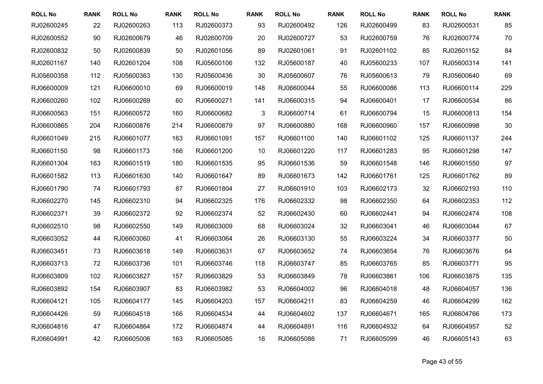| <b>ROLL No</b> | <b>RANK</b> | <b>ROLL No</b> | <b>RANK</b> | <b>ROLL No</b> | <b>RANK</b> | <b>ROLL No</b> | <b>RANK</b> | <b>ROLL No</b> | <b>RANK</b> | <b>ROLL No</b> | <b>RANK</b> |
|----------------|-------------|----------------|-------------|----------------|-------------|----------------|-------------|----------------|-------------|----------------|-------------|
| RJ02600245     | 22          | RJ02600263     | 113         | RJ02600373     | 93          | RJ02600492     | 126         | RJ02600499     | 83          | RJ02600531     | 85          |
| RJ02600552     | 90          | RJ02600679     | 46          | RJ02600709     | 20          | RJ02600727     | 53          | RJ02600759     | 76          | RJ02600774     | 70          |
| RJ02600832     | 50          | RJ02600839     | 50          | RJ02601056     | 89          | RJ02601061     | 91          | RJ02601102     | 85          | RJ02601152     | 84          |
| RJ02601167     | 140         | RJ02601204     | 108         | RJ05600106     | 132         | RJ05600187     | 40          | RJ05600233     | 107         | RJ05600314     | 141         |
| RJ05600358     | 112         | RJ05600363     | 130         | RJ05600436     | 30          | RJ05600607     | 76          | RJ05600613     | 79          | RJ05600640     | 69          |
| RJ06600009     | 121         | RJ06600010     | 69          | RJ06600019     | 148         | RJ06600044     | 55          | RJ06600086     | 113         | RJ06600114     | 229         |
| RJ06600260     | 102         | RJ06600269     | 60          | RJ06600271     | 141         | RJ06600315     | 94          | RJ06600401     | 17          | RJ06600534     | 86          |
| RJ06600563     | 151         | RJ06600572     | 160         | RJ06600682     | 3           | RJ06600714     | 61          | RJ06600794     | 15          | RJ06600813     | 154         |
| RJ06600865     | 204         | RJ06600876     | 214         | RJ06600879     | 97          | RJ06600880     | 168         | RJ06600960     | 157         | RJ06600998     | 30          |
| RJ06601049     | 215         | RJ06601077     | 163         | RJ06601091     | 157         | RJ06601100     | 140         | RJ06601102     | 125         | RJ06601137     | 244         |
| RJ06601150     | 98          | RJ06601173     | 166         | RJ06601200     | 10          | RJ06601220     | 117         | RJ06601283     | 95          | RJ06601298     | 147         |
| RJ06601304     | 163         | RJ06601519     | 180         | RJ06601535     | 95          | RJ06601536     | 59          | RJ06601548     | 146         | RJ06601550     | 97          |
| RJ06601582     | 113         | RJ06601630     | 140         | RJ06601647     | 89          | RJ06601673     | 142         | RJ06601761     | 125         | RJ06601762     | 89          |
| RJ06601790     | 74          | RJ06601793     | 87          | RJ06601804     | 27          | RJ06601910     | 103         | RJ06602173     | 32          | RJ06602193     | 110         |
| RJ06602270     | 145         | RJ06602310     | 94          | RJ06602325     | 176         | RJ06602332     | 98          | RJ06602350     | 64          | RJ06602353     | 112         |
| RJ06602371     | 39          | RJ06602372     | 92          | RJ06602374     | 52          | RJ06602430     | 60          | RJ06602441     | 94          | RJ06602474     | 108         |
| RJ06602510     | 98          | RJ06602550     | 149         | RJ06603009     | 68          | RJ06603024     | 32          | RJ06603041     | 46          | RJ06603044     | 67          |
| RJ06603052     | 44          | RJ06603060     | 41          | RJ06603064     | 26          | RJ06603130     | 55          | RJ06603224     | 34          | RJ06603377     | 50          |
| RJ06603451     | 73          | RJ06603618     | 149         | RJ06603631     | 67          | RJ06603652     | 74          | RJ06603654     | 76          | RJ06603676     | 64          |
| RJ06603713     | 72          | RJ06603736     | 101         | RJ06603746     | 118         | RJ06603747     | 85          | RJ06603765     | 85          | RJ06603771     | 95          |
| RJ06603809     | 102         | RJ06603827     | 157         | RJ06603829     | 53          | RJ06603849     | 78          | RJ06603861     | 106         | RJ06603875     | 135         |
| RJ06603892     | 154         | RJ06603907     | 83          | RJ06603982     | 53          | RJ06604002     | 96          | RJ06604018     | 48          | RJ06604057     | 136         |
| RJ06604121     | 105         | RJ06604177     | 145         | RJ06604203     | 157         | RJ06604211     | 83          | RJ06604259     | 46          | RJ06604299     | 162         |
| RJ06604426     | 59          | RJ06604518     | 166         | RJ06604534     | 44          | RJ06604602     | 137         | RJ06604671     | 165         | RJ06604766     | 173         |
| RJ06604816     | 47          | RJ06604864     | 172         | RJ06604874     | 44          | RJ06604891     | 116         | RJ06604932     | 64          | RJ06604957     | 52          |
| RJ06604991     | 42          | RJ06605006     | 163         | RJ06605085     | 16          | RJ06605086     | 71          | RJ06605099     | 46          | RJ06605143     | 63          |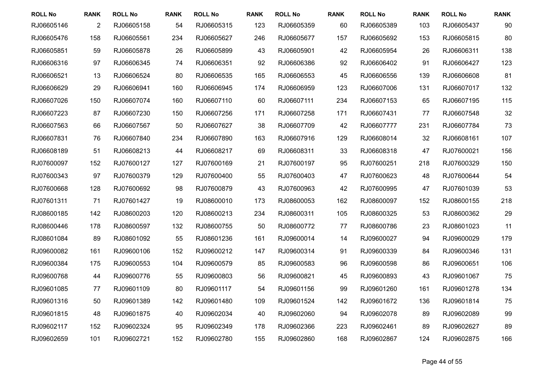| <b>ROLL No</b> | <b>RANK</b>    | <b>ROLL No</b> | <b>RANK</b> | <b>ROLL No</b> | <b>RANK</b> | <b>ROLL No</b> | <b>RANK</b> | <b>ROLL No</b> | <b>RANK</b> | <b>ROLL No</b> | <b>RANK</b> |
|----------------|----------------|----------------|-------------|----------------|-------------|----------------|-------------|----------------|-------------|----------------|-------------|
| RJ06605146     | $\overline{2}$ | RJ06605158     | 54          | RJ06605315     | 123         | RJ06605359     | 60          | RJ06605389     | 103         | RJ06605437     | 90          |
| RJ06605476     | 158            | RJ06605561     | 234         | RJ06605627     | 246         | RJ06605677     | 157         | RJ06605692     | 153         | RJ06605815     | 80          |
| RJ06605851     | 59             | RJ06605878     | 26          | RJ06605899     | 43          | RJ06605901     | 42          | RJ06605954     | 26          | RJ06606311     | 138         |
| RJ06606316     | 97             | RJ06606345     | 74          | RJ06606351     | 92          | RJ06606386     | 92          | RJ06606402     | 91          | RJ06606427     | 123         |
| RJ06606521     | 13             | RJ06606524     | 80          | RJ06606535     | 165         | RJ06606553     | 45          | RJ06606556     | 139         | RJ06606608     | 81          |
| RJ06606629     | 29             | RJ06606941     | 160         | RJ06606945     | 174         | RJ06606959     | 123         | RJ06607006     | 131         | RJ06607017     | 132         |
| RJ06607026     | 150            | RJ06607074     | 160         | RJ06607110     | 60          | RJ06607111     | 234         | RJ06607153     | 65          | RJ06607195     | 115         |
| RJ06607223     | 87             | RJ06607230     | 150         | RJ06607256     | 171         | RJ06607258     | 171         | RJ06607431     | 77          | RJ06607548     | 32          |
| RJ06607563     | 66             | RJ06607567     | 50          | RJ06607627     | 38          | RJ06607709     | 42          | RJ06607777     | 231         | RJ06607784     | 73          |
| RJ06607831     | 76             | RJ06607840     | 234         | RJ06607890     | 163         | RJ06607916     | 129         | RJ06608014     | 32          | RJ06608161     | 107         |
| RJ06608189     | 51             | RJ06608213     | 44          | RJ06608217     | 69          | RJ06608311     | 33          | RJ06608318     | 47          | RJ07600021     | 156         |
| RJ07600097     | 152            | RJ07600127     | 127         | RJ07600169     | 21          | RJ07600197     | 95          | RJ07600251     | 218         | RJ07600329     | 150         |
| RJ07600343     | 97             | RJ07600379     | 129         | RJ07600400     | 55          | RJ07600403     | 47          | RJ07600623     | 48          | RJ07600644     | 54          |
| RJ07600668     | 128            | RJ07600692     | 98          | RJ07600879     | 43          | RJ07600963     | 42          | RJ07600995     | 47          | RJ07601039     | 53          |
| RJ07601311     | 71             | RJ07601427     | 19          | RJ08600010     | 173         | RJ08600053     | 162         | RJ08600097     | 152         | RJ08600155     | 218         |
| RJ08600185     | 142            | RJ08600203     | 120         | RJ08600213     | 234         | RJ08600311     | 105         | RJ08600325     | 53          | RJ08600362     | 29          |
| RJ08600446     | 178            | RJ08600597     | 132         | RJ08600755     | 50          | RJ08600772     | 77          | RJ08600786     | 23          | RJ08601023     | 11          |
| RJ08601084     | 89             | RJ08601092     | 55          | RJ08601236     | 161         | RJ09600014     | 14          | RJ09600027     | 94          | RJ09600029     | 179         |
| RJ09600082     | 161            | RJ09600106     | 152         | RJ09600212     | 147         | RJ09600314     | 91          | RJ09600339     | 84          | RJ09600346     | 131         |
| RJ09600384     | 175            | RJ09600553     | 104         | RJ09600579     | 85          | RJ09600583     | 96          | RJ09600598     | 86          | RJ09600651     | 106         |
| RJ09600768     | 44             | RJ09600776     | 55          | RJ09600803     | 56          | RJ09600821     | 45          | RJ09600893     | 43          | RJ09601067     | 75          |
| RJ09601085     | 77             | RJ09601109     | 80          | RJ09601117     | 54          | RJ09601156     | 99          | RJ09601260     | 161         | RJ09601278     | 134         |
| RJ09601316     | 50             | RJ09601389     | 142         | RJ09601480     | 109         | RJ09601524     | 142         | RJ09601672     | 136         | RJ09601814     | 75          |
| RJ09601815     | 48             | RJ09601875     | 40          | RJ09602034     | 40          | RJ09602060     | 94          | RJ09602078     | 89          | RJ09602089     | 99          |
| RJ09602117     | 152            | RJ09602324     | 95          | RJ09602349     | 178         | RJ09602366     | 223         | RJ09602461     | 89          | RJ09602627     | 89          |
| RJ09602659     | 101            | RJ09602721     | 152         | RJ09602780     | 155         | RJ09602860     | 168         | RJ09602867     | 124         | RJ09602875     | 166         |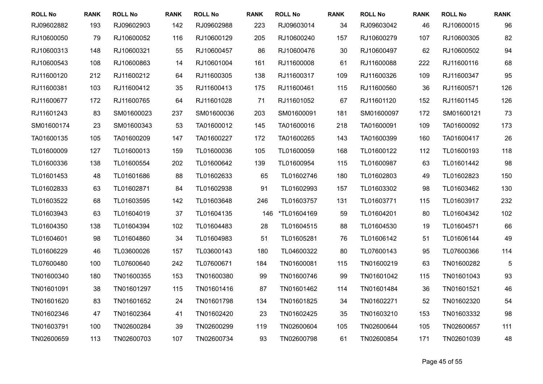| <b>ROLL No</b> | <b>RANK</b> | <b>ROLL No</b> | <b>RANK</b> | <b>ROLL No</b> | <b>RANK</b> | <b>ROLL No</b> | <b>RANK</b> | <b>ROLL No</b> | <b>RANK</b> | <b>ROLL No</b> | <b>RANK</b> |
|----------------|-------------|----------------|-------------|----------------|-------------|----------------|-------------|----------------|-------------|----------------|-------------|
| RJ09602882     | 193         | RJ09602903     | 142         | RJ09602988     | 223         | RJ09603014     | 34          | RJ09603042     | 46          | RJ10600015     | 96          |
| RJ10600050     | 79          | RJ10600052     | 116         | RJ10600129     | 205         | RJ10600240     | 157         | RJ10600279     | 107         | RJ10600305     | 82          |
| RJ10600313     | 148         | RJ10600321     | 55          | RJ10600457     | 86          | RJ10600476     | 30          | RJ10600497     | 62          | RJ10600502     | 94          |
| RJ10600543     | 108         | RJ10600863     | 14          | RJ10601004     | 161         | RJ11600008     | 61          | RJ11600088     | 222         | RJ11600116     | 68          |
| RJ11600120     | 212         | RJ11600212     | 64          | RJ11600305     | 138         | RJ11600317     | 109         | RJ11600326     | 109         | RJ11600347     | 95          |
| RJ11600381     | 103         | RJ11600412     | 35          | RJ11600413     | 175         | RJ11600461     | 115         | RJ11600560     | 36          | RJ11600571     | 126         |
| RJ11600677     | 172         | RJ11600765     | 64          | RJ11601028     | 71          | RJ11601052     | 67          | RJ11601120     | 152         | RJ11601145     | 126         |
| RJ11601243     | 83          | SM01600023     | 237         | SM01600036     | 203         | SM01600091     | 181         | SM01600097     | 172         | SM01600121     | 73          |
| SM01600174     | 23          | SM01600343     | 53          | TA01600012     | 145         | TA01600016     | 218         | TA01600091     | 109         | TA01600092     | 173         |
| TA01600135     | 105         | TA01600209     | 147         | TA01600227     | 172         | TA01600265     | 143         | TA01600399     | 160         | TA01600417     | 26          |
| TL01600009     | 127         | TL01600013     | 159         | TL01600036     | 105         | TL01600059     | 168         | TL01600122     | 112         | TL01600193     | 118         |
| TL01600336     | 138         | TL01600554     | 202         | TL01600642     | 139         | TL01600954     | 115         | TL01600987     | 63          | TL01601442     | 98          |
| TL01601453     | 48          | TL01601686     | 88          | TL01602633     | 65          | TL01602746     | 180         | TL01602803     | 49          | TL01602823     | 150         |
| TL01602833     | 63          | TL01602871     | 84          | TL01602938     | 91          | TL01602993     | 157         | TL01603302     | 98          | TL01603462     | 130         |
| TL01603522     | 68          | TL01603595     | 142         | TL01603648     | 246         | TL01603757     | 131         | TL01603771     | 115         | TL01603917     | 232         |
| TL01603943     | 63          | TL01604019     | 37          | TL01604135     | 146         | *TL01604169    | 59          | TL01604201     | 80          | TL01604342     | 102         |
| TL01604350     | 138         | TL01604394     | 102         | TL01604483     | 28          | TL01604515     | 88          | TL01604530     | 19          | TL01604571     | 66          |
| TL01604601     | 98          | TL01604860     | 34          | TL01604983     | 51          | TL01605281     | 76          | TL01606142     | 51          | TL01606144     | 49          |
| TL01606229     | 46          | TL03600026     | 157         | TL03600143     | 180         | TL04600322     | 80          | TL07600143     | 95          | TL07600366     | 114         |
| TL07600480     | 100         | TL07600640     | 242         | TL07600671     | 184         | TN01600081     | 115         | TN01600219     | 63          | TN01600282     | 5           |
| TN01600340     | 180         | TN01600355     | 153         | TN01600380     | 99          | TN01600746     | 99          | TN01601042     | 115         | TN01601043     | 93          |
| TN01601091     | 38          | TN01601297     | 115         | TN01601416     | 87          | TN01601462     | 114         | TN01601484     | 36          | TN01601521     | 46          |
| TN01601620     | 83          | TN01601652     | 24          | TN01601798     | 134         | TN01601825     | 34          | TN01602271     | 52          | TN01602320     | 54          |
| TN01602346     | 47          | TN01602364     | 41          | TN01602420     | 23          | TN01602425     | 35          | TN01603210     | 153         | TN01603332     | 98          |
| TN01603791     | 100         | TN02600284     | 39          | TN02600299     | 119         | TN02600604     | 105         | TN02600644     | 105         | TN02600657     | 111         |
| TN02600659     | 113         | TN02600703     | 107         | TN02600734     | 93          | TN02600798     | 61          | TN02600854     | 171         | TN02601039     | 48          |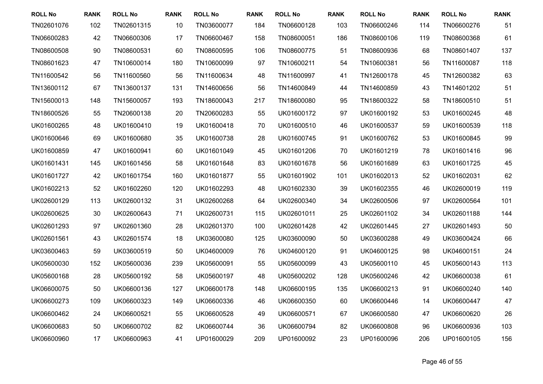| <b>ROLL No</b> | <b>RANK</b> | <b>ROLL No</b> | <b>RANK</b> | <b>ROLL No</b> | <b>RANK</b> | <b>ROLL No</b> | <b>RANK</b> | <b>ROLL No</b> | <b>RANK</b> | <b>ROLL No</b> | <b>RANK</b> |
|----------------|-------------|----------------|-------------|----------------|-------------|----------------|-------------|----------------|-------------|----------------|-------------|
| TN02601076     | 102         | TN02601315     | 10          | TN03600077     | 184         | TN06600128     | 103         | TN06600246     | 114         | TN06600276     | 51          |
| TN06600283     | 42          | TN06600306     | 17          | TN06600467     | 158         | TN08600051     | 186         | TN08600106     | 119         | TN08600368     | 61          |
| TN08600508     | 90          | TN08600531     | 60          | TN08600595     | 106         | TN08600775     | 51          | TN08600936     | 68          | TN08601407     | 137         |
| TN08601623     | 47          | TN10600014     | 180         | TN10600099     | 97          | TN10600211     | 54          | TN10600381     | 56          | TN11600087     | 118         |
| TN11600542     | 56          | TN11600560     | 56          | TN11600634     | 48          | TN11600997     | 41          | TN12600178     | 45          | TN12600382     | 63          |
| TN13600112     | 67          | TN13600137     | 131         | TN14600656     | 56          | TN14600849     | 44          | TN14600859     | 43          | TN14601202     | 51          |
| TN15600013     | 148         | TN15600057     | 193         | TN18600043     | 217         | TN18600080     | 95          | TN18600322     | 58          | TN18600510     | 51          |
| TN18600526     | 55          | TN20600138     | 20          | TN20600283     | 55          | UK01600172     | 97          | UK01600192     | 53          | UK01600245     | 48          |
| UK01600265     | 48          | UK01600410     | 19          | UK01600418     | 70          | UK01600510     | 46          | UK01600537     | 59          | UK01600539     | 118         |
| UK01600646     | 69          | UK01600680     | 35          | UK01600738     | 28          | UK01600745     | 91          | UK01600762     | 53          | UK01600845     | 99          |
| UK01600859     | 47          | UK01600941     | 60          | UK01601049     | 45          | UK01601206     | 70          | UK01601219     | 78          | UK01601416     | 96          |
| UK01601431     | 145         | UK01601456     | 58          | UK01601648     | 83          | UK01601678     | 56          | UK01601689     | 63          | UK01601725     | 45          |
| UK01601727     | 42          | UK01601754     | 160         | UK01601877     | 55          | UK01601902     | 101         | UK01602013     | 52          | UK01602031     | 62          |
| UK01602213     | 52          | UK01602260     | 120         | UK01602293     | 48          | UK01602330     | 39          | UK01602355     | 46          | UK02600019     | 119         |
| UK02600129     | 113         | UK02600132     | 31          | UK02600268     | 64          | UK02600340     | 34          | UK02600506     | 97          | UK02600564     | 101         |
| UK02600625     | 30          | UK02600643     | 71          | UK02600731     | 115         | UK02601011     | 25          | UK02601102     | 34          | UK02601188     | 144         |
| UK02601293     | 97          | UK02601360     | 28          | UK02601370     | 100         | UK02601428     | 42          | UK02601445     | 27          | UK02601493     | 50          |
| UK02601561     | 43          | UK02601574     | 18          | UK03600080     | 125         | UK03600090     | 50          | UK03600288     | 49          | UK03600424     | 66          |
| UK03600463     | 59          | UK03600519     | 50          | UK04600009     | 76          | UK04600120     | 91          | UK04600125     | 98          | UK04600151     | 24          |
| UK05600030     | 152         | UK05600036     | 239         | UK05600091     | 55          | UK05600099     | 43          | UK05600110     | 45          | UK05600143     | 113         |
| UK05600168     | 28          | UK05600192     | 58          | UK05600197     | 48          | UK05600202     | 128         | UK05600246     | 42          | UK06600038     | 61          |
| UK06600075     | 50          | UK06600136     | 127         | UK06600178     | 148         | UK06600195     | 135         | UK06600213     | 91          | UK06600240     | 140         |
| UK06600273     | 109         | UK06600323     | 149         | UK06600336     | 46          | UK06600350     | 60          | UK06600446     | 14          | UK06600447     | 47          |
| UK06600462     | 24          | UK06600521     | 55          | UK06600528     | 49          | UK06600571     | 67          | UK06600580     | 47          | UK06600620     | 26          |
| UK06600683     | 50          | UK06600702     | 82          | UK06600744     | 36          | UK06600794     | 82          | UK06600808     | 96          | UK06600936     | 103         |
| UK06600960     | 17          | UK06600963     | 41          | UP01600029     | 209         | UP01600092     | 23          | UP01600096     | 206         | UP01600105     | 156         |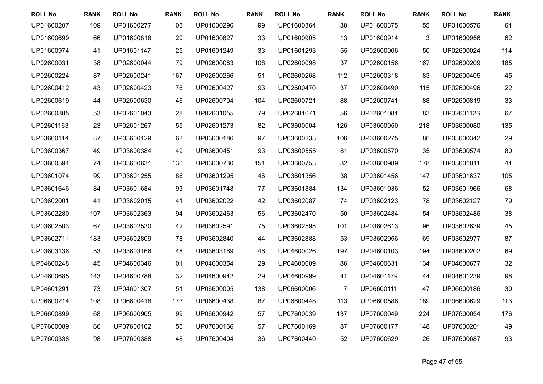| <b>ROLL No</b> | <b>RANK</b> | <b>ROLL No</b> | <b>RANK</b> | <b>ROLL No</b> | <b>RANK</b> | <b>ROLL No</b> | <b>RANK</b>    | <b>ROLL No</b> | <b>RANK</b> | <b>ROLL No</b> | <b>RANK</b> |
|----------------|-------------|----------------|-------------|----------------|-------------|----------------|----------------|----------------|-------------|----------------|-------------|
| UP01600207     | 109         | UP01600277     | 103         | UP01600296     | 99          | UP01600364     | 38             | UP01600375     | 55          | UP01600576     | 64          |
| UP01600699     | 66          | UP01600818     | 20          | UP01600827     | 33          | UP01600905     | 13             | UP01600914     | 3           | UP01600956     | 62          |
| UP01600974     | 41          | UP01601147     | 25          | UP01601249     | 33          | UP01601293     | 55             | UP02600006     | 50          | UP02600024     | 114         |
| UP02600031     | 38          | UP02600044     | 79          | UP02600083     | 108         | UP02600098     | 37             | UP02600156     | 167         | UP02600209     | 185         |
| UP02600224     | 87          | UP02600241     | 167         | UP02600266     | 51          | UP02600268     | 112            | UP02600318     | 83          | UP02600405     | 45          |
| UP02600412     | 43          | UP02600423     | 76          | UP02600427     | 93          | UP02600470     | 37             | UP02600490     | 115         | UP02600496     | 22          |
| UP02600619     | 44          | UP02600630     | 46          | UP02600704     | 104         | UP02600721     | 88             | UP02600741     | 88          | UP02600819     | 33          |
| UP02600885     | 53          | UP02601043     | 28          | UP02601055     | 79          | UP02601071     | 56             | UP02601081     | 83          | UP02601126     | 67          |
| UP02601163     | 23          | UP02601267     | 55          | UP02601273     | 82          | UP03600004     | 126            | UP03600050     | 218         | UP03600080     | 135         |
| UP03600114     | 87          | UP03600129     | 63          | UP03600186     | 97          | UP03600233     | 106            | UP03600275     | 86          | UP03600342     | 29          |
| UP03600367     | 49          | UP03600384     | 49          | UP03600451     | 93          | UP03600555     | 81             | UP03600570     | 35          | UP03600574     | 80          |
| UP03600594     | 74          | UP03600631     | 130         | UP03600730     | 151         | UP03600753     | 82             | UP03600989     | 178         | UP03601011     | 44          |
| UP03601074     | 99          | UP03601255     | 86          | UP03601295     | 46          | UP03601356     | 38             | UP03601456     | 147         | UP03601637     | 105         |
| UP03601646     | 84          | UP03601684     | 93          | UP03601748     | 77          | UP03601884     | 134            | UP03601936     | 52          | UP03601966     | 68          |
| UP03602001     | 41          | UP03602015     | 41          | UP03602022     | 42          | UP03602087     | 74             | UP03602123     | 78          | UP03602127     | 79          |
| UP03602280     | 107         | UP03602363     | 94          | UP03602463     | 56          | UP03602470     | 50             | UP03602484     | 54          | UP03602486     | 38          |
| UP03602503     | 67          | UP03602530     | 42          | UP03602591     | 75          | UP03602595     | 101            | UP03602613     | 96          | UP03602639     | 45          |
| UP03602711     | 183         | UP03602809     | 78          | UP03602840     | 44          | UP03602888     | 53             | UP03602956     | 69          | UP03602977     | 87          |
| UP03603136     | 53          | UP03603166     | 48          | UP03603169     | 46          | UP04600026     | 197            | UP04600103     | 194         | UP04600202     | 69          |
| UP04600248     | 45          | UP04600346     | 101         | UP04600354     | 29          | UP04600609     | 86             | UP04600631     | 134         | UP04600677     | 32          |
| UP04600685     | 143         | UP04600788     | 32          | UP04600942     | 29          | UP04600999     | 41             | UP04601179     | 44          | UP04601239     | 98          |
| UP04601291     | 73          | UP04601307     | 51          | UP06600005     | 138         | UP06600006     | $\overline{7}$ | UP06600111     | 47          | UP06600186     | 30          |
| UP06600214     | 108         | UP06600418     | 173         | UP06600438     | 87          | UP06600448     | 113            | UP06600586     | 189         | UP06600629     | 113         |
| UP06600899     | 68          | UP06600905     | 99          | UP06600942     | 57          | UP07600039     | 137            | UP07600049     | 224         | UP07600054     | 176         |
| UP07600089     | 66          | UP07600162     | 55          | UP07600166     | 57          | UP07600169     | 87             | UP07600177     | 148         | UP07600201     | 49          |
| UP07600338     | 98          | UP07600388     | 48          | UP07600404     | 36          | UP07600440     | 52             | UP07600629     | 26          | UP07600687     | 93          |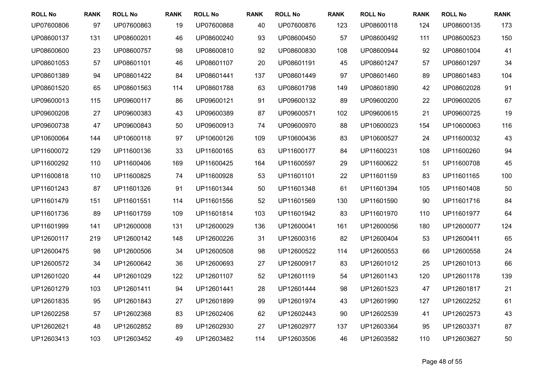| <b>ROLL No</b> | <b>RANK</b> | <b>ROLL No</b> | <b>RANK</b> | <b>ROLL No</b> | <b>RANK</b> | <b>ROLL No</b> | <b>RANK</b> | <b>ROLL No</b> | <b>RANK</b> | <b>ROLL No</b> | <b>RANK</b> |
|----------------|-------------|----------------|-------------|----------------|-------------|----------------|-------------|----------------|-------------|----------------|-------------|
| UP07600806     | 97          | UP07600863     | 19          | UP07600868     | 40          | UP07600876     | 123         | UP08600118     | 124         | UP08600135     | 173         |
| UP08600137     | 131         | UP08600201     | 46          | UP08600240     | 93          | UP08600450     | 57          | UP08600492     | 111         | UP08600523     | 150         |
| UP08600600     | 23          | UP08600757     | 98          | UP08600810     | 92          | UP08600830     | 108         | UP08600944     | 92          | UP08601004     | 41          |
| UP08601053     | 57          | UP08601101     | 46          | UP08601107     | 20          | UP08601191     | 45          | UP08601247     | 57          | UP08601297     | 34          |
| UP08601389     | 94          | UP08601422     | 84          | UP08601441     | 137         | UP08601449     | 97          | UP08601460     | 89          | UP08601483     | 104         |
| UP08601520     | 65          | UP08601563     | 114         | UP08601788     | 63          | UP08601798     | 149         | UP08601890     | 42          | UP08602028     | 91          |
| UP09600013     | 115         | UP09600117     | 86          | UP09600121     | 91          | UP09600132     | 89          | UP09600200     | 22          | UP09600205     | 67          |
| UP09600208     | 27          | UP09600383     | 43          | UP09600389     | 87          | UP09600571     | 102         | UP09600615     | 21          | UP09600725     | 19          |
| UP09600738     | 47          | UP09600843     | 50          | UP09600913     | 74          | UP09600970     | 88          | UP10600023     | 154         | UP10600063     | 116         |
| UP10600064     | 144         | UP10600118     | 97          | UP10600126     | 109         | UP10600436     | 83          | UP10600527     | 24          | UP11600032     | 43          |
| UP11600072     | 129         | UP11600136     | 33          | UP11600165     | 63          | UP11600177     | 84          | UP11600231     | 108         | UP11600260     | 94          |
| UP11600292     | 110         | UP11600406     | 169         | UP11600425     | 164         | UP11600597     | 29          | UP11600622     | 51          | UP11600708     | 45          |
| UP11600818     | 110         | UP11600825     | 74          | UP11600928     | 53          | UP11601101     | 22          | UP11601159     | 83          | UP11601165     | 100         |
| UP11601243     | 87          | UP11601326     | 91          | UP11601344     | 50          | UP11601348     | 61          | UP11601394     | 105         | UP11601408     | 50          |
| UP11601479     | 151         | UP11601551     | 114         | UP11601556     | 52          | UP11601569     | 130         | UP11601590     | 90          | UP11601716     | 84          |
| UP11601736     | 89          | UP11601759     | 109         | UP11601814     | 103         | UP11601942     | 83          | UP11601970     | 110         | UP11601977     | 64          |
| UP11601999     | 141         | UP12600008     | 131         | UP12600029     | 136         | UP12600041     | 161         | UP12600056     | 180         | UP12600077     | 124         |
| UP12600117     | 219         | UP12600142     | 148         | UP12600226     | 31          | UP12600316     | 82          | UP12600404     | 53          | UP12600411     | 65          |
| UP12600475     | 98          | UP12600506     | 34          | UP12600508     | 98          | UP12600522     | 114         | UP12600553     | 66          | UP12600558     | 24          |
| UP12600572     | 34          | UP12600642     | 36          | UP12600693     | 27          | UP12600917     | 83          | UP12601012     | 25          | UP12601013     | 66          |
| UP12601020     | 44          | UP12601029     | 122         | UP12601107     | 52          | UP12601119     | 54          | UP12601143     | 120         | UP12601178     | 139         |
| UP12601279     | 103         | UP12601411     | 94          | UP12601441     | 28          | UP12601444     | 98          | UP12601523     | 47          | UP12601817     | 21          |
| UP12601835     | 95          | UP12601843     | 27          | UP12601899     | 99          | UP12601974     | 43          | UP12601990     | 127         | UP12602252     | 61          |
| UP12602258     | 57          | UP12602368     | 83          | UP12602406     | 62          | UP12602443     | 90          | UP12602539     | 41          | UP12602573     | 43          |
| UP12602621     | 48          | UP12602852     | 89          | UP12602930     | 27          | UP12602977     | 137         | UP12603364     | 95          | UP12603371     | 87          |
| UP12603413     | 103         | UP12603452     | 49          | UP12603482     | 114         | UP12603506     | 46          | UP12603582     | 110         | UP12603627     | 50          |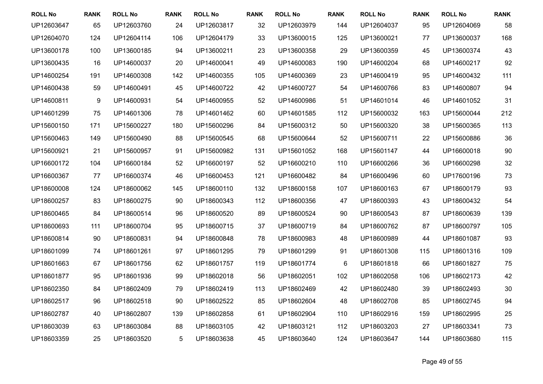| <b>ROLL No</b> | <b>RANK</b> | <b>ROLL No</b> | <b>RANK</b> | <b>ROLL No</b> | <b>RANK</b> | <b>ROLL No</b> | <b>RANK</b> | <b>ROLL No</b> | <b>RANK</b> | <b>ROLL No</b> | <b>RANK</b> |
|----------------|-------------|----------------|-------------|----------------|-------------|----------------|-------------|----------------|-------------|----------------|-------------|
| UP12603647     | 65          | UP12603760     | 24          | UP12603817     | 32          | UP12603979     | 144         | UP12604037     | 95          | UP12604069     | 58          |
| UP12604070     | 124         | UP12604114     | 106         | UP12604179     | 33          | UP13600015     | 125         | UP13600021     | 77          | UP13600037     | 168         |
| UP13600178     | 100         | UP13600185     | 94          | UP13600211     | 23          | UP13600358     | 29          | UP13600359     | 45          | UP13600374     | 43          |
| UP13600435     | 16          | UP14600037     | 20          | UP14600041     | 49          | UP14600083     | 190         | UP14600204     | 68          | UP14600217     | 92          |
| UP14600254     | 191         | UP14600308     | 142         | UP14600355     | 105         | UP14600369     | 23          | UP14600419     | 95          | UP14600432     | 111         |
| UP14600438     | 59          | UP14600491     | 45          | UP14600722     | 42          | UP14600727     | 54          | UP14600766     | 83          | UP14600807     | 94          |
| UP14600811     | 9           | UP14600931     | 54          | UP14600955     | 52          | UP14600986     | 51          | UP14601014     | 46          | UP14601052     | 31          |
| UP14601299     | 75          | UP14601306     | 78          | UP14601462     | 60          | UP14601585     | 112         | UP15600032     | 163         | UP15600044     | 212         |
| UP15600150     | 171         | UP15600227     | 180         | UP15600296     | 84          | UP15600312     | 50          | UP15600320     | 38          | UP15600365     | 113         |
| UP15600463     | 149         | UP15600490     | 88          | UP15600545     | 68          | UP15600644     | 52          | UP15600711     | 22          | UP15600886     | 36          |
| UP15600921     | 21          | UP15600957     | 91          | UP15600982     | 131         | UP15601052     | 168         | UP15601147     | 44          | UP16600018     | 90          |
| UP16600172     | 104         | UP16600184     | 52          | UP16600197     | 52          | UP16600210     | 110         | UP16600266     | 36          | UP16600298     | 32          |
| UP16600367     | 77          | UP16600374     | 46          | UP16600453     | 121         | UP16600482     | 84          | UP16600496     | 60          | UP17600196     | 73          |
| UP18600008     | 124         | UP18600062     | 145         | UP18600110     | 132         | UP18600158     | 107         | UP18600163     | 67          | UP18600179     | 93          |
| UP18600257     | 83          | UP18600275     | 90          | UP18600343     | 112         | UP18600356     | 47          | UP18600393     | 43          | UP18600432     | 54          |
| UP18600465     | 84          | UP18600514     | 96          | UP18600520     | 89          | UP18600524     | 90          | UP18600543     | 87          | UP18600639     | 139         |
| UP18600693     | 111         | UP18600704     | 95          | UP18600715     | 37          | UP18600719     | 84          | UP18600762     | 87          | UP18600797     | 105         |
| UP18600814     | 90          | UP18600831     | 94          | UP18600848     | 78          | UP18600983     | 48          | UP18600989     | 44          | UP18601087     | 93          |
| UP18601099     | 74          | UP18601261     | 97          | UP18601295     | 79          | UP18601299     | 91          | UP18601308     | 115         | UP18601316     | 109         |
| UP18601663     | 67          | UP18601756     | 62          | UP18601757     | 119         | UP18601774     | 6           | UP18601818     | 66          | UP18601827     | 75          |
| UP18601877     | 95          | UP18601936     | 99          | UP18602018     | 56          | UP18602051     | 102         | UP18602058     | 106         | UP18602173     | 42          |
| UP18602350     | 84          | UP18602409     | 79          | UP18602419     | 113         | UP18602469     | 42          | UP18602480     | 39          | UP18602493     | 30          |
| UP18602517     | 96          | UP18602518     | 90          | UP18602522     | 85          | UP18602604     | 48          | UP18602708     | 85          | UP18602745     | 94          |
| UP18602787     | 40          | UP18602807     | 139         | UP18602858     | 61          | UP18602904     | 110         | UP18602916     | 159         | UP18602995     | 25          |
| UP18603039     | 63          | UP18603084     | 88          | UP18603105     | 42          | UP18603121     | 112         | UP18603203     | 27          | UP18603341     | 73          |
| UP18603359     | 25          | UP18603520     | 5           | UP18603638     | 45          | UP18603640     | 124         | UP18603647     | 144         | UP18603680     | 115         |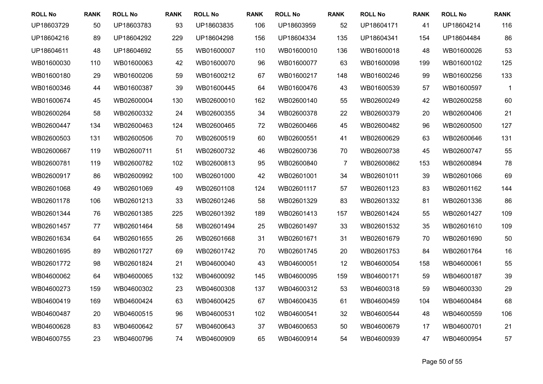| <b>ROLL No</b> | <b>RANK</b> | <b>ROLL No</b> | <b>RANK</b> | <b>ROLL No</b> | <b>RANK</b> | <b>ROLL No</b> | <b>RANK</b> | <b>ROLL No</b> | <b>RANK</b> | <b>ROLL No</b> | <b>RANK</b>    |
|----------------|-------------|----------------|-------------|----------------|-------------|----------------|-------------|----------------|-------------|----------------|----------------|
| UP18603729     | 50          | UP18603783     | 93          | UP18603835     | 106         | UP18603959     | 52          | UP18604171     | 41          | UP18604214     | 116            |
| UP18604216     | 89          | UP18604292     | 229         | UP18604298     | 156         | UP18604334     | 135         | UP18604341     | 154         | UP18604484     | 86             |
| UP18604611     | 48          | UP18604692     | 55          | WB01600007     | 110         | WB01600010     | 136         | WB01600018     | 48          | WB01600026     | 53             |
| WB01600030     | 110         | WB01600063     | 42          | WB01600070     | 96          | WB01600077     | 63          | WB01600098     | 199         | WB01600102     | 125            |
| WB01600180     | 29          | WB01600206     | 59          | WB01600212     | 67          | WB01600217     | 148         | WB01600246     | 99          | WB01600256     | 133            |
| WB01600346     | 44          | WB01600387     | 39          | WB01600445     | 64          | WB01600476     | 43          | WB01600539     | 57          | WB01600597     | $\overline{1}$ |
| WB01600674     | 45          | WB02600004     | 130         | WB02600010     | 162         | WB02600140     | 55          | WB02600249     | 42          | WB02600258     | 60             |
| WB02600264     | 58          | WB02600332     | 24          | WB02600355     | 34          | WB02600378     | 22          | WB02600379     | 20          | WB02600406     | 21             |
| WB02600447     | 134         | WB02600463     | 124         | WB02600465     | 72          | WB02600466     | 45          | WB02600482     | 96          | WB02600500     | 127            |
| WB02600503     | 131         | WB02600506     | 70          | WB02600519     | 60          | WB02600551     | 41          | WB02600629     | 63          | WB02600646     | 131            |
| WB02600667     | 119         | WB02600711     | 51          | WB02600732     | 46          | WB02600736     | 70          | WB02600738     | 45          | WB02600747     | 55             |
| WB02600781     | 119         | WB02600782     | 102         | WB02600813     | 95          | WB02600840     | 7           | WB02600862     | 153         | WB02600894     | 78             |
| WB02600917     | 86          | WB02600992     | 100         | WB02601000     | 42          | WB02601001     | 34          | WB02601011     | 39          | WB02601066     | 69             |
| WB02601068     | 49          | WB02601069     | 49          | WB02601108     | 124         | WB02601117     | 57          | WB02601123     | 83          | WB02601162     | 144            |
| WB02601178     | 106         | WB02601213     | 33          | WB02601246     | 58          | WB02601329     | 83          | WB02601332     | 81          | WB02601336     | 86             |
| WB02601344     | 76          | WB02601385     | 225         | WB02601392     | 189         | WB02601413     | 157         | WB02601424     | 55          | WB02601427     | 109            |
| WB02601457     | 77          | WB02601464     | 58          | WB02601494     | 25          | WB02601497     | 33          | WB02601532     | 35          | WB02601610     | 109            |
| WB02601634     | 64          | WB02601655     | 26          | WB02601668     | 31          | WB02601671     | 31          | WB02601679     | 70          | WB02601690     | 50             |
| WB02601695     | 89          | WB02601727     | 69          | WB02601742     | 70          | WB02601745     | 20          | WB02601753     | 84          | WB02601764     | 16             |
| WB02601772     | 98          | WB02601824     | 21          | WB04600040     | 43          | WB04600051     | 12          | WB04600054     | 158         | WB04600061     | 55             |
| WB04600062     | 64          | WB04600065     | 132         | WB04600092     | 145         | WB04600095     | 159         | WB04600171     | 59          | WB04600187     | 39             |
| WB04600273     | 159         | WB04600302     | 23          | WB04600308     | 137         | WB04600312     | 53          | WB04600318     | 59          | WB04600330     | 29             |
| WB04600419     | 169         | WB04600424     | 63          | WB04600425     | 67          | WB04600435     | 61          | WB04600459     | 104         | WB04600484     | 68             |
| WB04600487     | 20          | WB04600515     | 96          | WB04600531     | 102         | WB04600541     | 32          | WB04600544     | 48          | WB04600559     | 106            |
| WB04600628     | 83          | WB04600642     | 57          | WB04600643     | 37          | WB04600653     | 50          | WB04600679     | 17          | WB04600701     | 21             |
| WB04600755     | 23          | WB04600796     | 74          | WB04600909     | 65          | WB04600914     | 54          | WB04600939     | 47          | WB04600954     | 57             |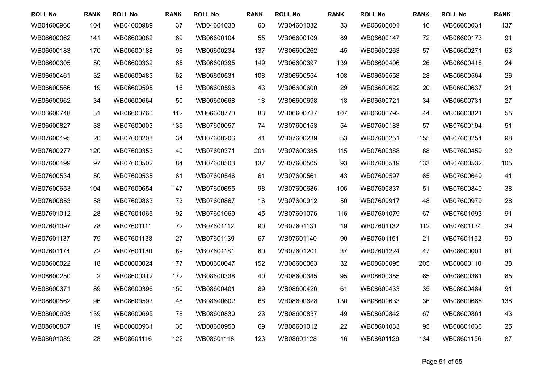| <b>ROLL No</b> | <b>RANK</b>    | <b>ROLL No</b> | <b>RANK</b> | <b>ROLL No</b> | <b>RANK</b> | <b>ROLL No</b> | <b>RANK</b> | <b>ROLL No</b> | <b>RANK</b> | <b>ROLL No</b> | <b>RANK</b> |
|----------------|----------------|----------------|-------------|----------------|-------------|----------------|-------------|----------------|-------------|----------------|-------------|
| WB04600960     | 104            | WB04600989     | 37          | WB04601030     | 60          | WB04601032     | 33          | WB06600001     | 16          | WB06600034     | 137         |
| WB06600062     | 141            | WB06600082     | 69          | WB06600104     | 55          | WB06600109     | 89          | WB06600147     | 72          | WB06600173     | 91          |
| WB06600183     | 170            | WB06600188     | 98          | WB06600234     | 137         | WB06600262     | 45          | WB06600263     | 57          | WB06600271     | 63          |
| WB06600305     | 50             | WB06600332     | 65          | WB06600395     | 149         | WB06600397     | 139         | WB06600406     | 26          | WB06600418     | 24          |
| WB06600461     | 32             | WB06600483     | 62          | WB06600531     | 108         | WB06600554     | 108         | WB06600558     | 28          | WB06600564     | 26          |
| WB06600566     | 19             | WB06600595     | 16          | WB06600596     | 43          | WB06600600     | 29          | WB06600622     | 20          | WB06600637     | 21          |
| WB06600662     | 34             | WB06600664     | 50          | WB06600668     | 18          | WB06600698     | 18          | WB06600721     | 34          | WB06600731     | 27          |
| WB06600748     | 31             | WB06600760     | 112         | WB06600770     | 83          | WB06600787     | 107         | WB06600792     | 44          | WB06600821     | 55          |
| WB06600827     | 38             | WB07600003     | 135         | WB07600057     | 74          | WB07600153     | 54          | WB07600183     | 57          | WB07600194     | 51          |
| WB07600195     | 20             | WB07600203     | 34          | WB07600206     | 41          | WB07600239     | 53          | WB07600251     | 155         | WB07600254     | 98          |
| WB07600277     | 120            | WB07600353     | 40          | WB07600371     | 201         | WB07600385     | 115         | WB07600388     | 88          | WB07600459     | 92          |
| WB07600499     | 97             | WB07600502     | 84          | WB07600503     | 137         | WB07600505     | 93          | WB07600519     | 133         | WB07600532     | 105         |
| WB07600534     | 50             | WB07600535     | 61          | WB07600546     | 61          | WB07600561     | 43          | WB07600597     | 65          | WB07600649     | 41          |
| WB07600653     | 104            | WB07600654     | 147         | WB07600655     | 98          | WB07600686     | 106         | WB07600837     | 51          | WB07600840     | 38          |
| WB07600853     | 58             | WB07600863     | 73          | WB07600867     | 16          | WB07600912     | 50          | WB07600917     | 48          | WB07600979     | 28          |
| WB07601012     | 28             | WB07601065     | 92          | WB07601069     | 45          | WB07601076     | 116         | WB07601079     | 67          | WB07601093     | 91          |
| WB07601097     | 78             | WB07601111     | 72          | WB07601112     | 90          | WB07601131     | 19          | WB07601132     | 112         | WB07601134     | 39          |
| WB07601137     | 79             | WB07601138     | 27          | WB07601139     | 67          | WB07601140     | 90          | WB07601151     | 21          | WB07601152     | 99          |
| WB07601174     | 72             | WB07601180     | 89          | WB07601181     | 60          | WB07601201     | 37          | WB07601224     | 47          | WB08600001     | 81          |
| WB08600022     | 18             | WB08600024     | 177         | WB08600047     | 152         | WB08600063     | 32          | WB08600095     | 205         | WB08600110     | 38          |
| WB08600250     | $\overline{2}$ | WB08600312     | 172         | WB08600338     | 40          | WB08600345     | 95          | WB08600355     | 65          | WB08600361     | 65          |
| WB08600371     | 89             | WB08600396     | 150         | WB08600401     | 89          | WB08600426     | 61          | WB08600433     | 35          | WB08600484     | 91          |
| WB08600562     | 96             | WB08600593     | 48          | WB08600602     | 68          | WB08600628     | 130         | WB08600633     | 36          | WB08600668     | 138         |
| WB08600693     | 139            | WB08600695     | 78          | WB08600830     | 23          | WB08600837     | 49          | WB08600842     | 67          | WB08600861     | 43          |
| WB08600887     | 19             | WB08600931     | 30          | WB08600950     | 69          | WB08601012     | 22          | WB08601033     | 95          | WB08601036     | 25          |
| WB08601089     | 28             | WB08601116     | 122         | WB08601118     | 123         | WB08601128     | 16          | WB08601129     | 134         | WB08601156     | 87          |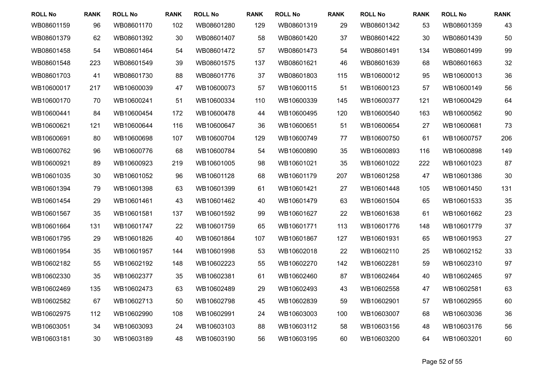| <b>ROLL No</b> | <b>RANK</b> | <b>ROLL No</b> | <b>RANK</b> | <b>ROLL No</b> | <b>RANK</b> | <b>ROLL No</b> | <b>RANK</b> | <b>ROLL No</b> | <b>RANK</b> | <b>ROLL No</b> | <b>RANK</b> |
|----------------|-------------|----------------|-------------|----------------|-------------|----------------|-------------|----------------|-------------|----------------|-------------|
| WB08601159     | 96          | WB08601170     | 102         | WB08601280     | 129         | WB08601319     | 29          | WB08601342     | 53          | WB08601359     | 43          |
| WB08601379     | 62          | WB08601392     | 30          | WB08601407     | 58          | WB08601420     | 37          | WB08601422     | 30          | WB08601439     | 50          |
| WB08601458     | 54          | WB08601464     | 54          | WB08601472     | 57          | WB08601473     | 54          | WB08601491     | 134         | WB08601499     | 99          |
| WB08601548     | 223         | WB08601549     | 39          | WB08601575     | 137         | WB08601621     | 46          | WB08601639     | 68          | WB08601663     | 32          |
| WB08601703     | 41          | WB08601730     | 88          | WB08601776     | 37          | WB08601803     | 115         | WB10600012     | 95          | WB10600013     | 36          |
| WB10600017     | 217         | WB10600039     | 47          | WB10600073     | 57          | WB10600115     | 51          | WB10600123     | 57          | WB10600149     | 56          |
| WB10600170     | 70          | WB10600241     | 51          | WB10600334     | 110         | WB10600339     | 145         | WB10600377     | 121         | WB10600429     | 64          |
| WB10600441     | 84          | WB10600454     | 172         | WB10600478     | 44          | WB10600495     | 120         | WB10600540     | 163         | WB10600562     | 90          |
| WB10600621     | 121         | WB10600644     | 116         | WB10600647     | 36          | WB10600651     | 51          | WB10600654     | 27          | WB10600681     | 73          |
| WB10600691     | 80          | WB10600698     | 107         | WB10600704     | 129         | WB10600749     | 77          | WB10600750     | 61          | WB10600757     | 206         |
| WB10600762     | 96          | WB10600776     | 68          | WB10600784     | 54          | WB10600890     | 35          | WB10600893     | 116         | WB10600898     | 149         |
| WB10600921     | 89          | WB10600923     | 219         | WB10601005     | 98          | WB10601021     | 35          | WB10601022     | 222         | WB10601023     | 87          |
| WB10601035     | 30          | WB10601052     | 96          | WB10601128     | 68          | WB10601179     | 207         | WB10601258     | 47          | WB10601386     | 30          |
| WB10601394     | 79          | WB10601398     | 63          | WB10601399     | 61          | WB10601421     | 27          | WB10601448     | 105         | WB10601450     | 131         |
| WB10601454     | 29          | WB10601461     | 43          | WB10601462     | 40          | WB10601479     | 63          | WB10601504     | 65          | WB10601533     | 35          |
| WB10601567     | 35          | WB10601581     | 137         | WB10601592     | 99          | WB10601627     | 22          | WB10601638     | 61          | WB10601662     | 23          |
| WB10601664     | 131         | WB10601747     | 22          | WB10601759     | 65          | WB10601771     | 113         | WB10601776     | 148         | WB10601779     | 37          |
| WB10601795     | 29          | WB10601826     | 40          | WB10601864     | 107         | WB10601867     | 127         | WB10601931     | 65          | WB10601953     | 27          |
| WB10601954     | 35          | WB10601957     | 144         | WB10601998     | 53          | WB10602018     | 22          | WB10602110     | 25          | WB10602152     | 33          |
| WB10602182     | 55          | WB10602192     | 148         | WB10602223     | 55          | WB10602270     | 142         | WB10602281     | 59          | WB10602310     | 97          |
| WB10602330     | 35          | WB10602377     | 35          | WB10602381     | 61          | WB10602460     | 87          | WB10602464     | 40          | WB10602465     | 97          |
| WB10602469     | 135         | WB10602473     | 63          | WB10602489     | 29          | WB10602493     | 43          | WB10602558     | 47          | WB10602581     | 63          |
| WB10602582     | 67          | WB10602713     | 50          | WB10602798     | 45          | WB10602839     | 59          | WB10602901     | 57          | WB10602955     | 60          |
| WB10602975     | 112         | WB10602990     | 108         | WB10602991     | 24          | WB10603003     | 100         | WB10603007     | 68          | WB10603036     | 36          |
| WB10603051     | 34          | WB10603093     | 24          | WB10603103     | 88          | WB10603112     | 58          | WB10603156     | 48          | WB10603176     | 56          |
| WB10603181     | 30          | WB10603189     | 48          | WB10603190     | 56          | WB10603195     | 60          | WB10603200     | 64          | WB10603201     | 60          |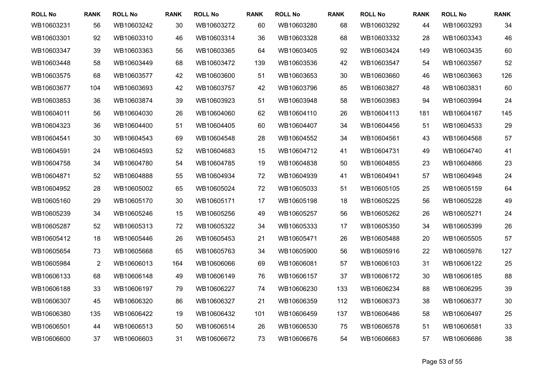| <b>ROLL No</b> | <b>RANK</b>    | <b>ROLL No</b> | <b>RANK</b> | <b>ROLL No</b> | <b>RANK</b> | <b>ROLL No</b> | <b>RANK</b> | <b>ROLL No</b> | <b>RANK</b> | <b>ROLL No</b> | <b>RANK</b> |
|----------------|----------------|----------------|-------------|----------------|-------------|----------------|-------------|----------------|-------------|----------------|-------------|
| WB10603231     | 56             | WB10603242     | 30          | WB10603272     | 60          | WB10603280     | 68          | WB10603292     | 44          | WB10603293     | 34          |
| WB10603301     | 92             | WB10603310     | 46          | WB10603314     | 36          | WB10603328     | 68          | WB10603332     | 28          | WB10603343     | 46          |
| WB10603347     | 39             | WB10603363     | 56          | WB10603365     | 64          | WB10603405     | 92          | WB10603424     | 149         | WB10603435     | 60          |
| WB10603448     | 58             | WB10603449     | 68          | WB10603472     | 139         | WB10603536     | 42          | WB10603547     | 54          | WB10603567     | 52          |
| WB10603575     | 68             | WB10603577     | 42          | WB10603600     | 51          | WB10603653     | 30          | WB10603660     | 46          | WB10603663     | 126         |
| WB10603677     | 104            | WB10603693     | 42          | WB10603757     | 42          | WB10603796     | 85          | WB10603827     | 48          | WB10603831     | 60          |
| WB10603853     | 36             | WB10603874     | 39          | WB10603923     | 51          | WB10603948     | 58          | WB10603983     | 94          | WB10603994     | 24          |
| WB10604011     | 56             | WB10604030     | 26          | WB10604060     | 62          | WB10604110     | 26          | WB10604113     | 181         | WB10604167     | 145         |
| WB10604323     | 36             | WB10604400     | 51          | WB10604405     | 60          | WB10604407     | 34          | WB10604456     | 51          | WB10604533     | 29          |
| WB10604541     | 30             | WB10604543     | 69          | WB10604548     | 28          | WB10604552     | 34          | WB10604561     | 43          | WB10604568     | 57          |
| WB10604591     | 24             | WB10604593     | 52          | WB10604683     | 15          | WB10604712     | 41          | WB10604731     | 49          | WB10604740     | 41          |
| WB10604758     | 34             | WB10604780     | 54          | WB10604785     | 19          | WB10604838     | 50          | WB10604855     | 23          | WB10604866     | 23          |
| WB10604871     | 52             | WB10604888     | 55          | WB10604934     | 72          | WB10604939     | 41          | WB10604941     | 57          | WB10604948     | 24          |
| WB10604952     | 28             | WB10605002     | 65          | WB10605024     | 72          | WB10605033     | 51          | WB10605105     | 25          | WB10605159     | 64          |
| WB10605160     | 29             | WB10605170     | 30          | WB10605171     | 17          | WB10605198     | 18          | WB10605225     | 56          | WB10605228     | 49          |
| WB10605239     | 34             | WB10605246     | 15          | WB10605256     | 49          | WB10605257     | 56          | WB10605262     | 26          | WB10605271     | 24          |
| WB10605287     | 52             | WB10605313     | 72          | WB10605322     | 34          | WB10605333     | 17          | WB10605350     | 34          | WB10605399     | 26          |
| WB10605412     | 18             | WB10605446     | 26          | WB10605453     | 21          | WB10605471     | 26          | WB10605488     | 20          | WB10605505     | 57          |
| WB10605654     | 73             | WB10605668     | 65          | WB10605763     | 34          | WB10605900     | 56          | WB10605916     | 22          | WB10605976     | 127         |
| WB10605984     | $\overline{c}$ | WB10606013     | 164         | WB10606066     | 69          | WB10606081     | 57          | WB10606103     | 31          | WB10606122     | 25          |
| WB10606133     | 68             | WB10606148     | 49          | WB10606149     | 76          | WB10606157     | 37          | WB10606172     | 30          | WB10606185     | 88          |
| WB10606188     | 33             | WB10606197     | 79          | WB10606227     | 74          | WB10606230     | 133         | WB10606234     | 88          | WB10606295     | 39          |
| WB10606307     | 45             | WB10606320     | 86          | WB10606327     | 21          | WB10606359     | 112         | WB10606373     | 38          | WB10606377     | 30          |
| WB10606380     | 135            | WB10606422     | 19          | WB10606432     | 101         | WB10606459     | 137         | WB10606486     | 58          | WB10606497     | 25          |
| WB10606501     | 44             | WB10606513     | 50          | WB10606514     | 26          | WB10606530     | 75          | WB10606578     | 51          | WB10606581     | 33          |
| WB10606600     | 37             | WB10606603     | 31          | WB10606672     | 73          | WB10606676     | 54          | WB10606683     | 57          | WB10606686     | 38          |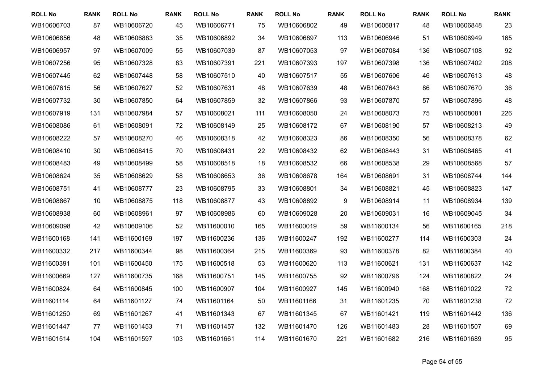| <b>ROLL No</b> | <b>RANK</b> | <b>ROLL No</b> | <b>RANK</b> | <b>ROLL No</b> | <b>RANK</b> | <b>ROLL No</b> | <b>RANK</b> | <b>ROLL No</b> | <b>RANK</b> | <b>ROLL No</b> | <b>RANK</b> |
|----------------|-------------|----------------|-------------|----------------|-------------|----------------|-------------|----------------|-------------|----------------|-------------|
| WB10606703     | 87          | WB10606720     | 45          | WB10606771     | 75          | WB10606802     | 49          | WB10606817     | 48          | WB10606848     | 23          |
| WB10606856     | 48          | WB10606883     | 35          | WB10606892     | 34          | WB10606897     | 113         | WB10606946     | 51          | WB10606949     | 165         |
| WB10606957     | 97          | WB10607009     | 55          | WB10607039     | 87          | WB10607053     | 97          | WB10607084     | 136         | WB10607108     | 92          |
| WB10607256     | 95          | WB10607328     | 83          | WB10607391     | 221         | WB10607393     | 197         | WB10607398     | 136         | WB10607402     | 208         |
| WB10607445     | 62          | WB10607448     | 58          | WB10607510     | 40          | WB10607517     | 55          | WB10607606     | 46          | WB10607613     | 48          |
| WB10607615     | 56          | WB10607627     | 52          | WB10607631     | 48          | WB10607639     | 48          | WB10607643     | 86          | WB10607670     | 36          |
| WB10607732     | 30          | WB10607850     | 64          | WB10607859     | 32          | WB10607866     | 93          | WB10607870     | 57          | WB10607896     | 48          |
| WB10607919     | 131         | WB10607984     | 57          | WB10608021     | 111         | WB10608050     | 24          | WB10608073     | 75          | WB10608081     | 226         |
| WB10608086     | 61          | WB10608091     | 72          | WB10608149     | 25          | WB10608172     | 67          | WB10608190     | 57          | WB10608213     | 49          |
| WB10608222     | 57          | WB10608270     | 46          | WB10608318     | 42          | WB10608323     | 86          | WB10608350     | 56          | WB10608378     | 62          |
| WB10608410     | 30          | WB10608415     | 70          | WB10608431     | 22          | WB10608432     | 62          | WB10608443     | 31          | WB10608465     | 41          |
| WB10608483     | 49          | WB10608499     | 58          | WB10608518     | 18          | WB10608532     | 66          | WB10608538     | 29          | WB10608568     | 57          |
| WB10608624     | 35          | WB10608629     | 58          | WB10608653     | 36          | WB10608678     | 164         | WB10608691     | 31          | WB10608744     | 144         |
| WB10608751     | 41          | WB10608777     | 23          | WB10608795     | 33          | WB10608801     | 34          | WB10608821     | 45          | WB10608823     | 147         |
| WB10608867     | 10          | WB10608875     | 118         | WB10608877     | 43          | WB10608892     | 9           | WB10608914     | 11          | WB10608934     | 139         |
| WB10608938     | 60          | WB10608961     | 97          | WB10608986     | 60          | WB10609028     | 20          | WB10609031     | 16          | WB10609045     | 34          |
| WB10609098     | 42          | WB10609106     | 52          | WB11600010     | 165         | WB11600019     | 59          | WB11600134     | 56          | WB11600165     | 218         |
| WB11600168     | 141         | WB11600169     | 197         | WB11600236     | 136         | WB11600247     | 192         | WB11600277     | 114         | WB11600303     | 24          |
| WB11600332     | 217         | WB11600344     | 98          | WB11600364     | 215         | WB11600369     | 93          | WB11600378     | 82          | WB11600384     | 40          |
| WB11600391     | 101         | WB11600450     | 175         | WB11600518     | 53          | WB11600620     | 113         | WB11600621     | 131         | WB11600637     | 142         |
| WB11600669     | 127         | WB11600735     | 168         | WB11600751     | 145         | WB11600755     | 92          | WB11600796     | 124         | WB11600822     | 24          |
| WB11600824     | 64          | WB11600845     | 100         | WB11600907     | 104         | WB11600927     | 145         | WB11600940     | 168         | WB11601022     | 72          |
| WB11601114     | 64          | WB11601127     | 74          | WB11601164     | 50          | WB11601166     | 31          | WB11601235     | 70          | WB11601238     | 72          |
| WB11601250     | 69          | WB11601267     | 41          | WB11601343     | 67          | WB11601345     | 67          | WB11601421     | 119         | WB11601442     | 136         |
| WB11601447     | 77          | WB11601453     | 71          | WB11601457     | 132         | WB11601470     | 126         | WB11601483     | 28          | WB11601507     | 69          |
| WB11601514     | 104         | WB11601597     | 103         | WB11601661     | 114         | WB11601670     | 221         | WB11601682     | 216         | WB11601689     | 95          |